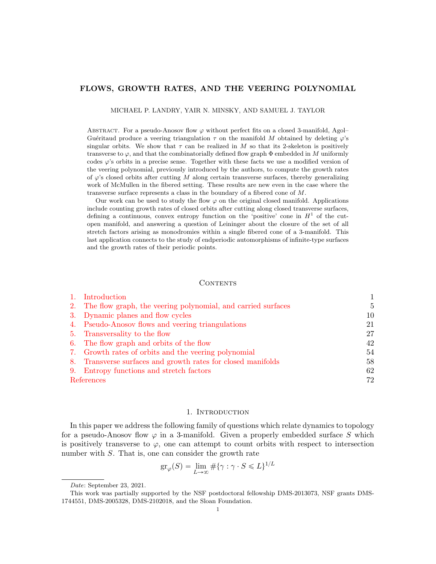#### FLOWS, GROWTH RATES, AND THE VEERING POLYNOMIAL

MICHAEL P. LANDRY, YAIR N. MINSKY, AND SAMUEL J. TAYLOR

ABSTRACT. For a pseudo-Anosov flow  $\varphi$  without perfect fits on a closed 3-manifold, Agol-Guéritaud produce a veering triangulation  $\tau$  on the manifold M obtained by deleting  $\varphi$ 's singular orbits. We show that  $\tau$  can be realized in M so that its 2-skeleton is positively transverse to  $\varphi$ , and that the combinatorially defined flow graph  $\Phi$  embedded in M uniformly codes  $\varphi$ 's orbits in a precise sense. Together with these facts we use a modified version of the veering polynomial, previously introduced by the authors, to compute the growth rates of  $\varphi$ 's closed orbits after cutting M along certain transverse surfaces, thereby generalizing work of McMullen in the fibered setting. These results are new even in the case where the transverse surface represents a class in the boundary of a fibered cone of M.

Our work can be used to study the flow  $\varphi$  on the original closed manifold. Applications include counting growth rates of closed orbits after cutting along closed transverse surfaces, defining a continuous, convex entropy function on the 'positive' cone in  $H<sup>1</sup>$  of the cutopen manifold, and answering a question of Leininger about the closure of the set of all stretch factors arising as monodromies within a single fibered cone of a 3-manifold. This last application connects to the study of endperiodic automorphisms of infinite-type surfaces and the growth rates of their periodic points.

#### **CONTENTS**

|            | Introduction                                                    |    |
|------------|-----------------------------------------------------------------|----|
|            | 2. The flow graph, the veering polynomial, and carried surfaces | 5  |
|            | 3. Dynamic planes and flow cycles                               | 10 |
|            | 4. Pseudo-Anosov flows and veering triangulations               | 21 |
|            | 5. Transversality to the flow                                   | 27 |
|            | 6. The flow graph and orbits of the flow                        | 42 |
|            | 7. Growth rates of orbits and the veering polynomial            | 54 |
|            | 8. Transverse surfaces and growth rates for closed manifolds    | 58 |
|            | 9. Entropy functions and stretch factors                        | 62 |
| References |                                                                 | 72 |

# 1. INTRODUCTION

<span id="page-0-0"></span>In this paper we address the following family of questions which relate dynamics to topology for a pseudo-Anosov flow  $\varphi$  in a 3-manifold. Given a properly embedded surface S which is positively transverse to  $\varphi$ , one can attempt to count orbits with respect to intersection number with S. That is, one can consider the growth rate

$$
\operatorname{gr}_{\varphi}(S) = \lim_{L \to \infty} \# \{ \gamma : \gamma \cdot S \le L \}^{1/L}
$$

Date: September 23, 2021.

This work was partially supported by the NSF postdoctoral fellowship DMS-2013073, NSF grants DMS-1744551, DMS-2005328, DMS-2102018, and the Sloan Foundation.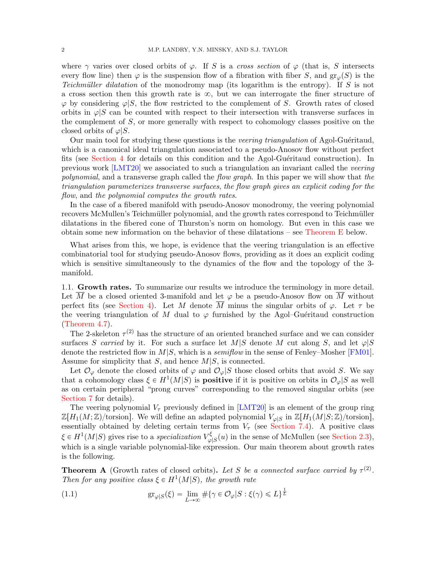where  $\gamma$  varies over closed orbits of  $\varphi$ . If S is a cross section of  $\varphi$  (that is, S intersects every flow line) then  $\varphi$  is the suspension flow of a fibration with fiber S, and  $\text{gr}_{\varphi}(S)$  is the Teichmüller dilatation of the monodromy map (its logarithm is the entropy). If S is not a cross section then this growth rate is  $\infty$ , but we can interrogate the finer structure of  $\varphi$  by considering  $\varphi|S$ , the flow restricted to the complement of S. Growth rates of closed orbits in  $\varphi|S$  can be counted with respect to their intersection with transverse surfaces in the complement of  $S$ , or more generally with respect to cohomology classes positive on the closed orbits of  $\varphi|S$ .

Our main tool for studying these questions is the *veering triangulation* of Agol-Guéritaud, which is a canonical ideal triangulation associated to a pseudo-Anosov flow without perfect fits (see [Section 4](#page-20-0) for details on this condition and the Agol-Guéritaud construction). In previous work [\[LMT20\]](#page-72-0) we associated to such a triangulation an invariant called the veering polynomial, and a transverse graph called the flow graph. In this paper we will show that the triangulation parameterizes transverse surfaces, the flow graph gives an explicit coding for the flow, and the polynomial computes the growth rates.

In the case of a fibered manifold with pseudo-Anosov monodromy, the veering polynomial recovers McMullen's Teichmüller polynomial, and the growth rates correspond to Teichmüller dilatations in the fibered cone of Thurston's norm on homology. But even in this case we obtain some new information on the behavior of these dilatations – see [Theorem E](#page-3-0) below.

What arises from this, we hope, is evidence that the veering triangulation is an effective combinatorial tool for studying pseudo-Anosov flows, providing as it does an explicit coding which is sensitive simultaneously to the dynamics of the flow and the topology of the 3manifold.

1.1. Growth rates. To summarize our results we introduce the terminology in more detail. Let  $\overline{M}$  be a closed oriented 3-manifold and let  $\varphi$  be a pseudo-Anosov flow on  $\overline{M}$  without perfect fits (see [Section 4\)](#page-20-0). Let M denote  $\overline{M}$  minus the singular orbits of  $\varphi$ . Let  $\tau$  be the veering triangulation of M dual to  $\varphi$  furnished by the Agol–Guéritaud construction [\(Theorem 4.7\)](#page-26-1).

The 2-skeleton  $\tau^{(2)}$  has the structure of an oriented branched surface and we can consider surfaces S carried by it. For such a surface let M|S denote M cut along S, and let  $\varphi|S$ denote the restricted flow in  $M|S$ , which is a *semiflow* in the sense of Fenley–Mosher [\[FM01\]](#page-71-1). Assume for simplicity that  $S$ , and hence  $M|S$ , is connected.

Let  $\mathcal{O}_{\varphi}$  denote the closed orbits of  $\varphi$  and  $\mathcal{O}_{\varphi}|S$  those closed orbits that avoid S. We say that a cohomology class  $\xi \in H^1(M|S)$  is **positive** if it is positive on orbits in  $\mathcal{O}_{\varphi}|S$  as well as on certain peripheral "prong curves" corresponding to the removed singular orbits (see [Section 7](#page-53-0) for details).

The veering polynomial  $V<sub>\tau</sub>$  previously defined in [\[LMT20\]](#page-72-0) is an element of the group ring  $\mathbb{Z}[H_1(M;\mathbb{Z})/\text{torsion}]$ . We will define an adapted polynomial  $V_{\varphi|S}$  in  $\mathbb{Z}[H_1(M|S;\mathbb{Z})/\text{torsion}],$ essentially obtained by deleting certain terms from  $V_{\tau}$  (see [Section 7.4\)](#page-56-0). A positive class  $\xi \in H^1(M|S)$  gives rise to a specialization  $V_{\alpha}^{\xi}$  $\mathcal{L}^{\xi}_{\varphi|S}(u)$  in the sense of McMullen (see [Section 2.3\)](#page-7-0), which is a single variable polynomial-like expression. Our main theorem about growth rates is the following.

<span id="page-1-1"></span>**Theorem A** (Growth rates of closed orbits). Let S be a connected surface carried by  $\tau^{(2)}$ . Then for any positive class  $\xi \in H^1(M|S)$ , the growth rate

<span id="page-1-0"></span>(1.1) 
$$
\operatorname{gr}_{\varphi|S}(\xi) = \lim_{L \to \infty} \# \{ \gamma \in \mathcal{O}_{\varphi}|S : \xi(\gamma) \leq L \}^{\frac{1}{L}}
$$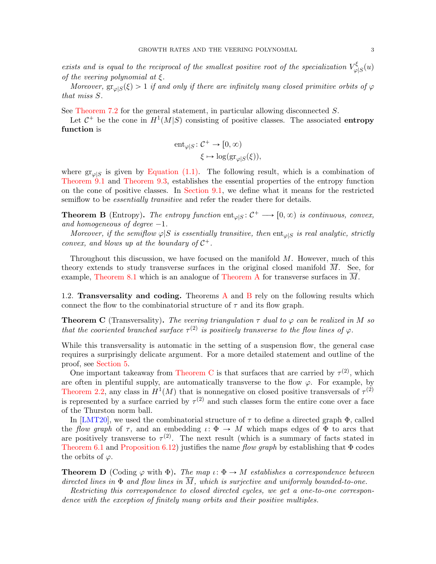exists and is equal to the reciprocal of the smallest positive root of the specialization  $V_{\alpha}^{\xi}$  $\frac{\kappa}{\varphi|S}(u)$ of the veering polynomial at  $\xi$ .

Moreover,  $\operatorname{gr}_{\varphi|S}(\xi) > 1$  if and only if there are infinitely many closed primitive orbits of  $\varphi$ that miss S.

See [Theorem 7.2](#page-54-0) for the general statement, in particular allowing disconnected S.

Let  $C^+$  be the cone in  $H^1(M|S)$  consisting of positive classes. The associated **entropy** function is

$$
\begin{aligned} \mathrm{ent}_{\varphi|S} &:\mathcal{C}^+ \to [0,\infty) \\ &\xi \mapsto \mathrm{log}\big(\mathrm{gr}_{\varphi|S}(\xi)\big), \end{aligned}
$$

where  $gr_{\varphi|S}$  is given by [Equation \(1.1\).](#page-1-0) The following result, which is a combination of [Theorem 9.1](#page-61-1) and [Theorem 9.3,](#page-62-0) establishes the essential properties of the entropy function on the cone of positive classes. In [Section 9.1,](#page-61-2) we define what it means for the restricted semiflow to be *essentially transitive* and refer the reader there for details.

<span id="page-2-0"></span>**Theorem B** (Entropy). The entropy function  $ent_{\varphi|S} : C^+ \longrightarrow [0, \infty)$  is continuous, convex, and homogeneous of degree  $-1$ .

Moreover, if the semiflow  $\varphi|S$  is essentially transitive, then ent<sub> $\varphi|S$ </sub> is real analytic, strictly convex, and blows up at the boundary of  $C^+$ .

Throughout this discussion, we have focused on the manifold  $M$ . However, much of this theory extends to study transverse surfaces in the original closed manifold  $\overline{M}$ . See, for example, [Theorem 8.1](#page-58-0) which is an analogue of [Theorem A](#page-1-1) for transverse surfaces in M.

1.2. Transversality and coding. Theorems [A](#page-1-1) and [B](#page-2-0) rely on the following results which connect the flow to the combinatorial structure of  $\tau$  and its flow graph.

<span id="page-2-1"></span>**Theorem C** (Transversality). The veering triangulation  $\tau$  dual to  $\varphi$  can be realized in M so that the cooriented branched surface  $\tau^{(2)}$  is positively transverse to the flow lines of  $\varphi$ .

While this transversality is automatic in the setting of a suspension flow, the general case requires a surprisingly delicate argument. For a more detailed statement and outline of the proof, see [Section 5.](#page-26-0)

One important takeaway from [Theorem C](#page-2-1) is that surfaces that are carried by  $\tau^{(2)}$ , which are often in plentiful supply, are automatically transverse to the flow  $\varphi$ . For example, by [Theorem 2.2,](#page-9-1) any class in  $H^1(M)$  that is nonnegative on closed positive transversals of  $\tau^{(2)}$ is represented by a surface carried by  $\tau^{(2)}$  and such classes form the entire cone over a face of the Thurston norm ball.

In [\[LMT20\]](#page-72-0), we used the combinatorial structure of  $\tau$  to define a directed graph  $\Phi$ , called the flow graph of  $\tau$ , and an embedding  $\iota: \Phi \to M$  which maps edges of  $\Phi$  to arcs that are positively transverse to  $\tau^{(2)}$ . The next result (which is a summary of facts stated in [Theorem 6.1](#page-41-1) and [Proposition 6.12\)](#page-50-0) justifies the name flow graph by establishing that  $\Phi$  codes the orbits of  $\varphi$ .

<span id="page-2-2"></span>**Theorem D** (Coding  $\varphi$  with  $\Phi$ ). The map  $\iota: \Phi \to M$  establishes a correspondence between directed lines in  $\Phi$  and flow lines in  $\overline{M}$ , which is surjective and uniformly bounded-to-one.

Restricting this correspondence to closed directed cycles, we get a one-to-one correspondence with the exception of finitely many orbits and their positive multiples.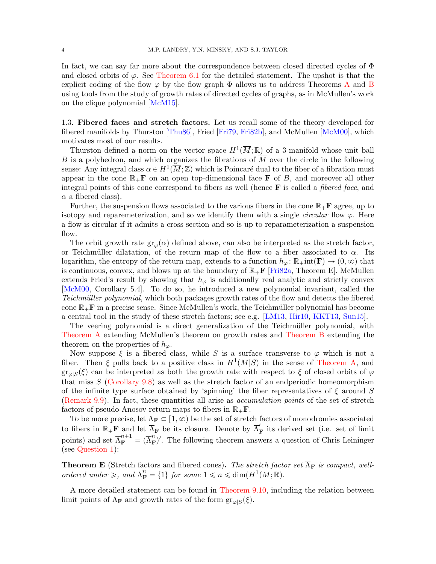In fact, we can say far more about the correspondence between closed directed cycles of Φ and closed orbits of  $\varphi$ . See [Theorem 6.1](#page-41-1) for the detailed statement. The upshot is that the explicit coding of the flow  $\varphi$  by the flow graph  $\Phi$  allows us to address Theorems [A](#page-1-1) and [B](#page-2-0) using tools from the study of growth rates of directed cycles of graphs, as in McMullen's work on the clique polynomial [\[McM15\]](#page-72-1).

1.3. Fibered faces and stretch factors. Let us recall some of the theory developed for fibered manifolds by Thurston [\[Thu86\]](#page-72-2), Fried [\[Fri79,](#page-71-2) [Fri82b\]](#page-71-3), and McMullen [\[McM00\]](#page-72-3), which motivates most of our results.

Thurston defined a norm on the vector space  $H^1(\overline{M};\mathbb{R})$  of a 3-manifold whose unit ball B is a polyhedron, and which organizes the fibrations of  $\overline{M}$  over the circle in the following sense: Any integral class  $\alpha \in H^1(\overline{M}; \mathbb{Z})$  which is Poincaré dual to the fiber of a fibration must appear in the cone  $\mathbb{R}_+$ **F** on an open top-dimensional face **F** of B, and moreover all other integral points of this cone correspond to fibers as well (hence  $\bf{F}$  is called a *fibered face*, and  $\alpha$  a fibered class).

Further, the suspension flows associated to the various fibers in the cone  $\mathbb{R}_+$ **F** agree, up to isotopy and reparemeterization, and so we identify them with a single *circular* flow  $\varphi$ . Here a flow is circular if it admits a cross section and so is up to reparameterization a suspension flow.

The orbit growth rate  $gr_{\varphi}(\alpha)$  defined above, can also be interpreted as the stretch factor, or Teichmüller dilatation, of the return map of the flow to a fiber associated to  $\alpha$ . Its logarithm, the entropy of the return map, extends to a function  $h_{\varphi} : \mathbb{R}_+$ int $(\mathbf{F}) \to (0, \infty)$  that is continuous, convex, and blows up at the boundary of  $\mathbb{R}_+$  [\[Fri82a,](#page-71-4) Theorem E]. McMullen extends Fried's result by showing that  $h_{\varphi}$  is additionally real analytic and strictly convex [\[McM00,](#page-72-3) Corollary 5.4]. To do so, he introduced a new polynomial invariant, called the Teichmüller polynomial, which both packages growth rates of the flow and detects the fibered cone  $\mathbb{R}_+$ **F** in a precise sense. Since McMullen's work, the Teichmüller polynomial has become a central tool in the study of these stretch factors; see e.g. [\[LM13,](#page-72-4) [Hir10,](#page-71-5) [KKT13,](#page-71-6) [Sun15\]](#page-72-5).

The veering polynomial is a direct generalization of the Teichmüller polynomial, with [Theorem A](#page-1-1) extending McMullen's theorem on growth rates and [Theorem B](#page-2-0) extending the theorem on the properties of  $h_{\varphi}$ .

Now suppose  $\xi$  is a fibered class, while S is a surface transverse to  $\varphi$  which is not a fiber. Then  $\xi$  pulls back to a positive class in  $H^1(M|S)$  in the sense of [Theorem A,](#page-1-1) and  $gr_{\varphi|S}(\xi)$  can be interpreted as both the growth rate with respect to  $\xi$  of closed orbits of  $\varphi$ that miss  $S$  [\(Corollary 9.8\)](#page-67-0) as well as the stretch factor of an endperiodic homeomorphism of the infinite type surface obtained by 'spinning' the fiber representatives of  $\xi$  around S [\(Remark 9.9\)](#page-67-1). In fact, these quantities all arise as accumulation points of the set of stretch factors of pseudo-Anosov return maps to fibers in  $\mathbb{R}_+$ **F**.

To be more precise, let  $\Lambda_F \subset [1, \infty)$  be the set of stretch factors of monodromies associated to fibers in  $\mathbb{R}_+$ **F** and let  $\overline{\Lambda}_F$  be its closure. Denote by  $\overline{\Lambda}'_F$  its derived set (i.e. set of limit points) and set  $\overline{\Lambda}_{\mathbf{F}}^{n+1} = (\overline{\Lambda}_{\mathbf{F}}^{n})'$ . The following theorem answers a question of Chris Leininger (see [Question 1\)](#page-67-2):

<span id="page-3-0"></span>**Theorem E** (Stretch factors and fibered cones). The stretch factor set  $\overline{\Lambda}_{\mathbf{F}}$  is compact, wellordered under  $\geq$ , and  $\overline{\Lambda}_{\mathbf{F}}^n = \{1\}$  for some  $1 \leq n \leq \dim(H^1(M;\mathbb{R}))$ .

A more detailed statement can be found in [Theorem 9.10,](#page-68-0) including the relation between limit points of  $\Lambda_{\mathbf{F}}$  and growth rates of the form  $gr_{\varphi|S}(\xi)$ .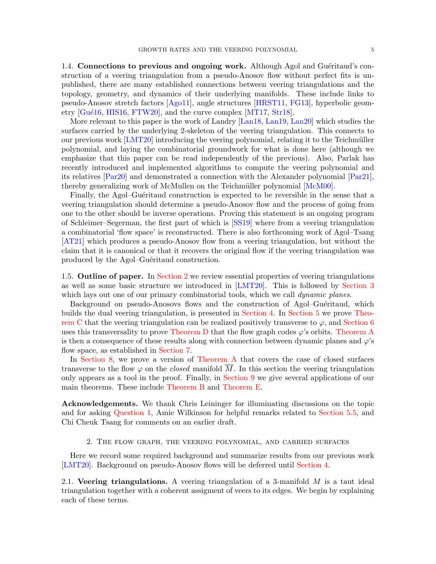1.4. Connections to previous and ongoing work. Although Agol and Guéritaud's construction of a veering triangulation from a pseudo-Anosov flow without perfect fits is unpublished, there are many established connections between veering triangulations and the topology, geometry, and dynamics of their underlying manifolds. These include links to pseudo-Anosov stretch factors [\[Ago11\]](#page-71-7), angle structures [\[HRST11,](#page-71-8) [FG13\]](#page-71-9), hyperbolic geometry  $[Gu\acute{e}16, HIS16, FTW20]$  $[Gu\acute{e}16, HIS16, FTW20]$  $[Gu\acute{e}16, HIS16, FTW20]$  $[Gu\acute{e}16, HIS16, FTW20]$ , and the curve complex  $[MT17, Str18]$  $[MT17, Str18]$ .

More relevant to this paper is the work of Landry [\[Lan18,](#page-71-13) [Lan19,](#page-71-14) [Lan20\]](#page-72-8) which studies the surfaces carried by the underlying 2-skeleton of the veering triangulation. This connects to our previous work  $[LMT20]$  introducing the veering polynomial, relating it to the Teichmüller polynomial, and laying the combinatorial groundwork for what is done here (although we emphasize that this paper can be read independently of the previous). Also, Parlak has recently introduced and implemented algorithms to compute the veering polynomial and its relatives [\[Par20\]](#page-72-9) and demonstrated a connection with the Alexander polynomial [\[Par21\]](#page-72-10), thereby generalizing work of McMullen on the Teichmüller polynomial [\[McM00\]](#page-72-3).

Finally, the Agol–Guéritaud construction is expected to be reversible in the sense that a veering triangulation should determine a pseudo-Anosov flow and the process of going from one to the other should be inverse operations. Proving this statement is an ongoing program of Schleimer–Segerman, the first part of which is [\[SS19\]](#page-72-11) where from a veering triangulation a combinatorial 'flow space' is reconstructed. There is also forthcoming work of Agol–Tsang [\[AT21\]](#page-71-15) which produces a pseudo-Anosov flow from a veering triangulation, but without the claim that it is canonical or that it recovers the original flow if the veering triangulation was produced by the Agol–Guéritaud construction.

1.5. Outline of paper. In [Section 2](#page-4-0) we review essential properties of veering triangulations as well as some basic structure we introduced in [\[LMT20\]](#page-72-0). This is followed by [Section 3](#page-9-0) which lays out one of our primary combinatorial tools, which we call *dynamic planes*.

Background on pseudo-Anosovs flows and the construction of Agol–Guéritaud, which builds the dual veering triangulation, is presented in [Section 4.](#page-20-0) In [Section 5](#page-26-0) we prove [Theo](#page-2-1)[rem C](#page-2-1) that the veering triangulation can be realized positively transverse to  $\varphi$ , and [Section 6](#page-41-0) uses this transversality to prove [Theorem D](#page-2-2) that the flow graph codes  $\varphi$ 's orbits. [Theorem A](#page-1-1) is then a consequence of these results along with connection between dynamic planes and  $\varphi$ 's flow space, as established in [Section 7.](#page-53-0)

In [Section 8,](#page-57-0) we prove a version of [Theorem A](#page-1-1) that covers the case of closed surfaces transverse to the flow  $\varphi$  on the *closed* manifold  $\overline{M}$ . In this section the veering triangulation only appears as a tool in the proof. Finally, in [Section 9](#page-61-0) we give several applications of our main theorems. These include [Theorem B](#page-2-0) and [Theorem E.](#page-3-0)

Acknowledgements. We thank Chris Leininger for illuminating discussions on the topic and for asking [Question 1,](#page-67-2) Amie Wilkinson for helpful remarks related to [Section 5.5,](#page-39-0) and Chi Cheuk Tsang for comments on an earlier draft.

## 2. The flow graph, the veering polynomial, and carried surfaces

<span id="page-4-0"></span>Here we record some required background and summarize results from our previous work [\[LMT20\]](#page-72-0). Background on pseudo-Anosov flows will be deferred until [Section 4.](#page-20-0)

2.1. Veering triangulations. A veering triangulation of a 3-manifold  $M$  is a taut ideal triangulation together with a coherent assigment of veers to its edges. We begin by explaining each of these terms.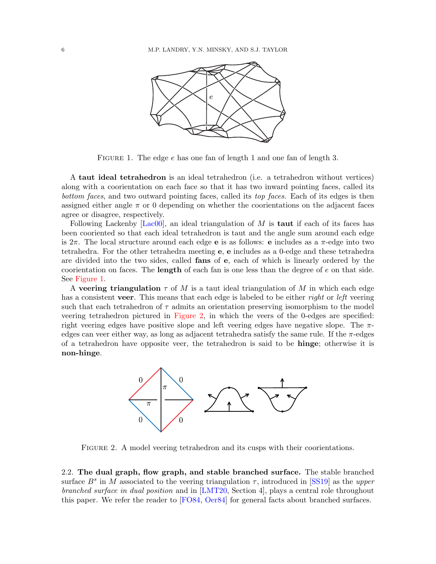

<span id="page-5-0"></span>FIGURE 1. The edge e has one fan of length 1 and one fan of length 3.

A taut ideal tetrahedron is an ideal tetrahedron (i.e. a tetrahedron without vertices) along with a coorientation on each face so that it has two inward pointing faces, called its bottom faces, and two outward pointing faces, called its top faces. Each of its edges is then assigned either angle  $\pi$  or 0 depending on whether the coorientations on the adjacent faces agree or disagree, respectively.

Following Lackenby  $[Lac00]$ , an ideal triangulation of M is **taut** if each of its faces has been cooriented so that each ideal tetrahedron is taut and the angle sum around each edge is  $2\pi$ . The local structure around each edge **e** is as follows: **e** includes as a  $\pi$ -edge into two tetrahedra. For the other tetrahedra meeting e, e includes as a 0-edge and these tetrahedra are divided into the two sides, called fans of e, each of which is linearly ordered by the coorientation on faces. The length of each fan is one less than the degree of e on that side. See [Figure 1.](#page-5-0)

A veering triangulation  $\tau$  of M is a taut ideal triangulation of M in which each edge has a consistent veer. This means that each edge is labeled to be either *right* or *left* veering such that each tetrahedron of  $\tau$  admits an orientation preserving isomorphism to the model veering tetrahedron pictured in [Figure 2,](#page-5-1) in which the veers of the 0-edges are specified: right veering edges have positive slope and left veering edges have negative slope. The  $\pi$ edges can veer either way, as long as adjacent tetrahedra satisfy the same rule. If the  $\pi$ -edges of a tetrahedron have opposite veer, the tetrahedron is said to be hinge; otherwise it is non-hinge.



<span id="page-5-1"></span>Figure 2. A model veering tetrahedron and its cusps with their coorientations.

2.2. The dual graph, flow graph, and stable branched surface. The stable branched surface  $B^s$  in M associated to the veering triangulation  $\tau$ , introduced in [\[SS19\]](#page-72-11) as the upper branched surface in dual position and in [\[LMT20,](#page-72-0) Section 4], plays a central role throughout this paper. We refer the reader to [\[FO84,](#page-71-17) [Oer84\]](#page-72-12) for general facts about branched surfaces.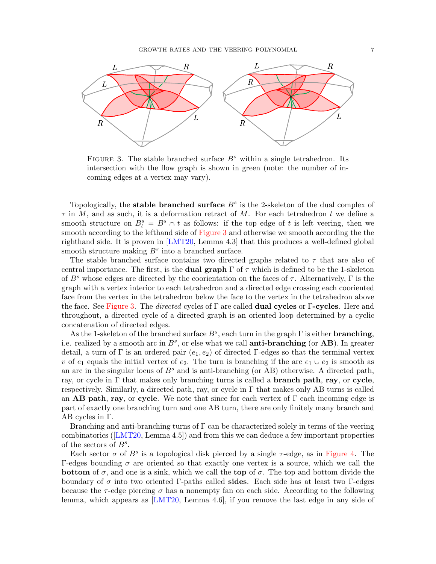

<span id="page-6-0"></span>FIGURE 3. The stable branched surface  $B^s$  within a single tetrahedron. Its intersection with the flow graph is shown in green (note: the number of incoming edges at a vertex may vary).

Topologically, the stable branched surface  $B<sup>s</sup>$  is the 2-skeleton of the dual complex of  $\tau$  in M, and as such, it is a deformation retract of M. For each tetrahedron t we define a smooth structure on  $B_t^s = B^s \cap t$  as follows: if the top edge of t is left veering, then we smooth according to the lefthand side of [Figure 3](#page-6-0) and otherwise we smooth according the the righthand side. It is proven in [\[LMT20,](#page-72-0) Lemma 4.3] that this produces a well-defined global smooth structure making  $B<sup>s</sup>$  into a branched surface.

The stable branched surface contains two directed graphs related to  $\tau$  that are also of central importance. The first, is the **dual graph**  $\Gamma$  of  $\tau$  which is defined to be the 1-skeleton of  $B^s$  whose edges are directed by the coorientation on the faces of  $\tau$ . Alternatively, Γ is the graph with a vertex interior to each tetrahedron and a directed edge crossing each cooriented face from the vertex in the tetrahedron below the face to the vertex in the tetrahedron above the face. See [Figure 3.](#page-6-0) The directed cycles of Γ are called dual cycles or Γ-cycles. Here and throughout, a directed cycle of a directed graph is an oriented loop determined by a cyclic concatenation of directed edges.

As the 1-skeleton of the branched surface  $B^s$ , each turn in the graph  $\Gamma$  is either **branching**, i.e. realized by a smooth arc in  $B^s$ , or else what we call **anti-branching** (or **AB**). In greater detail, a turn of Γ is an ordered pair  $(e_1, e_2)$  of directed Γ-edges so that the terminal vertex v of  $e_1$  equals the initial vertex of  $e_2$ . The turn is branching if the arc  $e_1 \cup e_2$  is smooth as an arc in the singular locus of  $B^s$  and is anti-branching (or AB) otherwise. A directed path, ray, or cycle in  $\Gamma$  that makes only branching turns is called a **branch path**, ray, or cycle, respectively. Similarly, a directed path, ray, or cycle in  $\Gamma$  that makes only AB turns is called an AB path, ray, or cycle. We note that since for each vertex of  $\Gamma$  each incoming edge is part of exactly one branching turn and one AB turn, there are only finitely many branch and AB cycles in Γ.

Branching and anti-branching turns of  $\Gamma$  can be characterized solely in terms of the veering combinatorics([\[LMT20,](#page-72-0) Lemma 4.5]) and from this we can deduce a few important properties of the sectors of  $B^s$ .

Each sector  $\sigma$  of  $B^s$  is a topological disk pierced by a single  $\tau$ -edge, as in [Figure 4.](#page-7-1) The Γ-edges bounding  $\sigma$  are oriented so that exactly one vertex is a source, which we call the **bottom** of  $\sigma$ , and one is a sink, which we call the **top** of  $\sigma$ . The top and bottom divide the boundary of  $\sigma$  into two oriented Γ-paths called **sides**. Each side has at least two Γ-edges because the  $\tau$ -edge piercing  $\sigma$  has a nonempty fan on each side. According to the following lemma, which appears as [\[LMT20,](#page-72-0) Lemma 4.6], if you remove the last edge in any side of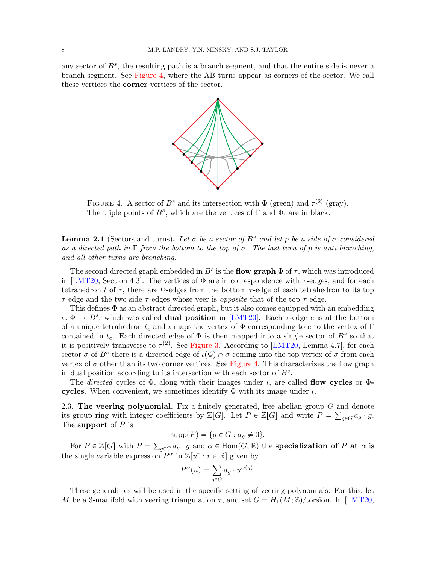any sector of  $B^s$ , the resulting path is a branch segment, and that the entire side is never a branch segment. See [Figure 4,](#page-7-1) where the AB turns appear as corners of the sector. We call these vertices the corner vertices of the sector.



<span id="page-7-1"></span>FIGURE 4. A sector of  $B^s$  and its intersection with  $\Phi$  (green) and  $\tau^{(2)}$  (gray). The triple points of  $B^s$ , which are the vertices of  $\Gamma$  and  $\Phi$ , are in black.

**Lemma 2.1** (Sectors and turns). Let  $\sigma$  be a sector of  $B^s$  and let p be a side of  $\sigma$  considered as a directed path in  $\Gamma$  from the bottom to the top of  $\sigma$ . The last turn of p is anti-branching, and all other turns are branching.

The second directed graph embedded in  $B^s$  is the **flow graph**  $\Phi$  of  $\tau$ , which was introduced in [\[LMT20,](#page-72-0) Section 4.3]. The vertices of  $\Phi$  are in correspondence with  $\tau$ -edges, and for each tetrahedron t of  $\tau$ , there are  $\Phi$ -edges from the bottom  $\tau$ -edge of each tetrahedron to its top  $\tau$ -edge and the two side  $\tau$ -edges whose veer is *opposite* that of the top  $\tau$ -edge.

This defines  $\Phi$  as an abstract directed graph, but it also comes equipped with an embedding  $\iota: \Phi \to B^s$ , which was called **dual position** in [\[LMT20\]](#page-72-0). Each  $\tau$ -edge e is at the bottom of a unique tetrahedron  $t_e$  and  $\iota$  maps the vertex of  $\Phi$  corresponding to e to the vertex of Γ contained in  $t_e$ . Each directed edge of  $\Phi$  is then mapped into a single sector of  $B^s$  so that it is positively transverse to  $\tau^{(2)}$ . See [Figure 3.](#page-6-0) According to [\[LMT20,](#page-72-0) Lemma 4.7], for each sector  $\sigma$  of  $B^s$  there is a directed edge of  $\iota(\Phi) \cap \sigma$  coming into the top vertex of  $\sigma$  from each vertex of  $\sigma$  other than its two corner vertices. See [Figure 4.](#page-7-1) This characterizes the flow graph in dual position according to its intersection with each sector of  $B<sup>s</sup>$ .

The directed cycles of  $\Phi$ , along with their images under  $\iota$ , are called **flow cycles** or  $\Phi$ cycles. When convenient, we sometimes identify  $\Phi$  with its image under  $\iota$ .

<span id="page-7-0"></span>2.3. The veering polynomial. Fix a finitely generated, free abelian group  $G$  and denote its group ring with integer coefficients by  $\mathbb{Z}[G]$ . Let  $P \in \mathbb{Z}[G]$  and write  $P = \sum_{g \in G} a_g \cdot g$ . The support of  $P$  is

$$
supp(P) = \{ g \in G : a_g \neq 0 \}.
$$

For  $P \in \mathbb{Z}[G]$  with  $P =$  $_{g\in G}\alpha_g\cdot g$  and  $\alpha\in\mathrm{Hom}(G,\mathbb{R})$  the specialization of P at  $\alpha$  is the single variable expression  $P^{\alpha}$  in  $\mathbb{Z}[u^r : r \in \mathbb{R}]$  given by

$$
P^{\alpha}(u) = \sum_{g \in G} a_g \cdot u^{\alpha(g)}.
$$

These generalities will be used in the specific setting of veering polynomials. For this, let M be a 3-manifold with veering triangulation  $\tau$ , and set  $G = H_1(M; \mathbb{Z})$ /torsion. In [\[LMT20,](#page-72-0)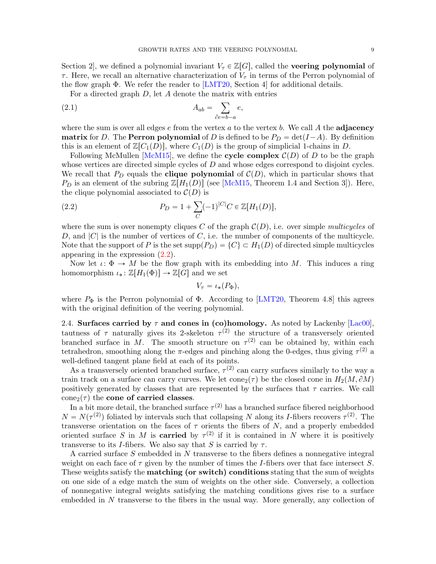Section 2, we defined a polynomial invariant  $V_\tau \in \mathbb{Z}[G]$ , called the **veering polynomial** of  $\tau$ . Here, we recall an alternative characterization of  $V_{\tau}$  in terms of the Perron polynomial of the flow graph  $\Phi$ . We refer the reader to [\[LMT20,](#page-72-0) Section 4] for additional details.

For a directed graph  $D$ , let  $A$  denote the matrix with entries

$$
A_{ab} = \sum_{\partial e = b - a} e,
$$

where the sum is over all edges  $e$  from the vertex  $a$  to the vertex  $b$ . We call  $A$  the **adjacency** matrix for D. The Perron polynomial of D is defined to be  $P_D = \det(I - A)$ . By definition this is an element of  $\mathbb{Z}[C_1(D)]$ , where  $C_1(D)$  is the group of simplicial 1-chains in D.

Following McMullen [\[McM15\]](#page-72-1), we define the cycle complex  $\mathcal{C}(D)$  of D to be the graph whose vertices are directed simple cycles of D and whose edges correspond to disjoint cycles. We recall that  $P_D$  equals the **clique polynomial** of  $\mathcal{C}(D)$ , which in particular shows that  $P_D$  is an element of the subring  $\mathbb{Z}[H_1(D)]$  (see [\[McM15,](#page-72-1) Theorem 1.4 and Section 3]). Here, the clique polynomial associated to  $\mathcal{C}(D)$  is

(2.2) 
$$
P_D = 1 + \sum_C (-1)^{|C|} C \in \mathbb{Z}[H_1(D)],
$$

where the sum is over nonempty cliques C of the graph  $\mathcal{C}(D)$ , i.e. over simple multicycles of D, and  $|C|$  is the number of vertices of C, i.e. the number of components of the multicycle. Note that the support of P is the set  $\text{supp}(P_D) = \{C\} \subset H_1(D)$  of directed simple multicycles appearing in the expression [\(2.2\)](#page-8-0).

Now let  $\iota: \Phi \to M$  be the flow graph with its embedding into M. This induces a ring homomorphism  $\iota_* : \mathbb{Z}[H_1(\Phi)] \to \mathbb{Z}[G]$  and we set

<span id="page-8-0"></span>
$$
V_{\tau} = \iota_*(P_{\Phi}),
$$

where  $P_{\Phi}$  is the Perron polynomial of  $\Phi$ . According to [\[LMT20,](#page-72-0) Theorem 4.8] this agrees with the original definition of the veering polynomial.

2.4. Surfaces carried by  $\tau$  and cones in (co)homology. As noted by Lackenby [\[Lac00\]](#page-71-16), tautness of  $\tau$  naturally gives its 2-skeleton  $\tau^{(2)}$  the structure of a transversely oriented branched surface in M. The smooth structure on  $\tau^{(2)}$  can be obtained by, within each tetrahedron, smoothing along the  $\pi$ -edges and pinching along the 0-edges, thus giving  $\tau^{(2)}$  a well-defined tangent plane field at each of its points.

As a transversely oriented branched surface,  $\tau^{(2)}$  can carry surfaces similarly to the way a train track on a surface can carry curves. We let  $cone_2(\tau)$  be the closed cone in  $H_2(M, \partial M)$ positively generated by classes that are represented by the surfaces that  $\tau$  carries. We call cone<sub>2</sub>( $\tau$ ) the **cone of carried classes**.

In a bit more detail, the branched surface  $\tau^{(2)}$  has a branched surface fibered neighborhood  $N = N(\tau^{(2)})$  foliated by intervals such that collapsing N along its I-fibers recovers  $\tau^{(2)}$ . The transverse orientation on the faces of  $\tau$  orients the fibers of N, and a properly embedded oriented surface S in M is **carried** by  $\tau^{(2)}$  if it is contained in N where it is positively transverse to its I-fibers. We also say that S is carried by  $\tau$ .

A carried surface S embedded in N transverse to the fibers defines a nonnegative integral weight on each face of  $\tau$  given by the number of times the *I*-fibers over that face intersect *S*. These weights satisfy the matching (or switch) conditions stating that the sum of weights on one side of a edge match the sum of weights on the other side. Conversely, a collection of nonnegative integral weights satisfying the matching conditions gives rise to a surface embedded in N transverse to the fibers in the usual way. More generally, any collection of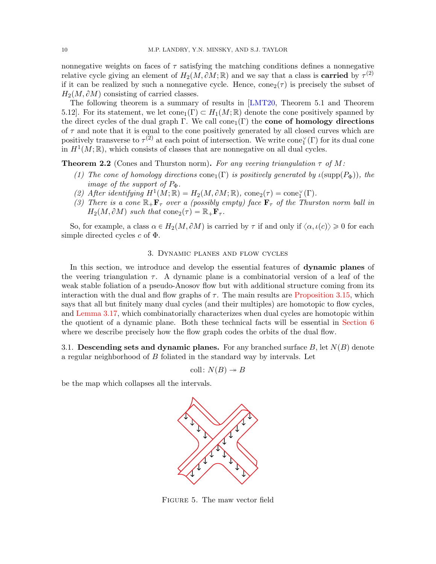nonnegative weights on faces of  $\tau$  satisfying the matching conditions defines a nonnegative relative cycle giving an element of  $H_2(M, \partial M; \mathbb{R})$  and we say that a class is **carried** by  $\tau^{(2)}$ if it can be realized by such a nonnegative cycle. Hence,  $cone_2(\tau)$  is precisely the subset of  $H_2(M, \partial M)$  consisting of carried classes.

The following theorem is a summary of results in [\[LMT20,](#page-72-0) Theorem 5.1 and Theorem 5.12]. For its statement, we let  $cone_1(\Gamma) \subset H_1(M; \mathbb{R})$  denote the cone positively spanned by the direct cycles of the dual graph Γ. We call cone<sub>1</sub>(Γ) the **cone of homology directions** of  $\tau$  and note that it is equal to the cone positively generated by all closed curves which are positively transverse to  $\tau^{(2)}$  at each point of intersection. We write cone<sub>1</sub><sup>'</sup>( $\Gamma$ ) for its dual cone in  $H^1(M;\mathbb{R})$ , which consists of classes that are nonnegative on all dual cycles.

<span id="page-9-1"></span>**Theorem 2.2** (Cones and Thurston norm). For any veering triangulation  $\tau$  of M:

- (1) The cone of homology directions cone<sub>1</sub> $(\Gamma)$  is positively generated by  $\iota(\text{supp}(P_{\Phi}))$ , the image of the support of  $P_{\Phi}$ .
- (2) After identifying  $H^1(M; \mathbb{R}) = H_2(M, \partial M; \mathbb{R})$ , cone<sub>2</sub>( $\tau$ ) = cone<sub>1</sub><sup>'</sup>( $\Gamma$ ).
- (3) There is a cone  $\mathbb{R}_+$ **F**<sub>T</sub> over a (possibly empty) face **F**<sub>T</sub> of the Thurston norm ball in  $H_2(M, \partial M)$  such that cone  $(\tau) = \mathbb{R}_+ \mathbf{F}_{\tau}$ .

So, for example, a class  $\alpha \in H_2(M, \partial M)$  is carried by  $\tau$  if and only if  $\langle \alpha, \iota(c) \rangle \geq 0$  for each simple directed cycles  $c$  of  $\Phi$ .

#### 3. Dynamic planes and flow cycles

<span id="page-9-0"></span>In this section, we introduce and develop the essential features of dynamic planes of the veering triangulation  $\tau$ . A dynamic plane is a combinatorial version of a leaf of the weak stable foliation of a pseudo-Anosov flow but with additional structure coming from its interaction with the dual and flow graphs of  $\tau$ . The main results are [Proposition 3.15,](#page-17-0) which says that all but finitely many dual cycles (and their multiples) are homotopic to flow cycles, and [Lemma 3.17,](#page-19-0) which combinatorially characterizes when dual cycles are homotopic within the quotient of a dynamic plane. Both these technical facts will be essential in [Section 6](#page-41-0) where we describe precisely how the flow graph codes the orbits of the dual flow.

3.1. Descending sets and dynamic planes. For any branched surface B, let  $N(B)$  denote a regular neighborhood of B foliated in the standard way by intervals. Let

coll:  $N(B) \rightarrow B$ 

be the map which collapses all the intervals.



<span id="page-9-2"></span>Figure 5. The maw vector field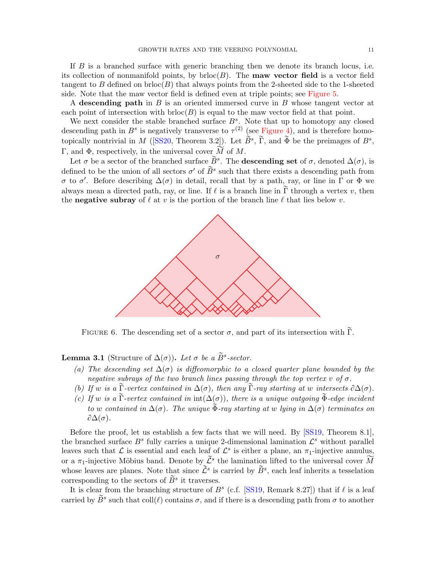If B is a branched surface with generic branching then we denote its branch locus, i.e. its collection of nonmanifold points, by  $bchoose(B)$ . The **maw vector field** is a vector field tangent to B defined on brloc $(B)$  that always points from the 2-sheeted side to the 1-sheeted side. Note that the maw vector field is defined even at triple points; see [Figure 5.](#page-9-2)

A descending path in  $B$  is an oriented immersed curve in  $B$  whose tangent vector at each point of intersection with  $bchoose(B)$  is equal to the maw vector field at that point.

We next consider the stable branched surface  $B^s$ . Note that up to homotopy any closed descending path in  $B^s$  is negatively transverse to  $\tau^{(2)}$  (see [Figure 4\)](#page-7-1), and is therefore homo-topically nontrivial in M ([\[SS20,](#page-72-13) Theorem 3.2]). Let  $\tilde{B}^s$ ,  $\tilde{\Gamma}$ , and  $\tilde{\Phi}$  be the preimages of  $B^s$ , Γ, and Φ, respectively, in the universal cover  $\widetilde{M}$  of M.

Let  $\sigma$  be a sector of the branched surface  $\widetilde{B}^s$ . The **descending set** of  $\sigma$ , denoted  $\Delta(\sigma)$ , is defined to be the union of all sectors  $\sigma'$  of  $\tilde{B}^s$  such that there exists a descending path from σ to σ'. Before describing  $\Delta(\sigma)$  in detail, recall that by a path, ray, or line in Γ or Φ we always mean a directed path, ray, or line. If  $\ell$  is a branch line in  $\tilde{\Gamma}$  through a vertex v, then the **negative subray** of  $\ell$  at v is the portion of the branch line  $\ell$  that lies below v.



<span id="page-10-0"></span>FIGURE 6. The descending set of a sector  $\sigma$ , and part of its intersection with  $\Gamma$ .

<span id="page-10-1"></span>**Lemma 3.1** (Structure of  $\Delta(\sigma)$ ). Let  $\sigma$  be a  $\widetilde{B}^s\text{-sector.}$ 

- (a) The descending set  $\Delta(\sigma)$  is diffeomorphic to a closed quarter plane bounded by the negative subrays of the two branch lines passing through the top vertex v of  $\sigma$ .
- (b) If w is a  $\widetilde{\Gamma}$ -vertex contained in  $\Delta(\sigma)$ , then any  $\widetilde{\Gamma}$ -ray starting at w intersects  $\partial \Delta(\sigma)$ .
- (c) If w is a  $\widetilde{\Gamma}$ -vertex contained in  $\text{int}(\Delta(\sigma))$ , there is a unique outgoing  $\widetilde{\Phi}$ -edge incident to w contained in  $\Delta(\sigma)$ . The unique  $\bar{\Phi}$ -ray starting at w lying in  $\Delta(\sigma)$  terminates on  $\partial \Delta(\sigma)$ .

Before the proof, let us establish a few facts that we will need. By [\[SS19,](#page-72-11) Theorem 8.1], the branched surface  $B^s$  fully carries a unique 2-dimensional lamination  $\mathcal{L}^s$  without parallel leaves such that  $\mathcal L$  is essential and each leaf of  $\mathcal L^s$  is either a plane, an  $\pi_1$ -injective annulus, or a  $\pi_1$ -injective Möbius band. Denote by  $\widetilde{\mathcal{L}}^s$  the lamination lifted to the universal cover  $\widetilde{M}$ whose leaves are planes. Note that since  $\tilde{\mathcal{L}}^s$  is carried by  $\tilde{B}^s$ , each leaf inherits a tesselation corresponding to the sectors of  $\widetilde{B}^s$  it traverses.

It is clear from the branching structure of  $B^s$  (c.f. [\[SS19,](#page-72-11) Remark 8.27]) that if  $\ell$  is a leaf carried by  $\widetilde{B}^s$  such that  $\text{coll}(\ell)$  contains  $\sigma$ , and if there is a descending path from  $\sigma$  to another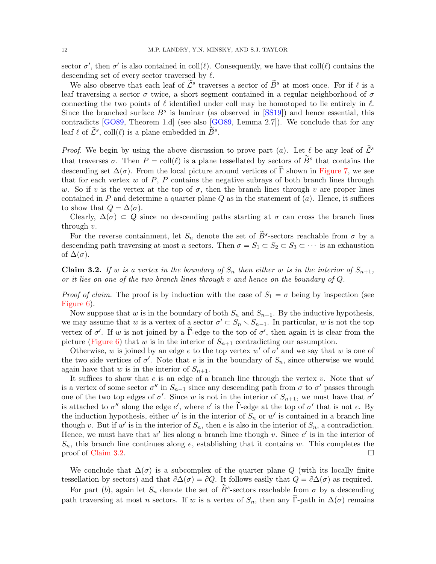sector  $\sigma'$ , then  $\sigma'$  is also contained in coll $(\ell)$ . Consequently, we have that coll $(\ell)$  contains the descending set of every sector traversed by  $\ell$ .

We also observe that each leaf of  $\tilde{\mathcal{L}}^s$  traverses a sector of  $\tilde{B}^s$  at most once. For if  $\ell$  is a leaf traversing a sector  $\sigma$  twice, a short segment contained in a regular neighborhood of  $\sigma$ connecting the two points of  $\ell$  identified under coll may be homotoped to lie entirely in  $\ell$ . Since the branched surface  $B^s$  is laminar (as observed in  $[SS19]$ ) and hence essential, this contradicts [\[GO89,](#page-71-18) Theorem 1.d] (see also [\[GO89,](#page-71-18) Lemma 2.7]). We conclude that for any leaf  $\ell$  of  $\tilde{\mathcal{L}}^s$ , coll $(\ell)$  is a plane embedded in  $\tilde{B}^s$ .

*Proof.* We begin by using the above discussion to prove part (a). Let  $\ell$  be any leaf of  $\tilde{\mathcal{L}}^s$ that traverses  $\sigma$ . Then  $P = \text{coll}(\ell)$  is a plane tessellated by sectors of  $\tilde{B}^s$  that contains the descending set  $\Delta(\sigma)$ . From the local picture around vertices of  $\tilde{\Gamma}$  shown in [Figure 7,](#page-12-0) we see that for each vertex  $w$  of  $P$ ,  $P$  contains the negative subrays of both branch lines through w. So if v is the vertex at the top of  $\sigma$ , then the branch lines through v are proper lines contained in P and determine a quarter plane  $Q$  as in the statement of  $(a)$ . Hence, it suffices to show that  $Q = \Delta(\sigma)$ .

Clearly,  $\Delta(\sigma) \subset Q$  since no descending paths starting at  $\sigma$  can cross the branch lines through v.

For the reverse containment, let  $S_n$  denote the set of  $\tilde{B}^s$ -sectors reachable from  $\sigma$  by a descending path traversing at most n sectors. Then  $\sigma = S_1 \subset S_2 \subset S_3 \subset \cdots$  is an exhaustion of  $\Delta(\sigma)$ .

<span id="page-11-0"></span>**Claim 3.2.** If w is a vertex in the boundary of  $S_n$  then either w is in the interior of  $S_{n+1}$ , or it lies on one of the two branch lines through  $v$  and hence on the boundary of  $Q$ .

*Proof of claim.* The proof is by induction with the case of  $S_1 = \sigma$  being by inspection (see [Figure 6\)](#page-10-0).

Now suppose that w is in the boundary of both  $S_n$  and  $S_{n+1}$ . By the inductive hypothesis, we may assume that w is a vertex of a sector  $\sigma' \subset S_n \setminus S_{n-1}$ . In particular, w is not the top vertex of  $\sigma'$ . If w is not joined by a  $\tilde{\Gamma}$ -edge to the top of  $\sigma'$ , then again it is clear from the picture [\(Figure 6\)](#page-10-0) that w is in the interior of  $S_{n+1}$  contradicting our assumption.

Otherwise, w is joined by an edge e to the top vertex w' of  $\sigma'$  and we say that w is one of the two side vertices of  $\sigma'$ . Note that e is in the boundary of  $S_n$ , since otherwise we would again have that w is in the interior of  $S_{n+1}$ .

It suffices to show that  $e$  is an edge of a branch line through the vertex  $v$ . Note that  $w'$ is a vertex of some sector  $\sigma''$  in  $S_{n-1}$  since any descending path from  $\sigma$  to  $\sigma'$  passes through one of the two top edges of  $\sigma'$ . Since w is not in the interior of  $S_{n+1}$ , we must have that  $\sigma'$ is attached to  $\sigma''$  along the edge e', where e' is the  $\tilde{\Gamma}$ -edge at the top of  $\sigma'$  that is not e. By the induction hypothesis, either  $w'$  is in the interior of  $S_n$  or  $w'$  is contained in a branch line though v. But if w' is in the interior of  $S_n$ , then e is also in the interior of  $S_n$ , a contradiction. Hence, we must have that  $w'$  lies along a branch line though v. Since  $e'$  is in the interior of  $S_n$ , this branch line continues along e, establishing that it contains w. This completes the proof of [Claim 3.2.](#page-11-0)

We conclude that  $\Delta(\sigma)$  is a subcomplex of the quarter plane Q (with its locally finite tessellation by sectors) and that  $\partial \Delta(\sigma) = \partial Q$ . It follows easily that  $Q = \partial \Delta(\sigma)$  as required.

For part (b), again let  $S_n$  denote the set of  $\tilde{B}^s$ -sectors reachable from  $\sigma$  by a descending path traversing at most n sectors. If w is a vertex of  $S_n$ , then any Γ-path in  $\Delta(\sigma)$  remains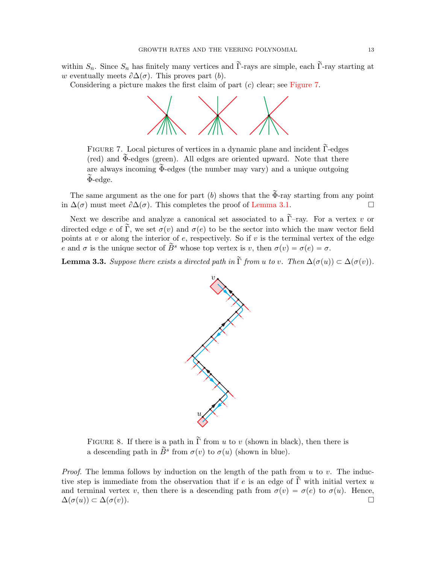within  $S_n$ . Since  $S_n$  has finitely many vertices and  $\tilde{\Gamma}$ -rays are simple, each  $\tilde{\Gamma}$ -ray starting at w eventually meets  $\partial \Delta(\sigma)$ . This proves part (b).

Considering a picture makes the first claim of part  $(c)$  clear; see [Figure 7.](#page-12-0)



<span id="page-12-0"></span>FIGURE 7. Local pictures of vertices in a dynamic plane and incident  $\tilde{\Gamma}$ -edges (red) and  $\widetilde{\Phi}$ -edges (green). All edges are oriented upward. Note that there are always incoming  $\widetilde{\Phi}$ -edges (the number may vary) and a unique outgoing  $\Phi$ -edge.

The same argument as the one for part (b) shows that the  $\tilde{\Phi}$ -ray starting from any point in  $\Delta(\sigma)$  must meet  $\partial \Delta(\sigma)$ . This completes the proof of [Lemma 3.1.](#page-10-1)

Next we describe and analyze a canonical set associated to a  $\widetilde{\Gamma}$ -ray. For a vertex v or directed edge e of  $\tilde{\Gamma}$ , we set  $\sigma(v)$  and  $\sigma(e)$  to be the sector into which the maw vector field points at  $v$  or along the interior of  $e$ , respectively. So if  $v$  is the terminal vertex of the edge e and  $\sigma$  is the unique sector of  $\widetilde{B}^s$  whose top vertex is v, then  $\sigma(v) = \sigma(e) = \sigma$ .

<span id="page-12-1"></span>**Lemma 3.3.** Suppose there exists a directed path in  $\tilde{\Gamma}$  from u to v. Then  $\Delta(\sigma(u)) \subset \Delta(\sigma(v))$ .



<span id="page-12-2"></span>FIGURE 8. If there is a path in  $\tilde{\Gamma}$  from u to v (shown in black), then there is a descending path in  $\tilde{B}^s$  from  $\sigma(v)$  to  $\sigma(u)$  (shown in blue).

*Proof.* The lemma follows by induction on the length of the path from  $u$  to  $v$ . The inductive step is immediate from the observation that if e is an edge of  $\tilde{\Gamma}$  with initial vertex u and terminal vertex v, then there is a descending path from  $\sigma(v) = \sigma(e)$  to  $\sigma(u)$ . Hence,  $\Delta(\sigma(u)) \subset \Delta(\sigma(v)).$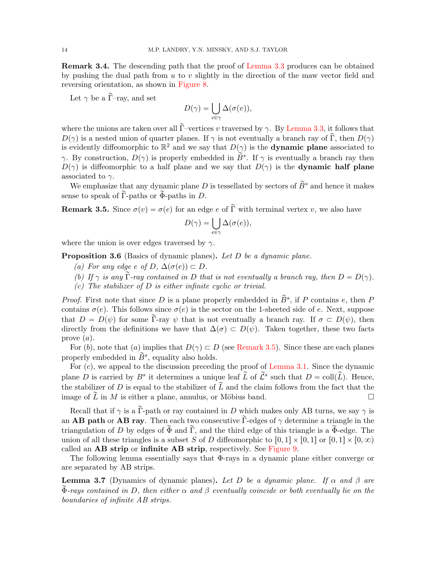Remark 3.4. The descending path that the proof of [Lemma 3.3](#page-12-1) produces can be obtained by pushing the dual path from  $u$  to  $v$  slightly in the direction of the maw vector field and reversing orientation, as shown in [Figure 8.](#page-12-2)

Let  $\gamma$  be a  $\tilde{\Gamma}$ -ray, and set

$$
D(\gamma) = \bigcup_{v \in \gamma} \Delta(\sigma(v)),
$$

where the unions are taken over all  $\tilde{\Gamma}$ -vertices v traversed by  $\gamma$ . By [Lemma 3.3,](#page-12-1) it follows that  $D(\gamma)$  is a nested union of quarter planes. If  $\gamma$  is not eventually a branch ray of  $\widetilde{\Gamma}$ , then  $D(\gamma)$ is evidently diffeomorphic to  $\mathbb{R}^2$  and we say that  $D(\gamma)$  is the **dynamic plane** associated to γ. By construction,  $D(\gamma)$  is properly embedded in  $\overleftrightarrow{B}^s$ . If  $\gamma$  is eventually a branch ray then  $D(\gamma)$  is diffeomorphic to a half plane and we say that  $D(\gamma)$  is the **dynamic half plane** associated to  $\gamma$ .

We emphasize that any dynamic plane D is tessellated by sectors of  $\widetilde{B}^s$  and hence it makes sense to speak of  $\tilde{\Gamma}$ -paths or  $\tilde{\Phi}$ -paths in D.

<span id="page-13-0"></span>**Remark 3.5.** Since  $\sigma(v) = \sigma(e)$  for an edge e of  $\tilde{\Gamma}$  with terminal vertex v, we also have

$$
D(\gamma) = \bigcup_{e \in \gamma} \Delta(\sigma(e)),
$$

where the union is over edges traversed by  $\gamma$ .

Proposition 3.6 (Basics of dynamic planes). Let D be a dynamic plane.

- (a) For any edge e of D,  $\Delta(\sigma(e)) \subset D$ .
- (b) If  $\gamma$  is any  $\tilde{\Gamma}$ -ray contained in D that is not eventually a branch ray, then  $D = D(\gamma)$ .
- $(c)$  The stabilizer of D is either infinite cyclic or trivial.

*Proof.* First note that since D is a plane properly embedded in  $\widetilde{B}^s$ , if P contains e, then P contains  $\sigma(e)$ . This follows since  $\sigma(e)$  is the sector on the 1-sheeted side of e. Next, suppose that  $D = D(\psi)$  for some  $\tilde{\Gamma}$ -ray  $\psi$  that is not eventually a branch ray. If  $\sigma \subset D(\psi)$ , then directly from the definitions we have that  $\Delta(\sigma) \subset D(\psi)$ . Taken together, these two facts prove  $(a)$ .

For (b), note that (a) implies that  $D(\gamma) \subset D$  (see [Remark 3.5\)](#page-13-0). Since these are each planes properly embedded in  $\widetilde{B}^s$ , equality also holds.

For  $(c)$ , we appeal to the discussion preceding the proof of [Lemma 3.1.](#page-10-1) Since the dynamic plane D is carried by  $B^s$  it determines a unique leaf  $\tilde{L}$  of  $\tilde{L}^s$  such that  $D = \text{coll}(\tilde{L})$ . Hence, the stabilizer of D is equal to the stabilizer of  $\tilde{L}$  and the claim follows from the fact that the image of  $\tilde{L}$  in M is either a plane, annulus, or Möbius band.

Recall that if  $\gamma$  is a  $\widetilde{\Gamma}$ -path or ray contained in D which makes only AB turns, we say  $\gamma$  is an **AB** path or **AB** ray. Then each two consecutive  $\tilde{\Gamma}$ -edges of  $\gamma$  determine a triangle in the triangulation of D by edges of  $\Phi$  and  $\Gamma$ , and the third edge of this triangle is a  $\Phi$ -edge. The union of all these triangles is a subset S of D diffeomorphic to  $[0, 1] \times [0, 1]$  or  $[0, 1] \times [0, \infty)$ called an AB strip or infinite AB strip, respectively. See [Figure 9.](#page-14-0)

The following lemma essentially says that Φ-rays in a dynamic plane either converge or are separated by AB strips.

<span id="page-13-1"></span>**Lemma 3.7** (Dynamics of dynamic planes). Let D be a dynamic plane. If  $\alpha$  and  $\beta$  are  $\Phi$ -rays contained in D, then either α and β eventually coincide or both eventually lie on the boundaries of infinite AB strips.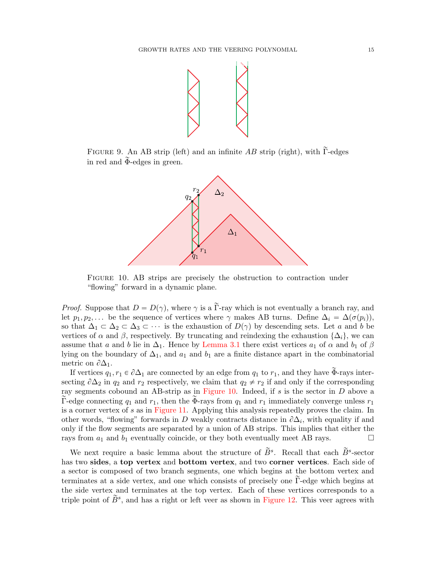

FIGURE 9. An AB strip (left) and an infinite  $AB$  strip (right), with  $\Gamma$ -edges in red and  $\widetilde{\Phi}$ -edges in green.

<span id="page-14-0"></span>

<span id="page-14-1"></span>Figure 10. AB strips are precisely the obstruction to contraction under "flowing" forward in a dynamic plane.

*Proof.* Suppose that  $D = D(\gamma)$ , where  $\gamma$  is a  $\tilde{\Gamma}$ -ray which is not eventually a branch ray, and let  $p_1, p_2, \ldots$  be the sequence of vertices where  $\gamma$  makes AB turns. Define  $\Delta_i = \Delta(\sigma(p_i)),$ so that  $\Delta_1 \subset \Delta_2 \subset \Delta_3 \subset \cdots$  is the exhaustion of  $D(\gamma)$  by descending sets. Let a and b be vertices of  $\alpha$  and  $\beta$ , respectively. By truncating and reindexing the exhaustion  $\{\Delta_i\}$ , we can assume that a and b lie in  $\Delta_1$ . Hence by [Lemma 3.1](#page-10-1) there exist vertices  $a_1$  of  $\alpha$  and  $b_1$  of  $\beta$ lying on the boundary of  $\Delta_1$ , and  $a_1$  and  $b_1$  are a finite distance apart in the combinatorial metric on  $\partial \Delta_1$ .

If vertices  $q_1, r_1 \in \partial \Delta_1$  are connected by an edge from  $q_1$  to  $r_1$ , and they have  $\Phi$ -rays intersecting  $\partial \Delta_2$  in  $q_2$  and  $r_2$  respectively, we claim that  $q_2 \neq r_2$  if and only if the corresponding ray segments cobound an AB-strip as in [Figure 10.](#page-14-1) Indeed, if  $s$  is the sector in  $D$  above a Γ-edge connecting  $q_1$  and  $r_1$ , then the Φ-rays from  $q_1$  and  $r_1$  immediately converge unless  $r_1$ is a corner vertex of s as in [Figure 11.](#page-15-0) Applying this analysis repeatedly proves the claim. In other words, "flowing" forwards in D weakly contracts distance in  $\partial \Delta_i$ , with equality if and only if the flow segments are separated by a union of AB strips. This implies that either the rays from  $a_1$  and  $b_1$  eventually coincide, or they both eventually meet AB rays.  $\square$ 

We next require a basic lemma about the structure of  $\tilde{B}^s$ . Recall that each  $\tilde{B}^s$ -sector has two sides, a top vertex and bottom vertex, and two corner vertices. Each side of a sector is composed of two branch segments, one which begins at the bottom vertex and terminates at a side vertex, and one which consists of precisely one  $\Gamma$ -edge which begins at the side vertex and terminates at the top vertex. Each of these vertices corresponds to a triple point of  $\widetilde{B}^s$ , and has a right or left veer as shown in [Figure 12.](#page-15-1) This veer agrees with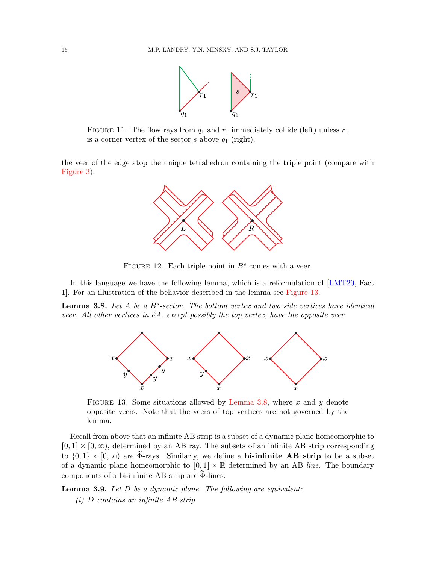

<span id="page-15-0"></span>FIGURE 11. The flow rays from  $q_1$  and  $r_1$  immediately collide (left) unless  $r_1$ is a corner vertex of the sector  $s$  above  $q_1$  (right).

the veer of the edge atop the unique tetrahedron containing the triple point (compare with [Figure 3\)](#page-6-0).



<span id="page-15-1"></span>FIGURE 12. Each triple point in  $B^s$  comes with a veer.

In this language we have the following lemma, which is a reformulation of [\[LMT20,](#page-72-0) Fact 1]. For an illustration of the behavior described in the lemma see [Figure 13.](#page-15-2)

<span id="page-15-3"></span>**Lemma 3.8.** Let  $A$  be a  $B^s$ -sector. The bottom vertex and two side vertices have identical veer. All other vertices in  $\partial A$ , except possibly the top vertex, have the opposite veer.



<span id="page-15-2"></span>FIGURE 13. Some situations allowed by [Lemma 3.8,](#page-15-3) where x and y denote opposite veers. Note that the veers of top vertices are not governed by the lemma.

Recall from above that an infinite AB strip is a subset of a dynamic plane homeomorphic to  $[0, 1] \times [0, \infty)$ , determined by an AB ray. The subsets of an infinite AB strip corresponding to  $\{0, 1\} \times [0, \infty)$  are  $\tilde{\Phi}$ -rays. Similarly, we define a **bi-infinite AB strip** to be a subset of a dynamic plane homeomorphic to  $[0, 1] \times \mathbb{R}$  determined by an AB line. The boundary components of a bi-infinite AB strip are  $\Phi$ -lines.

<span id="page-15-4"></span>Lemma 3.9. Let D be a dynamic plane. The following are equivalent: (i) D contains an infinite AB strip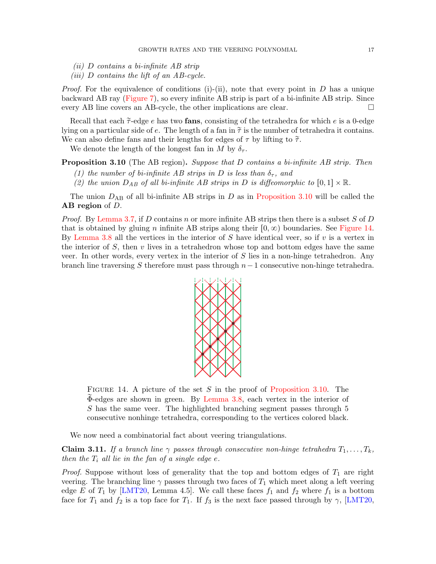- (ii) D contains a bi-infinite AB strip
- (*iii*)  $D$  contains the lift of an  $AB$ -cycle.

*Proof.* For the equivalence of conditions (i)-(ii), note that every point in  $D$  has a unique backward AB ray [\(Figure 7\)](#page-12-0), so every infinite AB strip is part of a bi-infinite AB strip. Since every AB line covers an AB-cycle, the other implications are clear.

Recall that each  $\tilde{\tau}$ -edge e has two **fans**, consisting of the tetrahedra for which e is a 0-edge lying on a particular side of e. The length of a fan in  $\tilde{\tau}$  is the number of tetrahedra it contains. We can also define fans and their lengths for edges of  $\tau$  by lifting to  $\tilde{\tau}$ .

We denote the length of the longest fan in M by  $\delta_{\tau}$ .

<span id="page-16-0"></span>**Proposition 3.10** (The AB region). Suppose that D contains a bi-infinite AB strip. Then

- (1) the number of bi-infinite AB strips in D is less than  $\delta_{\tau}$ , and
- (2) the union  $D_{AB}$  of all bi-infinite AB strips in D is diffeomorphic to  $[0, 1] \times \mathbb{R}$ .

The union  $D_{AB}$  of all bi-infinite AB strips in D as in [Proposition 3.10](#page-16-0) will be called the AB region of D.

*Proof.* By [Lemma 3.7,](#page-13-1) if D contains n or more infinite AB strips then there is a subset S of D that is obtained by gluing n infinite AB strips along their  $[0, \infty)$  boundaries. See [Figure 14.](#page-16-1) By [Lemma 3.8](#page-15-3) all the vertices in the interior of S have identical veer, so if  $v$  is a vertex in the interior of  $S$ , then  $v$  lives in a tetrahedron whose top and bottom edges have the same veer. In other words, every vertex in the interior of  $S$  lies in a non-hinge tetrahedron. Any branch line traversing S therefore must pass through  $n-1$  consecutive non-hinge tetrahedra.



<span id="page-16-1"></span>FIGURE 14. A picture of the set  $S$  in the proof of [Proposition 3.10.](#page-16-0) The  $\Phi$ -edges are shown in green. By [Lemma 3.8,](#page-15-3) each vertex in the interior of S has the same veer. The highlighted branching segment passes through 5 consecutive nonhinge tetrahedra, corresponding to the vertices colored black.

We now need a combinatorial fact about veering triangulations.

<span id="page-16-2"></span>**Claim 3.11.** If a branch line  $\gamma$  passes through consecutive non-hinge tetrahedra  $T_1, \ldots, T_k$ , then the  $T_i$  all lie in the fan of a single edge e.

*Proof.* Suppose without loss of generality that the top and bottom edges of  $T_1$  are right veering. The branching line  $\gamma$  passes through two faces of  $T_1$  which meet along a left veering edge E of  $T_1$  by [\[LMT20,](#page-72-0) Lemma 4.5]. We call these faces  $f_1$  and  $f_2$  where  $f_1$  is a bottom face for  $T_1$  and  $f_2$  is a top face for  $T_1$ . If  $f_3$  is the next face passed through by  $\gamma$ , [\[LMT20,](#page-72-0)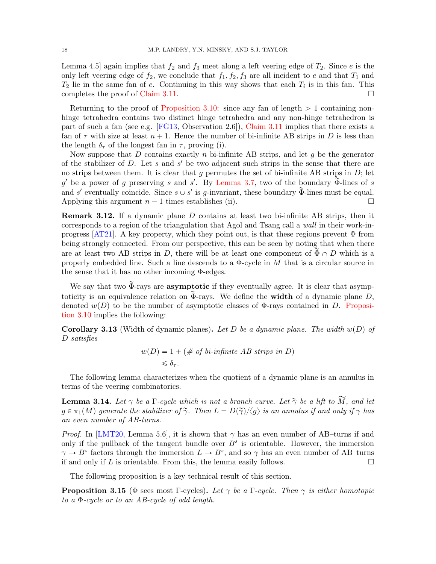Lemma 4.5] again implies that  $f_2$  and  $f_3$  meet along a left veering edge of  $T_2$ . Since e is the only left veering edge of  $f_2$ , we conclude that  $f_1, f_2, f_3$  are all incident to e and that  $T_1$  and  $T_2$  lie in the same fan of e. Continuing in this way shows that each  $T_i$  is in this fan. This completes the proof of [Claim 3.11.](#page-16-2)

Returning to the proof of [Proposition 3.10:](#page-16-0) since any fan of length  $> 1$  containing nonhinge tetrahedra contains two distinct hinge tetrahedra and any non-hinge tetrahedron is part of such a fan (see e.g. [\[FG13,](#page-71-9) Observation 2.6]), [Claim 3.11](#page-16-2) implies that there exists a fan of  $\tau$  with size at least  $n + 1$ . Hence the number of bi-infinite AB strips in D is less than the length  $\delta_{\tau}$  of the longest fan in  $\tau$ , proving (i).

Now suppose that  $D$  contains exactly  $n$  bi-infinite AB strips, and let  $g$  be the generator of the stabilizer of  $D$ . Let s and s' be two adjacent such strips in the sense that there are no strips between them. It is clear that q permutes the set of bi-infinite AB strips in  $D$ ; let  $g'$  be a power of g preserving s and s'. By [Lemma 3.7,](#page-13-1) two of the boundary  $\widetilde{\Phi}$ -lines of s and s' eventually coincide. Since  $s \cup s'$  is g-invariant, these boundary  $\widetilde{\Phi}$ -lines must be equal. Applying this argument  $n-1$  times establishes (ii).

Remark 3.12. If a dynamic plane D contains at least two bi-infinite AB strips, then it corresponds to a region of the triangulation that Agol and Tsang call a wall in their work-in-progress [\[AT21\]](#page-71-15). A key property, which they point out, is that these regions prevent  $\Phi$  from being strongly connected. From our perspective, this can be seen by noting that when there are at least two AB strips in D, there will be at least one component of  $\Phi \cap D$  which is a properly embedded line. Such a line descends to a  $\Phi$ -cycle in M that is a circular source in the sense that it has no other incoming Φ-edges.

We say that two  $\Phi$ -rays are **asymptotic** if they eventually agree. It is clear that asymptoticity is an equivalence relation on  $\Phi$ -rays. We define the **width** of a dynamic plane D, denoted  $w(D)$  to be the number of asymptotic classes of  $\Phi$ -rays contained in D. [Proposi](#page-16-0)[tion 3.10](#page-16-0) implies the following:

**Corollary 3.13** (Width of dynamic planes). Let D be a dynamic plane. The width  $w(D)$  of D satisfies

$$
w(D) = 1 + (\# \text{ of bi-infinite } AB \text{ strips in } D)
$$
  
\$\leq \delta\_{\tau}\$.

The following lemma characterizes when the quotient of a dynamic plane is an annulus in terms of the veering combinatorics.

<span id="page-17-1"></span>**Lemma 3.14.** Let  $\gamma$  be a  $\Gamma$ -cycle which is not a branch curve. Let  $\tilde{\gamma}$  be a lift to  $\tilde{M}$ , and let  $g \in \pi_1(M)$  generate the stabilizer of  $\widetilde{\gamma}$ . Then  $L = D(\widetilde{\gamma})/\langle g \rangle$  is an annulus if and only if  $\gamma$  has an even number of AB-turns.

*Proof.* In [\[LMT20,](#page-72-0) Lemma 5.6], it is shown that  $\gamma$  has an even number of AB-turns if and only if the pullback of the tangent bundle over  $B<sup>s</sup>$  is orientable. However, the immersion  $\gamma \to B^s$  factors through the immersion  $L \to B^s$ , and so  $\gamma$  has an even number of AB-turns if and only if  $L$  is orientable. From this, the lemma easily follows.  $\Box$ 

The following proposition is a key technical result of this section.

<span id="page-17-0"></span>**Proposition 3.15** ( $\Phi$  sees most Γ-cycles). Let  $\gamma$  be a Γ-cycle. Then  $\gamma$  is either homotopic to a Φ-cycle or to an AB-cycle of odd length.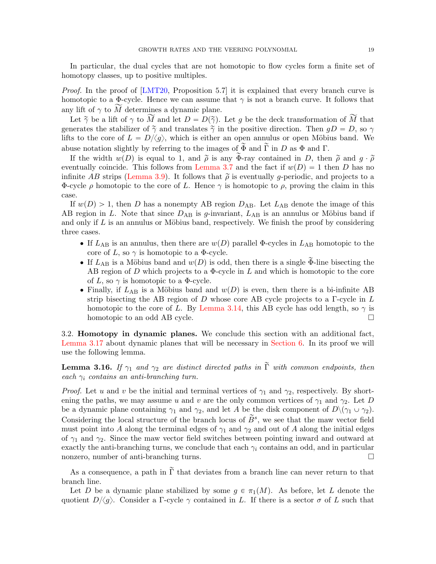In particular, the dual cycles that are not homotopic to flow cycles form a finite set of homotopy classes, up to positive multiples.

*Proof.* In the proof of  $[LMT20,$  Proposition 5.7 it is explained that every branch curve is homotopic to a  $\Phi$ -cycle. Hence we can assume that  $\gamma$  is not a branch curve. It follows that any lift of  $\gamma$  to  $\widetilde{M}$  determines a dynamic plane.

Let  $\tilde{\gamma}$  be a lift of  $\gamma$  to  $\widetilde{M}$  and let  $D = D(\tilde{\gamma})$ . Let g be the deck transformation of  $\widetilde{M}$  that generates the stabilizer of  $\tilde{\gamma}$  and translates  $\tilde{\gamma}$  in the positive direction. Then  $gD = D$ , so  $\gamma$ lifts to the core of  $L = D/\langle g \rangle$ , which is either an open annulus or open Möbius band. We abuse notation slightly by referring to the images of  $\widetilde{\Phi}$  and  $\widetilde{\Gamma}$  in D as  $\Phi$  and  $\Gamma$ .

If the width  $w(D)$  is equal to 1, and  $\tilde{\rho}$  is any  $\tilde{\Phi}$ -ray contained in D, then  $\tilde{\rho}$  and  $q \cdot \tilde{\rho}$ eventually coincide. This follows from [Lemma 3.7](#page-13-1) and the fact if  $w(D) = 1$  then D has no infinite AB strips [\(Lemma 3.9\)](#page-15-4). It follows that  $\tilde{\rho}$  is eventually g-periodic, and projects to a Φ-cycle ρ homotopic to the core of L. Hence  $\gamma$  is homotopic to ρ, proving the claim in this case.

If  $w(D) > 1$ , then D has a nonempty AB region  $D_{AB}$ . Let  $L_{AB}$  denote the image of this AB region in L. Note that since  $D_{AB}$  is g-invariant,  $L_{AB}$  is an annulus or Möbius band if and only if  $L$  is an annulus or Möbius band, respectively. We finish the proof by considering three cases.

- If  $L_{AB}$  is an annulus, then there are  $w(D)$  parallel Φ-cycles in  $L_{AB}$  homotopic to the core of L, so  $\gamma$  is homotopic to a  $\Phi$ -cycle.
- If  $L_{AB}$  is a Möbius band and  $w(D)$  is odd, then there is a single  $\Phi$ -line bisecting the AB region of D which projects to a  $\Phi$ -cycle in L and which is homotopic to the core of L, so  $\gamma$  is homotopic to a  $\Phi$ -cycle.
- Finally, if  $L_{AB}$  is a Möbius band and  $w(D)$  is even, then there is a bi-infinite AB strip bisecting the AB region of D whose core AB cycle projects to a  $\Gamma$ -cycle in L homotopic to the core of L. By [Lemma 3.14,](#page-17-1) this AB cycle has odd length, so  $\gamma$  is homotopic to an odd AB cycle.

3.2. Homotopy in dynamic planes. We conclude this section with an additional fact, [Lemma 3.17](#page-19-0) about dynamic planes that will be necessary in [Section 6.](#page-41-0) In its proof we will use the following lemma.

<span id="page-18-0"></span>**Lemma 3.16.** If  $\gamma_1$  and  $\gamma_2$  are distinct directed paths in  $\tilde{\Gamma}$  with common endpoints, then each  $\gamma_i$  contains an anti-branching turn.

*Proof.* Let u and v be the initial and terminal vertices of  $\gamma_1$  and  $\gamma_2$ , respectively. By shortening the paths, we may assume u and v are the only common vertices of  $\gamma_1$  and  $\gamma_2$ . Let D be a dynamic plane containing  $\gamma_1$  and  $\gamma_2$ , and let A be the disk component of  $D\setminus(\gamma_1 \cup \gamma_2)$ . Considering the local structure of the branch locus of  $\widetilde{B}^s$ , we see that the maw vector field must point into A along the terminal edges of  $\gamma_1$  and  $\gamma_2$  and out of A along the initial edges of  $\gamma_1$  and  $\gamma_2$ . Since the maw vector field switches between pointing inward and outward at exactly the anti-branching turns, we conclude that each  $\gamma_i$  contains an odd, and in particular nonzero, number of anti-branching turns.

As a consequence, a path in  $\tilde{\Gamma}$  that deviates from a branch line can never return to that branch line.

Let D be a dynamic plane stabilized by some  $g \in \pi_1(M)$ . As before, let L denote the quotient  $D/\langle g \rangle$ . Consider a Γ-cycle  $\gamma$  contained in L. If there is a sector  $\sigma$  of L such that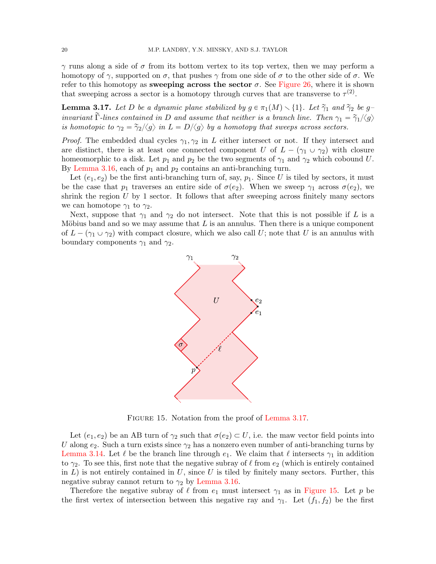γ runs along a side of σ from its bottom vertex to its top vertex, then we may perform a homotopy of  $\gamma$ , supported on  $\sigma$ , that pushes  $\gamma$  from one side of  $\sigma$  to the other side of  $\sigma$ . We refer to this homotopy as sweeping across the sector  $\sigma$ . See [Figure 26,](#page-46-0) where it is shown that sweeping across a sector is a homotopy through curves that are transverse to  $\tau^{(2)}$ .

<span id="page-19-0"></span>**Lemma 3.17.** Let D be a dynamic plane stabilized by  $g \in \pi_1(M) \setminus \{1\}$ . Let  $\widetilde{\gamma}_1$  and  $\widetilde{\gamma}_2$  be ginvariant  $\tilde{\Gamma}$ -lines contained in D and assume that neither is a branch line. Then  $\gamma_1 = \tilde{\gamma}_1/\langle g \rangle$ is homotopic to  $\gamma_2 = \frac{\gamma_2}{\langle g \rangle}$  in  $L = D/\langle g \rangle$  by a homotopy that sweeps across sectors.

*Proof.* The embedded dual cycles  $\gamma_1, \gamma_2$  in L either intersect or not. If they intersect and are distinct, there is at least one connected component U of  $L - (\gamma_1 \cup \gamma_2)$  with closure homeomorphic to a disk. Let  $p_1$  and  $p_2$  be the two segments of  $\gamma_1$  and  $\gamma_2$  which cobound U. By [Lemma 3.16,](#page-18-0) each of  $p_1$  and  $p_2$  contains an anti-branching turn.

Let  $(e_1, e_2)$  be the first anti-branching turn of, say,  $p_1$ . Since U is tiled by sectors, it must be the case that  $p_1$  traverses an entire side of  $\sigma(e_2)$ . When we sweep  $\gamma_1$  across  $\sigma(e_2)$ , we shrink the region  $U$  by 1 sector. It follows that after sweeping across finitely many sectors we can homotope  $\gamma_1$  to  $\gamma_2$ .

Next, suppose that  $\gamma_1$  and  $\gamma_2$  do not intersect. Note that this is not possible if L is a Möbius band and so we may assume that  $L$  is an annulus. Then there is a unique component of  $L - (\gamma_1 \cup \gamma_2)$  with compact closure, which we also call U; note that U is an annulus with boundary components  $\gamma_1$  and  $\gamma_2$ .



<span id="page-19-1"></span>FIGURE 15. Notation from the proof of [Lemma 3.17.](#page-19-0)

Let  $(e_1, e_2)$  be an AB turn of  $\gamma_2$  such that  $\sigma(e_2) \subset U$ , i.e. the maw vector field points into U along  $e_2$ . Such a turn exists since  $\gamma_2$  has a nonzero even number of anti-branching turns by [Lemma 3.14.](#page-17-1) Let  $\ell$  be the branch line through  $e_1$ . We claim that  $\ell$  intersects  $\gamma_1$  in addition to  $\gamma_2$ . To see this, first note that the negative subray of  $\ell$  from  $e_2$  (which is entirely contained in  $L$ ) is not entirely contained in  $U$ , since  $U$  is tiled by finitely many sectors. Further, this negative subray cannot return to  $\gamma_2$  by [Lemma 3.16.](#page-18-0)

Therefore the negative subray of  $\ell$  from  $e_1$  must intersect  $\gamma_1$  as in [Figure 15.](#page-19-1) Let p be the first vertex of intersection between this negative ray and  $\gamma_1$ . Let  $(f_1, f_2)$  be the first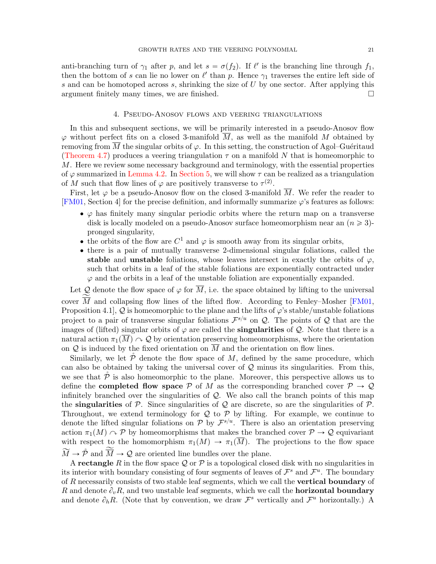anti-branching turn of  $\gamma_1$  after p, and let  $s = \sigma(f_2)$ . If  $\ell'$  is the branching line through  $f_1$ , then the bottom of s can lie no lower on  $\ell'$  than p. Hence  $\gamma_1$  traverses the entire left side of s and can be homotoped across s, shrinking the size of  $U$  by one sector. After applying this argument finitely many times, we are finished.

### 4. Pseudo-Anosov flows and veering triangulations

<span id="page-20-0"></span>In this and subsequent sections, we will be primarily interested in a pseudo-Anosov flow  $\varphi$  without perfect fits on a closed 3-manifold  $\overline{M}$ , as well as the manifold M obtained by removing from  $\overline{M}$  the singular orbits of  $\varphi$ . In this setting, the construction of Agol–Guéritaud [\(Theorem 4.7\)](#page-26-1) produces a veering triangulation  $\tau$  on a manifold N that is homeomorphic to M. Here we review some necessary background and terminology, with the essential properties of  $\varphi$  summarized in [Lemma 4.2.](#page-22-0) In [Section 5,](#page-26-0) we will show  $\tau$  can be realized as a triangulation of M such that flow lines of  $\varphi$  are positively transverse to  $\tau^{(2)}$ .

First, let  $\varphi$  be a pseudo-Anosov flow on the closed 3-manifold  $\overline{M}$ . We refer the reader to [\[FM01,](#page-71-1) Section 4] for the precise definition, and informally summarize  $\varphi$ 's features as follows:

- $\bullet$   $\varphi$  has finitely many singular periodic orbits where the return map on a transverse disk is locally modeled on a pseudo-Anosov surface homeomorphism near an  $(n \geq 3)$ pronged singularity,
- the orbits of the flow are  $C^1$  and  $\varphi$  is smooth away from its singular orbits,
- ' there is a pair of mutually transverse 2-dimensional singular foliations, called the stable and unstable foliations, whose leaves intersect in exactly the orbits of  $\varphi$ , such that orbits in a leaf of the stable foliations are exponentially contracted under  $\varphi$  and the orbits in a leaf of the unstable foliation are exponentially expanded.

Let Q denote the flow space of  $\varphi$  for  $\overline{M}$ , i.e. the space obtained by lifting to the universal cover  $\overline{M}$  and collapsing flow lines of the lifted flow. According to Fenley–Mosher [\[FM01,](#page-71-1) Proposition 4.1,  $Q$  is homeomorphic to the plane and the lifts of  $\varphi$ 's stable/unstable foliations project to a pair of transverse singular foliations  $\mathcal{F}^{s/u}$  on  $\mathcal{Q}$ . The points of  $\mathcal Q$  that are the images of (lifted) singular orbits of  $\varphi$  are called the **singularities** of  $\mathcal{Q}$ . Note that there is a natural action  $\pi_1(M) \sim \mathcal{Q}$  by orientation preserving homeomorphisms, where the orientation on Q is induced by the fixed orientation on  $\overline{M}$  and the orientation on flow lines.

Similarly, we let  $\tilde{\mathcal{P}}$  denote the flow space of M, defined by the same procedure, which can also be obtained by taking the universal cover of  $\mathcal Q$  minus its singularities. From this, we see that  $\tilde{\mathcal{P}}$  is also homeomorphic to the plane. Moreover, this perspective allows us to define the **completed flow space** P of M as the corresponding branched cover  $P \rightarrow Q$ infinitely branched over the singularities of  $Q$ . We also call the branch points of this map the **singularities** of P. Since singularities of Q are discrete, so are the singularities of P. Throughout, we extend terminology for  $Q$  to  $P$  by lifting. For example, we continue to denote the lifted singular foliations on  $P$  by  $\mathcal{F}^{s/u}$ . There is also an orientation preserving action  $\pi_1(M) \cap \mathcal{P}$  by homeomorphisms that makes the branched cover  $\mathcal{P} \to \mathcal{Q}$  equivariant with respect to the homomorphism  $\pi_1(M) \to \pi_1(\overline{M})$ . The projections to the flow space  $\widetilde{M} \to \mathring{\mathcal{P}}$  and  $\widetilde{\overline{M}} \to \mathcal{Q}$  are oriented line bundles over the plane.

A rectangle R in the flow space Q or P is a topological closed disk with no singularities in its interior with boundary consisting of four segments of leaves of  $\mathcal{F}^s$  and  $\mathcal{F}^u$ . The boundary of R necessarily consists of two stable leaf segments, which we call the **vertical boundary** of R and denote  $\partial_{v}R$ , and two unstable leaf segments, which we call the **horizontal boundary** and denote  $\partial_h R$ . (Note that by convention, we draw  $\mathcal{F}^s$  vertically and  $\mathcal{F}^u$  horizontally.) A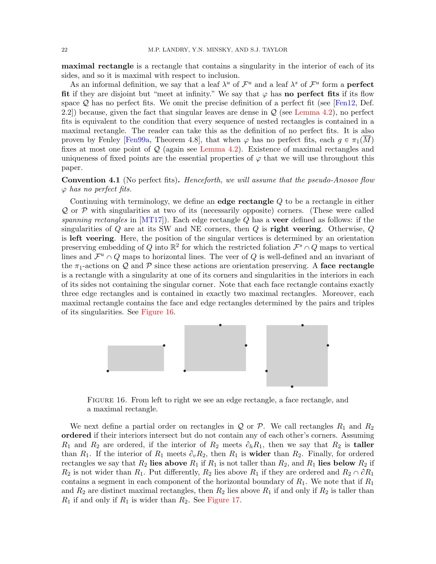maximal rectangle is a rectangle that contains a singularity in the interior of each of its sides, and so it is maximal with respect to inclusion.

As an informal definition, we say that a leaf  $\lambda^u$  of  $\mathcal{F}^u$  and a leaf  $\lambda^s$  of  $\mathcal{F}^u$  form a **perfect** fit if they are disjoint but "meet at infinity." We say that  $\varphi$  has **no perfect fits** if its flow space  $\mathcal Q$  has no perfect fits. We omit the precise definition of a perfect fit (see [\[Fen12,](#page-71-19) Def. 2.2) because, given the fact that singular leaves are dense in  $\mathcal{Q}$  (see [Lemma 4.2\)](#page-22-0), no perfect fits is equivalent to the condition that every sequence of nested rectangles is contained in a maximal rectangle. The reader can take this as the definition of no perfect fits. It is also proven by Fenley [\[Fen99a,](#page-71-20) Theorem 4.8], that when  $\varphi$  has no perfect fits, each  $g \in \pi_1(\overline{M})$ fixes at most one point of  $\mathcal Q$  (again see [Lemma 4.2\)](#page-22-0). Existence of maximal rectangles and uniqueness of fixed points are the essential properties of  $\varphi$  that we will use throughout this paper.

**Convention 4.1** (No perfect fits). Henceforth, we will assume that the pseudo-Anosov flow  $\varphi$  has no perfect fits.

Continuing with terminology, we define an edge rectangle Q to be a rectangle in either  $Q$  or  $P$  with singularities at two of its (necessarily opposite) corners. (These were called spanning rectangles in  $[MTT]$ ). Each edge rectangle Q has a **veer** defined as follows: if the singularities of  $Q$  are at its SW and NE corners, then  $Q$  is **right veering**. Otherwise,  $Q$ is left veering. Here, the position of the singular vertices is determined by an orientation preserving embedding of Q into  $\mathbb{R}^2$  for which the restricted foliation  $\mathcal{F}^s \cap Q$  maps to vertical lines and  $\mathcal{F}^u \cap Q$  maps to horizontal lines. The veer of Q is well-defined and an invariant of the  $\pi_1$ -actions on Q and P since these actions are orientation preserving. A face rectangle is a rectangle with a singularity at one of its corners and singularities in the interiors in each of its sides not containing the singular corner. Note that each face rectangle contains exactly three edge rectangles and is contained in exactly two maximal rectangles. Moreover, each maximal rectangle contains the face and edge rectangles determined by the pairs and triples of its singularities. See [Figure 16.](#page-21-0)



<span id="page-21-0"></span>FIGURE 16. From left to right we see an edge rectangle, a face rectangle, and a maximal rectangle.

We next define a partial order on rectangles in  $\mathcal Q$  or  $\mathcal P$ . We call rectangles  $R_1$  and  $R_2$ ordered if their interiors intersect but do not contain any of each other's corners. Assuming  $R_1$  and  $R_2$  are ordered, if the interior of  $R_2$  meets  $\partial_h R_1$ , then we say that  $R_2$  is **taller** than  $R_1$ . If the interior of  $R_1$  meets  $\partial_v R_2$ , then  $R_1$  is **wider** than  $R_2$ . Finally, for ordered rectangles we say that  $R_2$  lies above  $R_1$  if  $R_1$  is not taller than  $R_2$ , and  $R_1$  lies below  $R_2$  if  $R_2$  is not wider than  $R_1$ . Put differently,  $R_2$  lies above  $R_1$  if they are ordered and  $R_2 \cap \partial R_1$ contains a segment in each component of the horizontal boundary of  $R_1$ . We note that if  $R_1$ and  $R_2$  are distinct maximal rectangles, then  $R_2$  lies above  $R_1$  if and only if  $R_2$  is taller than  $R_1$  if and only if  $R_1$  is wider than  $R_2$ . See [Figure 17.](#page-22-1)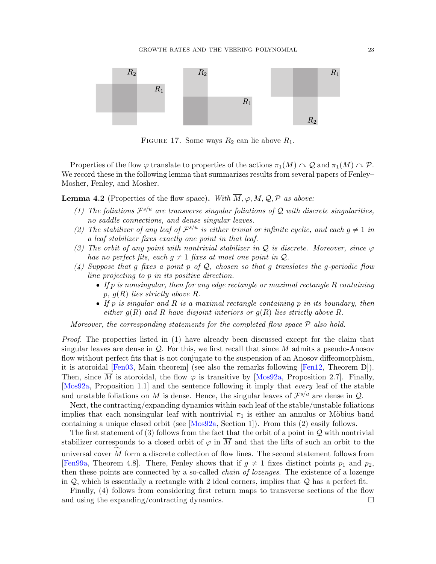

<span id="page-22-1"></span>FIGURE 17. Some ways  $R_2$  can lie above  $R_1$ .

Properties of the flow  $\varphi$  translate to properties of the actions  $\pi_1(\overline{M}) \cap \mathcal{Q}$  and  $\pi_1(M) \cap \mathcal{P}$ . We record these in the following lemma that summarizes results from several papers of Fenley– Mosher, Fenley, and Mosher.

<span id="page-22-0"></span>**Lemma 4.2** (Properties of the flow space). With  $\overline{M}$ ,  $\varphi$ ,  $M$ ,  $\mathcal{Q}$ ,  $\mathcal{P}$  as above:

- (1) The foliations  $\mathcal{F}^{s/u}$  are transverse singular foliations of Q with discrete singularities, no saddle connections, and dense singular leaves.
- (2) The stabilizer of any leaf of  $\mathcal{F}^{s/u}$  is either trivial or infinite cyclic, and each  $g \neq 1$  in a leaf stabilizer fixes exactly one point in that leaf.
- (3) The orbit of any point with nontrivial stabilizer in Q is discrete. Moreover, since  $\varphi$ has no perfect fits, each  $g \neq 1$  fixes at most one point in  $Q$ .
- (4) Suppose that g fixes a point p of  $\mathcal{Q}$ , chosen so that g translates the g-periodic flow line projecting to p in its positive direction.
	- $\bullet$  If p is nonsingular, then for any edge rectangle or maximal rectangle R containing p,  $q(R)$  lies strictly above R.
	- $\bullet$  If p is singular and R is a maximal rectangle containing p in its boundary, then either  $g(R)$  and R have disjoint interiors or  $g(R)$  lies strictly above R.

Moreover, the corresponding statements for the completed flow space  $P$  also hold.

Proof. The properties listed in (1) have already been discussed except for the claim that singular leaves are dense in  $\mathcal Q$ . For this, we first recall that since  $\overline{M}$  admits a pseudo-Anosov flow without perfect fits that is not conjugate to the suspension of an Anosov diffeomorphism, it is atoroidal [\[Fen03,](#page-71-21) Main theorem] (see also the remarks following [\[Fen12,](#page-71-19) Theorem D]). Then, since  $\overline{M}$  is atoroidal, the flow  $\varphi$  is transitive by [\[Mos92a,](#page-72-14) Proposition 2.7]. Finally, [\[Mos92a,](#page-72-14) Proposition 1.1] and the sentence following it imply that every leaf of the stable and unstable foliations on  $\overline{M}$  is dense. Hence, the singular leaves of  $\mathcal{F}^{s/u}$  are dense in  $\mathcal{Q}$ .

Next, the contracting/expanding dynamics within each leaf of the stable/unstable foliations implies that each nonsingular leaf with nontrivial  $\pi_1$  is either an annulus or Möbius band containing a unique closed orbit (see [\[Mos92a,](#page-72-14) Section 1]). From this (2) easily follows.

The first statement of (3) follows from the fact that the orbit of a point in  $\mathcal Q$  with nontrivial stabilizer corresponds to a closed orbit of  $\varphi$  in  $\overline{M}$  and that the lifts of such an orbit to the universal cover  $\overline{M}$  form a discrete collection of flow lines. The second statement follows from [\[Fen99a,](#page-71-20) Theorem 4.8]. There, Fenley shows that if  $g \neq 1$  fixes distinct points  $p_1$  and  $p_2$ , then these points are connected by a so-called chain of lozenges. The existence of a lozenge in  $Q$ , which is essentially a rectangle with 2 ideal corners, implies that  $Q$  has a perfect fit.

Finally, (4) follows from considering first return maps to transverse sections of the flow and using the expanding/contracting dynamics.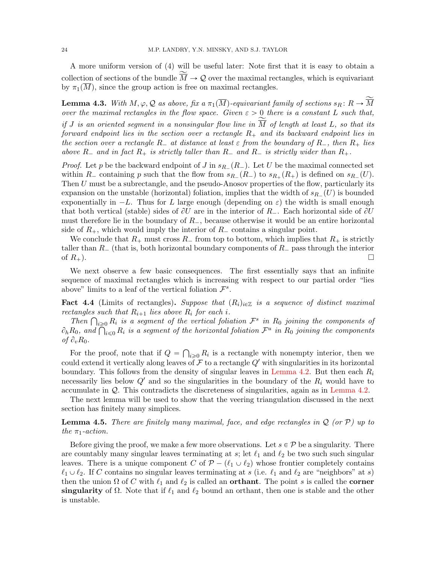A more uniform version of (4) will be useful later: Note first that it is easy to obtain a collection of sections of the bundle  $\overline{M} \to \mathcal{Q}$  over the maximal rectangles, which is equivariant by  $\pi_1(\overline{M})$ , since the group action is free on maximal rectangles.

**Lemma 4.3.** With  $M, \varphi, \mathcal{Q}$  as above, fix a  $\pi_1(\overline{M})$ -equivariant family of sections  $s_R : R \to \widetilde{\overline{M}}$ over the maximal rectangles in the flow space. Given  $\varepsilon > 0$  there is a constant L such that, if J is an oriented segment in a nonsingular flow line in  $\overline{M}$  of length at least L, so that its forward endpoint lies in the section over a rectangle  $R_+$  and its backward endpoint lies in the section over a rectangle  $R_-$  at distance at least  $\varepsilon$  from the boundary of  $R_-$ , then  $R_+$  lies above  $R_-$  and in fact  $R_+$  is strictly taller than  $R_-$  and  $R_-$  is strictly wider than  $R_+$ .

*Proof.* Let p be the backward endpoint of J in  $s_{R_{-}}(R_{-})$ . Let U be the maximal connected set within  $R_-$  containing p such that the flow from  $s_{R_-}(R_-)$  to  $s_{R_+}(R_+)$  is defined on  $s_{R_-}(U)$ . Then  $U$  must be a subrectangle, and the pseudo-Anosov properties of the flow, particularly its expansion on the unstable (horizontal) foliation, implies that the width of  $s_{R_{-}}(U)$  is bounded exponentially in  $-L$ . Thus for L large enough (depending on  $\varepsilon$ ) the width is small enough that both vertical (stable) sides of  $\partial U$  are in the interior of  $R_{-}$ . Each horizontal side of  $\partial U$ must therefore lie in the boundary of  $R_$ , because otherwise it would be an entire horizontal side of  $R_+$ , which would imply the interior of  $R_-$  contains a singular point.

We conclude that  $R_+$  must cross  $R_-$  from top to bottom, which implies that  $R_+$  is strictly taller than  $R_{-}$  (that is, both horizontal boundary components of  $R_{-}$  pass through the interior of  $R_+$ ).

We next observe a few basic consequences. The first essentially says that an infinite sequence of maximal rectangles which is increasing with respect to our partial order "lies above" limits to a leaf of the vertical foliation  $\mathcal{F}^s$ .

<span id="page-23-1"></span>**Fact 4.4** (Limits of rectangles). Suppose that  $(R_i)_{i\in\mathbb{Z}}$  is a sequence of distinct maximal rectangles such that  $R_{i+1}$  lies above  $R_i$  for each i.

tangles such that  $R_{i+1}$  lies above  $R_i$  for each  $i$ .<br>Then  $\bigcap_{i\geqslant 0} R_i$  is a segment of the vertical foliation  $\mathcal{F}^s$  in  $R_0$  joining the components of Then  $\bigcap_{i\geq 0} R_i$  is a segment of the vertical foliation  $\mathcal{F}^s$  in  $R_0$  joining the components of  $\partial_h R_0$ , and  $\bigcap_{i\leq 0} R_i$  is a segment of the horizontal foliation  $\mathcal{F}^u$  in  $R_0$  joining the components of  $\partial_v R_0$ . ş

For the proof, note that if  $Q = \bigcap_{i \geq 0} R_i$  is a rectangle with nonempty interior, then we could extend it vertically along leaves of  $\mathcal F$  to a rectangle  $Q'$  with singularities in its horizontal boundary. This follows from the density of singular leaves in [Lemma 4.2.](#page-22-0) But then each  $R_i$ necessarily lies below  $Q'$  and so the singularities in the boundary of the  $R_i$  would have to accumulate in Q. This contradicts the discreteness of singularities, again as in [Lemma 4.2.](#page-22-0)

The next lemma will be used to show that the veering triangulation discussed in the next section has finitely many simplices.

<span id="page-23-0"></span>**Lemma 4.5.** There are finitely many maximal, face, and edge rectangles in  $\mathcal{Q}$  (or  $\mathcal{P}$ ) up to the  $\pi_1$ -action.

Before giving the proof, we make a few more observations. Let  $s \in \mathcal{P}$  be a singularity. There are countably many singular leaves terminating at s; let  $\ell_1$  and  $\ell_2$  be two such such singular leaves. There is a unique component C of  $\mathcal{P} - (\ell_1 \cup \ell_2)$  whose frontier completely contains  $\ell_1 \cup \ell_2$ . If C contains no singular leaves terminating at s (i.e.  $\ell_1$  and  $\ell_2$  are "neighbors" at s) then the union  $\Omega$  of C with  $\ell_1$  and  $\ell_2$  is called an **orthant**. The point s is called the **corner** singularity of  $\Omega$ . Note that if  $\ell_1$  and  $\ell_2$  bound an orthant, then one is stable and the other is unstable.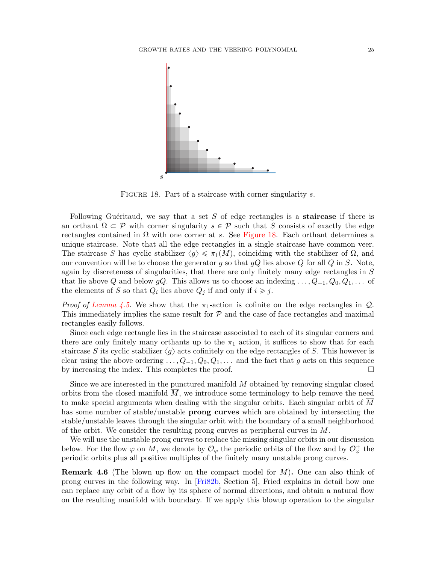

<span id="page-24-0"></span>FIGURE 18. Part of a staircase with corner singularity s.

Following Guéritaud, we say that a set  $S$  of edge rectangles is a **staircase** if there is an orthant  $\Omega \subset \mathcal{P}$  with corner singularity  $s \in \mathcal{P}$  such that S consists of exactly the edge rectangles contained in  $\Omega$  with one corner at s. See [Figure 18.](#page-24-0) Each orthant determines a unique staircase. Note that all the edge rectangles in a single staircase have common veer. The staircase S has cyclic stabilizer  $\langle g \rangle \leq \pi_1(M)$ , coinciding with the stabilizer of  $\Omega$ , and our convention will be to choose the generator g so that  $qQ$  lies above Q for all Q in S. Note, again by discreteness of singularities, that there are only finitely many edge rectangles in S that lie above Q and below gQ. This allows us to choose an indexing  $\ldots, Q_{-1}, Q_0, Q_1, \ldots$  of the elements of S so that  $Q_i$  lies above  $Q_j$  if and only if  $i \geq j$ .

*Proof of [Lemma 4.5.](#page-23-0)* We show that the  $\pi_1$ -action is cofinite on the edge rectangles in  $Q$ . This immediately implies the same result for  $P$  and the case of face rectangles and maximal rectangles easily follows.

Since each edge rectangle lies in the staircase associated to each of its singular corners and there are only finitely many orthants up to the  $\pi_1$  action, it suffices to show that for each staircase S its cyclic stabilizer  $\langle g \rangle$  acts cofinitely on the edge rectangles of S. This however is clear using the above ordering  $\ldots$ ,  $Q_{-1}$ ,  $Q_0$ ,  $Q_1$ ,  $\ldots$  and the fact that g acts on this sequence by increasing the index. This completes the proof.  $\Box$ 

Since we are interested in the punctured manifold  $M$  obtained by removing singular closed orbits from the closed manifold  $\overline{M}$ , we introduce some terminology to help remove the need to make special arguments when dealing with the singular orbits. Each singular orbit of M has some number of stable/unstable **prong curves** which are obtained by intersecting the stable/unstable leaves through the singular orbit with the boundary of a small neighborhood of the orbit. We consider the resulting prong curves as peripheral curves in  $M$ .

We will use the unstable prong curves to replace the missing singular orbits in our discussion below. For the flow  $\varphi$  on M, we denote by  $\mathcal{O}_{\varphi}$  the periodic orbits of the flow and by  $\mathcal{O}_{\varphi}^+$  the periodic orbits plus all positive multiples of the finitely many unstable prong curves.

**Remark 4.6** (The blown up flow on the compact model for  $M$ ). One can also think of prong curves in the following way. In [\[Fri82b,](#page-71-3) Section 5], Fried explains in detail how one can replace any orbit of a flow by its sphere of normal directions, and obtain a natural flow on the resulting manifold with boundary. If we apply this blowup operation to the singular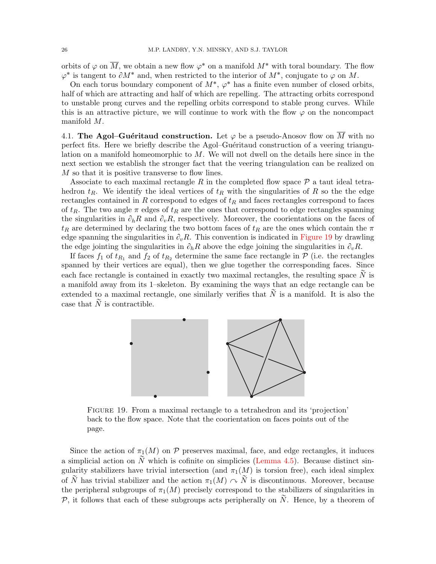orbits of  $\varphi$  on  $\overline{M}$ , we obtain a new flow  $\varphi^*$  on a manifold  $M^*$  with toral boundary. The flow  $\varphi^*$  is tangent to  $\partial M^*$  and, when restricted to the interior of  $M^*$ , conjugate to  $\varphi$  on M.

On each torus boundary component of  $M^*$ ,  $\varphi^*$  has a finite even number of closed orbits, half of which are attracting and half of which are repelling. The attracting orbits correspond to unstable prong curves and the repelling orbits correspond to stable prong curves. While this is an attractive picture, we will continue to work with the flow  $\varphi$  on the noncompact manifold M.

4.1. The Agol–Guéritaud construction. Let  $\varphi$  be a pseudo-Anosov flow on  $\overline{M}$  with no perfect fits. Here we briefly describe the Agol–Guéritaud construction of a veering triangulation on a manifold homeomorphic to  $M$ . We will not dwell on the details here since in the next section we establish the stronger fact that the veering triangulation can be realized on M so that it is positive transverse to flow lines.

Associate to each maximal rectangle R in the completed flow space  $P$  a taut ideal tetrahedron  $t_R$ . We identify the ideal vertices of  $t_R$  with the singularities of R so the the edge rectangles contained in R correspond to edges of  $t_R$  and faces rectangles correspond to faces of  $t_R$ . The two angle  $\pi$  edges of  $t_R$  are the ones that correspond to edge rectangles spanning the singularities in  $\partial_h R$  and  $\partial_v R$ , respectively. Moreover, the coorientations on the faces of  $t_R$  are determined by declaring the two bottom faces of  $t_R$  are the ones which contain the  $\pi$ edge spanning the singularities in  $\partial_{v}R$ . This convention is indicated in [Figure 19](#page-25-0) by drawling the edge jointing the singularities in  $\partial_h R$  above the edge joining the singularities in  $\partial_v R$ .

If faces  $f_1$  of  $t_{R_1}$  and  $f_2$  of  $t_{R_2}$  determine the same face rectangle in  $P$  (i.e. the rectangles spanned by their vertices are equal), then we glue together the corresponding faces. Since each face rectangle is contained in exactly two maximal rectangles, the resulting space  $\tilde{N}$  is a manifold away from its 1–skeleton. By examining the ways that an edge rectangle can be extended to a maximal rectangle, one similarly verifies that  $\tilde{N}$  is a manifold. It is also the case that  $\tilde{N}$  is contractible.



<span id="page-25-0"></span>Figure 19. From a maximal rectangle to a tetrahedron and its 'projection' back to the flow space. Note that the coorientation on faces points out of the page.

Since the action of  $\pi_1(M)$  on P preserves maximal, face, and edge rectangles, it induces a simplicial action on  $\tilde{N}$  which is cofinite on simplicies [\(Lemma 4.5\)](#page-23-0). Because distinct singularity stabilizers have trivial intersection (and  $\pi_1(M)$  is torsion free), each ideal simplex of N has trivial stabilizer and the action  $\pi_1(M) \sim N$  is discontinuous. Moreover, because the peripheral subgroups of  $\pi_1(M)$  precisely correspond to the stabilizers of singularities in P, it follows that each of these subgroups acts peripherally on  $\tilde{N}$ . Hence, by a theorem of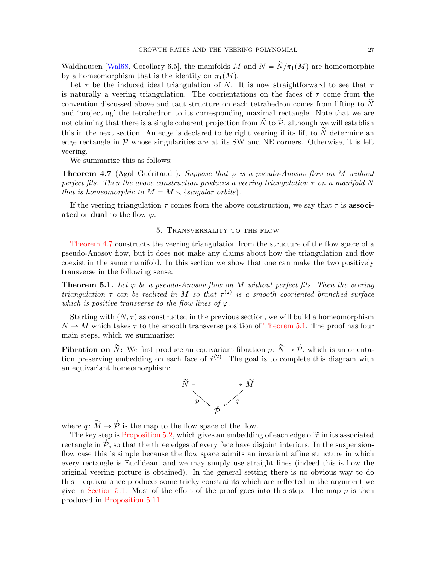Waldhausen [\[Wal68,](#page-72-15) Corollary 6.5], the manifolds M and  $N = \widetilde{N}/\pi_1(M)$  are homeomorphic by a homeomorphism that is the identity on  $\pi_1(M)$ .

Let  $\tau$  be the induced ideal triangulation of N. It is now straightforward to see that  $\tau$ is naturally a veering triangulation. The coorientations on the faces of  $\tau$  come from the convention discussed above and taut structure on each tetrahedron comes from lifting to  $N$ and 'projecting' the tetrahedron to its corresponding maximal rectangle. Note that we are not claiming that there is a single coherent projection from  $\tilde{N}$  to  $\tilde{\mathcal{P}}$ , although we will establish this in the next section. An edge is declared to be right veering if its lift to  $\tilde{N}$  determine an edge rectangle in  $P$  whose singularities are at its SW and NE corners. Otherwise, it is left veering.

We summarize this as follows:

<span id="page-26-1"></span>**Theorem 4.7** (Agol–Guéritaud). Suppose that  $\varphi$  is a pseudo-Anosov flow on  $\overline{M}$  without perfect fits. Then the above construction produces a veering triangulation  $\tau$  on a manifold N that is homeomorphic to  $M = \overline{M} \setminus \{singular\ orbits\}.$ 

If the veering triangulation  $\tau$  comes from the above construction, we say that  $\tau$  is **associ**ated or dual to the flow  $\varphi$ .

### 5. Transversality to the flow

<span id="page-26-0"></span>[Theorem 4.7](#page-26-1) constructs the veering triangulation from the structure of the flow space of a pseudo-Anosov flow, but it does not make any claims about how the triangulation and flow coexist in the same manifold. In this section we show that one can make the two positively transverse in the following sense:

<span id="page-26-2"></span>**Theorem 5.1.** Let  $\varphi$  be a pseudo-Anosov flow on  $\overline{M}$  without perfect fits. Then the veering triangulation  $\tau$  can be realized in M so that  $\tau^{(2)}$  is a smooth cooriented branched surface which is positive transverse to the flow lines of  $\varphi$ .

Starting with  $(N, \tau)$  as constructed in the previous section, we will build a homeomorphism  $N \to M$  which takes  $\tau$  to the smooth transverse position of [Theorem 5.1.](#page-26-2) The proof has four main steps, which we summarize:

**Fibration on**  $\tilde{N}$ : We first produce an equivariant fibration  $p: \tilde{N} \rightarrow \tilde{P}$ , which is an orientation preserving embedding on each face of  $\tilde{\tau}^{(2)}$ . The goal is to complete this diagram with an equivariant homeomorphism:



where  $q: \widetilde{M} \to \hat{\mathcal{P}}$  is the map to the flow space of the flow.

The key step is [Proposition 5.2,](#page-27-0) which gives an embedding of each edge of  $\tilde{\tau}$  in its associated rectangle in  $\tilde{\mathcal{P}}$ , so that the three edges of every face have disjoint interiors. In the suspensionflow case this is simple because the flow space admits an invariant affine structure in which every rectangle is Euclidean, and we may simply use straight lines (indeed this is how the original veering picture is obtained). In the general setting there is no obvious way to do this – equivariance produces some tricky constraints which are reflected in the argument we give in [Section 5.1.](#page-27-1) Most of the effort of the proof goes into this step. The map  $p$  is then produced in [Proposition 5.11.](#page-34-0)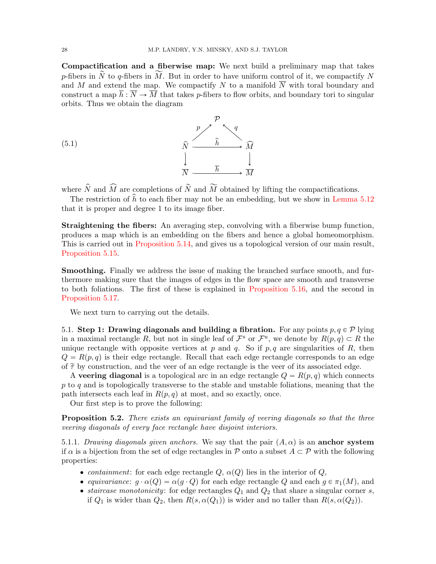Compactification and a fiberwise map: We next build a preliminary map that takes p-fibers in  $\tilde{N}$  to q-fibers in  $\tilde{M}$ . But in order to have uniform control of it, we compactify N and M and extend the map. We compactify N to a manifold  $\overline{N}$  with toral boundary and construct a map  $\overline{h}$ :  $\overline{N} \to \overline{M}$  that takes p-fibers to flow orbits, and boundary tori to singular orbits. Thus we obtain the diagram

<span id="page-27-2"></span>(5.1) 
$$
\begin{array}{ccc}\n & p & \uparrow & q \\
& \hat{N} & \xrightarrow{\hat{h}} & \hat{M} \\
& \downarrow & & \downarrow \\
& \overline{N} & \xrightarrow{\overline{h}} & \overline{M}\n\end{array}
$$

where  $\hat{N}$  and  $\widehat{M}$  are completions of  $\widetilde{N}$  and  $\widetilde{M}$  obtained by lifting the compactifications.

The restriction of  $\hat{h}$  to each fiber may not be an embedding, but we show in [Lemma 5.12](#page-35-0) that it is proper and degree 1 to its image fiber.

Straightening the fibers: An averaging step, convolving with a fiberwise bump function, produces a map which is an embedding on the fibers and hence a global homeomorphism. This is carried out in [Proposition 5.14,](#page-37-0) and gives us a topological version of our main result, [Proposition 5.15.](#page-38-0)

Smoothing. Finally we address the issue of making the branched surface smooth, and furthermore making sure that the images of edges in the flow space are smooth and transverse to both foliations. The first of these is explained in [Proposition 5.16,](#page-38-1) and the second in [Proposition 5.17.](#page-39-1)

We next turn to carrying out the details.

<span id="page-27-1"></span>5.1. Step 1: Drawing diagonals and building a fibration. For any points  $p, q \in \mathcal{P}$  lying in a maximal rectangle R, but not in single leaf of  $\mathcal{F}^s$  or  $\mathcal{F}^u$ , we denote by  $R(p,q) \subset R$  the unique rectangle with opposite vertices at p and q. So if  $p, q$  are singularities of R, then  $Q = R(p,q)$  is their edge rectangle. Recall that each edge rectangle corresponds to an edge of  $\tilde{\tau}$  by construction, and the veer of an edge rectangle is the veer of its associated edge.

A veering diagonal is a topological arc in an edge rectangle  $Q = R(p,q)$  which connects  $p$  to  $q$  and is topologically transverse to the stable and unstable foliations, meaning that the path intersects each leaf in  $R(p, q)$  at most, and so exactly, once.

Our first step is to prove the following:

<span id="page-27-0"></span>Proposition 5.2. There exists an equivariant family of veering diagonals so that the three veering diagonals of every face rectangle have disjoint interiors.

5.1.1. Drawing diagonals given anchors. We say that the pair  $(A, \alpha)$  is an **anchor system** if  $\alpha$  is a bijection from the set of edge rectangles in P onto a subset  $A \subset \mathcal{P}$  with the following properties:

- containment: for each edge rectangle  $Q, \alpha(Q)$  lies in the interior of  $Q$ ,
- equivariance:  $g \cdot \alpha(Q) = \alpha(g \cdot Q)$  for each edge rectangle Q and each  $g \in \pi_1(M)$ , and
- staircase monotonicity: for edge rectangles  $Q_1$  and  $Q_2$  that share a singular corner s, if  $Q_1$  is wider than  $Q_2$ , then  $R(s, \alpha(Q_1))$  is wider and no taller than  $R(s, \alpha(Q_2))$ .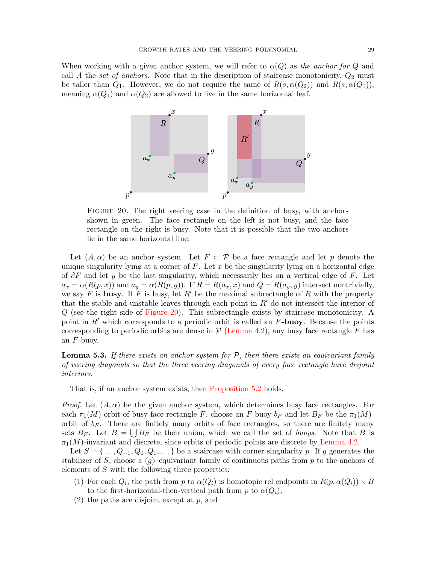When working with a given anchor system, we will refer to  $\alpha(Q)$  as the anchor for Q and call A the set of anchors. Note that in the description of staircase monotonicity,  $Q_2$  must be taller than  $Q_1$ . However, we do not require the same of  $R(s, \alpha(Q_2))$  and  $R(s, \alpha(Q_1))$ , meaning  $\alpha(Q_1)$  and  $\alpha(Q_2)$  are allowed to live in the same horizontal leaf.



<span id="page-28-0"></span>FIGURE 20. The right veering case in the definition of busy, with anchors shown in green. The face rectangle on the left is not busy, and the face rectangle on the right is busy. Note that it is possible that the two anchors lie in the same horizontal line.

Let  $(A, \alpha)$  be an anchor system. Let  $F \subset \mathcal{P}$  be a face rectangle and let p denote the unique singularity lying at a corner of  $F$ . Let  $x$  be the singularity lying on a horizontal edge of  $\partial F$  and let y be the last singularity, which necessarily lies on a vertical edge of F. Let  $a_x = \alpha(R(p, x))$  and  $a_y = \alpha(R(p, y))$ . If  $R = R(a_x, x)$  and  $Q = R(a_y, y)$  intersect nontrivially, we say F is busy. If F is busy, let R' be the maximal subrectangle of R with the property that the stable and unstable leaves through each point in  $R'$  do not intersect the interior of Q (see the right side of [Figure 20\)](#page-28-0). This subrectangle exists by staircase monotonicity. A point in  $R'$  which corresponds to a periodic orbit is called an  $F$ -buoy. Because the points corresponding to periodic orbits are dense in  $\mathcal P$  [\(Lemma 4.2\)](#page-22-0), any busy face rectangle F has an  $F$ -buoy.

<span id="page-28-1"></span>**Lemma 5.3.** If there exists an anchor system for  $P$ , then there exists an equivariant family of veering diagonals so that the three veering diagonals of every face rectangle have disjoint interiors.

That is, if an anchor system exists, then [Proposition 5.2](#page-27-0) holds.

*Proof.* Let  $(A, \alpha)$  be the given anchor system, which determines busy face rectangles. For each  $\pi_1(M)$ -orbit of busy face rectangle F, choose an F-buoy  $b_F$  and let  $B_F$  be the  $\pi_1(M)$ orbit of  $b_F$ . There are finitely many orbits of face rectangles, so there are finitely many sets  $B_F$ . Let  $B = \bigcup B_F$  be their union, which we call the set of buoys. Note that B is  $\pi_1(M)$ -invariant and discrete, since orbits of periodic points are discrete by [Lemma 4.2.](#page-22-0)

Let  $S = \{ \ldots, Q_{-1}, Q_0, Q_1, \ldots \}$  be a staircase with corner singularity p. If g generates the stabilizer of S, choose a  $\langle g \rangle$ –equivariant family of continuous paths from p to the anchors of elements of S with the following three properties:

- (1) For each  $Q_i$ , the path from p to  $\alpha(Q_i)$  is homotopic rel endpoints in  $R(p, \alpha(Q_i)) \setminus B$ to the first-horizontal-then-vertical path from p to  $\alpha(Q_i)$ ,
- $(2)$  the paths are disjoint except at p, and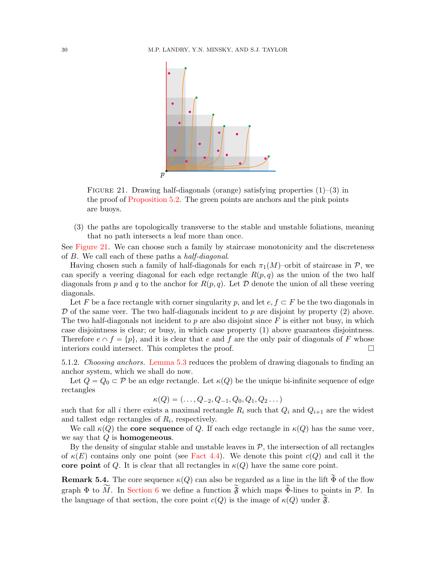

<span id="page-29-0"></span>FIGURE 21. Drawing half-diagonals (orange) satisfying properties  $(1)$ – $(3)$  in the proof of [Proposition 5.2.](#page-27-0) The green points are anchors and the pink points are buoys.

(3) the paths are topologically transverse to the stable and unstable foliations, meaning that no path intersects a leaf more than once.

See [Figure 21.](#page-29-0) We can choose such a family by staircase monotonicity and the discreteness of B. We call each of these paths a half-diagonal.

Having chosen such a family of half-diagonals for each  $\pi_1(M)$ –orbit of staircase in P, we can specify a veering diagonal for each edge rectangle  $R(p,q)$  as the union of the two half diagonals from p and q to the anchor for  $R(p,q)$ . Let D denote the union of all these veering diagonals.

Let F be a face rectangle with corner singularity p, and let  $e, f \subset F$  be the two diagonals in  $\mathcal D$  of the same veer. The two half-diagonals incident to p are disjoint by property (2) above. The two half-diagonals not incident to  $p$  are also disjoint since  $F$  is either not busy, in which case disjointness is clear; or busy, in which case property (1) above guarantees disjointness. Therefore  $e \cap f = \{p\}$ , and it is clear that e and f are the only pair of diagonals of F whose interiors could intersect. This completes the proof.  $\Box$ 

5.1.2. Choosing anchors. [Lemma 5.3](#page-28-1) reduces the problem of drawing diagonals to finding an anchor system, which we shall do now.

Let  $Q = Q_0 \subset \mathcal{P}$  be an edge rectangle. Let  $\kappa(Q)$  be the unique bi-infinite sequence of edge rectangles

$$
\kappa(Q) = (\ldots, Q_{-2}, Q_{-1}, Q_0, Q_1, Q_2 \ldots)
$$

such that for all i there exists a maximal rectangle  $R_i$  such that  $Q_i$  and  $Q_{i+1}$  are the widest and tallest edge rectangles of  $R_i$ , respectively.

We call  $\kappa(Q)$  the core sequence of Q. If each edge rectangle in  $\kappa(Q)$  has the same veer, we say that  $Q$  is homogeneous.

By the density of singular stable and unstable leaves in  $P$ , the intersection of all rectangles of  $\kappa(E)$  contains only one point (see [Fact 4.4\)](#page-23-1). We denote this point  $c(Q)$  and call it the core point of Q. It is clear that all rectangles in  $\kappa(Q)$  have the same core point.

**Remark 5.4.** The core sequence  $\kappa(Q)$  can also be regarded as a line in the lift  $\Phi$  of the flow graph  $\Phi$  to  $\widetilde{M}$ . In [Section 6](#page-41-0) we define a function  $\widetilde{\mathfrak{F}}$  which maps  $\widetilde{\Phi}$ -lines to points in  $\mathcal{P}$ . In the language of that section, the core point  $c(Q)$  is the image of  $\kappa(Q)$  under  $\widetilde{\mathfrak{F}}$ .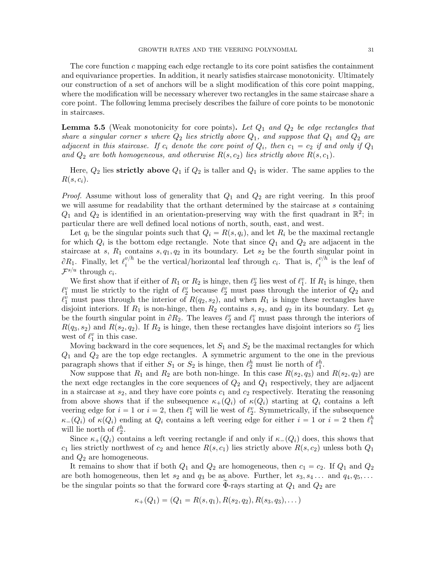The core function  $c$  mapping each edge rectangle to its core point satisfies the containment and equivariance properties. In addition, it nearly satisfies staircase monotonicity. Ultimately our construction of a set of anchors will be a slight modification of this core point mapping, where the modification will be necessary wherever two rectangles in the same staircase share a core point. The following lemma precisely describes the failure of core points to be monotonic in staircases.

<span id="page-30-0"></span>**Lemma 5.5** (Weak monotonicity for core points). Let  $Q_1$  and  $Q_2$  be edge rectangles that share a singular corner s where  $Q_2$  lies strictly above  $Q_1$ , and suppose that  $Q_1$  and  $Q_2$  are adjacent in this staircase. If  $c_i$  denote the core point of  $Q_i$ , then  $c_1 = c_2$  if and only if  $Q_1$ and  $Q_2$  are both homogeneous, and otherwise  $R(s, c_2)$  lies strictly above  $R(s, c_1)$ .

Here,  $Q_2$  lies strictly above  $Q_1$  if  $Q_2$  is taller and  $Q_1$  is wider. The same applies to the  $R(s, c_i)$ .

*Proof.* Assume without loss of generality that  $Q_1$  and  $Q_2$  are right veering. In this proof we will assume for readability that the orthant determined by the staircase at s containing  $Q_1$  and  $Q_2$  is identified in an orientation-preserving way with the first quadrant in  $\mathbb{R}^2$ ; in particular there are well defined local notions of north, south, east, and west.

Let  $q_i$  be the singular points such that  $Q_i = R(s, q_i)$ , and let  $R_i$  be the maximal rectangle for which  $Q_i$  is the bottom edge rectangle. Note that since  $Q_1$  and  $Q_2$  are adjacent in the staircase at s,  $R_1$  contains s,  $q_1, q_2$  in its boundary. Let  $s_2$  be the fourth singular point in  $\partial R_1$ . Finally, let  $\ell_i^{v/h}$  $v/h$  be the vertical/horizontal leaf through  $c_i$ . That is,  $\ell_i^{v/h}$  $i^{\nu/n}$  is the leaf of  $\mathcal{F}^{s/u}$  through  $c_i$ .

We first show that if either of  $R_1$  or  $R_2$  is hinge, then  $\ell_2^v$  lies west of  $\ell_1^v$ . If  $R_1$  is hinge, then  $\ell_1^v$  must lie strictly to the right of  $\ell_2^v$  because  $\ell_2^v$  must pass through the interior of  $Q_2$  and  $\ell_1^{\overline{v}}$  must pass through the interior of  $R(q_2, s_2)$ , and when  $R_1$  is hinge these rectangles have disjoint interiors. If  $R_1$  is non-hinge, then  $R_2$  contains  $s, s_2$ , and  $q_2$  in its boundary. Let  $q_3$ be the fourth singular point in  $\partial R_2$ . The leaves  $\ell_2^v$  and  $\ell_1^v$  must pass through the interiors of  $R(q_3, s_2)$  and  $R(s_2, q_2)$ . If  $R_2$  is hinge, then these rectangles have disjoint interiors so  $\ell_2^v$  lies west of  $\ell_1^v$  in this case.

Moving backward in the core sequences, let  $S_1$  and  $S_2$  be the maximal rectangles for which  $Q_1$  and  $Q_2$  are the top edge rectangles. A symmetric argument to the one in the previous paragraph shows that if either  $S_1$  or  $S_2$  is hinge, then  $\ell_2^h$  must lie north of  $\ell_1^h$ .

Now suppose that  $R_1$  and  $R_2$  are both non-hinge. In this case  $R(s_2, q_3)$  and  $R(s_2, q_2)$  are the next edge rectangles in the core sequences of  $Q_2$  and  $Q_1$  respectively, they are adjacent in a staircase at  $s_2$ , and they have core points  $c_1$  and  $c_2$  respectively. Iterating the reasoning from above shows that if the subsequence  $\kappa_+(Q_i)$  of  $\kappa(Q_i)$  starting at  $Q_i$  contains a left veering edge for  $i = 1$  or  $i = 2$ , then  $\ell_1^v$  will lie west of  $\ell_2^v$ . Symmetrically, if the subsequence  $\kappa_{-}(Q_i)$  of  $\kappa(Q_i)$  ending at  $Q_i$  contains a left veering edge for either  $i = 1$  or  $i = 2$  then  $\ell_1^h$ will lie north of  $\ell_2^h$ .

Since  $\kappa_+(Q_i)$  contains a left veering rectangle if and only if  $\kappa_-(Q_i)$  does, this shows that  $c_1$  lies strictly northwest of  $c_2$  and hence  $R(s, c_1)$  lies strictly above  $R(s, c_2)$  unless both  $Q_1$ and  $Q_2$  are homogeneous.

It remains to show that if both  $Q_1$  and  $Q_2$  are homogeneous, then  $c_1 = c_2$ . If  $Q_1$  and  $Q_2$ are both homogeneous, then let  $s_2$  and  $q_3$  be as above. Further, let  $s_3, s_4, \ldots$  and  $q_4, q_5, \ldots$ be the singular points so that the forward core  $\Phi$ -rays starting at  $Q_1$  and  $Q_2$  are

$$
\kappa_+(Q_1)=(Q_1=R(s,q_1),R(s_2,q_2),R(s_3,q_3),\dots)
$$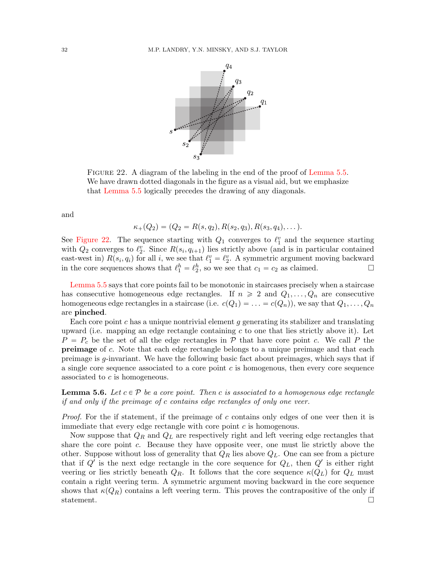

<span id="page-31-0"></span>FIGURE 22. A diagram of the labeling in the end of the proof of [Lemma 5.5.](#page-30-0) We have drawn dotted diagonals in the figure as a visual aid, but we emphasize that [Lemma 5.5](#page-30-0) logically precedes the drawing of any diagonals.

and

$$
\kappa_+(Q_2)=(Q_2=R(s,q_2),R(s_2,q_3),R(s_3,q_4),\dots).
$$

See [Figure 22.](#page-31-0) The sequence starting with  $Q_1$  converges to  $\ell_1^v$  and the sequence starting with  $Q_2$  converges to  $\ell_2^v$ . Since  $R(s_i, q_{i+1})$  lies strictly above (and is in particular contained east-west in)  $R(s_i, q_i)$  for all i, we see that  $\ell_1^v = \ell_2^v$ . A symmetric argument moving backward in the core sequences shows that  $\ell_1^h = \ell_2^h$ , so we see that  $c_1 = c_2$  as claimed.

[Lemma 5.5](#page-30-0) says that core points fail to be monotonic in staircases precisely when a staircase has consecutive homogeneous edge rectangles. If  $n \geq 2$  and  $Q_1, \ldots, Q_n$  are consecutive homogeneous edge rectangles in a staircase (i.e.  $c(Q_1) = \ldots = c(Q_n)$ ), we say that  $Q_1, \ldots, Q_n$ are pinched.

Each core point  $c$  has a unique nontrivial element  $g$  generating its stabilizer and translating upward (i.e. mapping an edge rectangle containing  $c$  to one that lies strictly above it). Let  $P = P_c$  be the set of all the edge rectangles in  $P$  that have core point c. We call P the preimage of c. Note that each edge rectangle belongs to a unique preimage and that each preimage is  $q$ -invariant. We have the following basic fact about preimages, which says that if a single core sequence associated to a core point  $c$  is homogenous, then every core sequence associated to c is homogeneous.

<span id="page-31-1"></span>**Lemma 5.6.** Let  $c \in \mathcal{P}$  be a core point. Then c is associated to a homogenous edge rectangle if and only if the preimage of c contains edge rectangles of only one veer.

*Proof.* For the if statement, if the preimage of c contains only edges of one veer then it is immediate that every edge rectangle with core point  $c$  is homogenous.

Now suppose that  $Q_R$  and  $Q_L$  are respectively right and left veering edge rectangles that share the core point c. Because they have opposite veer, one must lie strictly above the other. Suppose without loss of generality that  $Q_R$  lies above  $Q_L$ . One can see from a picture that if  $Q'$  is the next edge rectangle in the core sequence for  $Q_L$ , then  $Q'$  is either right veering or lies strictly beneath  $Q_R$ . It follows that the core sequence  $\kappa(Q_L)$  for  $Q_L$  must contain a right veering term. A symmetric argument moving backward in the core sequence shows that  $\kappa(Q_R)$  contains a left veering term. This proves the contrapositive of the only if statement.  $\Box$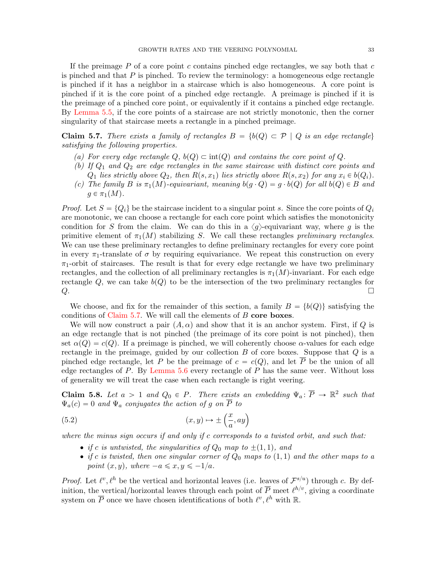If the preimage  $P$  of a core point c contains pinched edge rectangles, we say both that c is pinched and that  $P$  is pinched. To review the terminology: a homogeneous edge rectangle is pinched if it has a neighbor in a staircase which is also homogeneous. A core point is pinched if it is the core point of a pinched edge rectangle. A preimage is pinched if it is the preimage of a pinched core point, or equivalently if it contains a pinched edge rectangle. By [Lemma 5.5,](#page-30-0) if the core points of a staircase are not strictly monotonic, then the corner singularity of that staircase meets a rectangle in a pinched preimage.

<span id="page-32-0"></span>Claim 5.7. There exists a family of rectangles  $B = \{b(Q) \subset \mathcal{P} \mid Q \text{ is an edge rectangle}\}\$ satisfying the following properties.

- (a) For every edge rectangle  $Q$ ,  $b(Q) \subset int(Q)$  and contains the core point of Q.
- (b) If  $Q_1$  and  $Q_2$  are edge rectangles in the same staircase with distinct core points and  $Q_1$  lies strictly above  $Q_2$ , then  $R(s, x_1)$  lies strictly above  $R(s, x_2)$  for any  $x_i \in b(Q_i)$ .
- (c) The family B is  $\pi_1(M)$ -equivariant, meaning  $b(q \cdot Q) = g \cdot b(Q)$  for all  $b(Q) \in B$  and  $g \in \pi_1(M)$ .

*Proof.* Let  $S = \{Q_i\}$  be the staircase incident to a singular point s. Since the core points of  $Q_i$ are monotonic, we can choose a rectangle for each core point which satisfies the monotonicity condition for S from the claim. We can do this in a  $\langle g \rangle$ -equivariant way, where g is the primitive element of  $\pi_1(M)$  stabilizing S. We call these rectangles preliminary rectangles. We can use these preliminary rectangles to define preliminary rectangles for every core point in every  $\pi_1$ -translate of  $\sigma$  by requiring equivariance. We repeat this construction on every  $\pi_1$ -orbit of staircases. The result is that for every edge rectangle we have two preliminary rectangles, and the collection of all preliminary rectangles is  $\pi_1(M)$ -invariant. For each edge rectangle  $Q$ , we can take  $b(Q)$  to be the intersection of the two preliminary rectangles for  $Q$ .

We choose, and fix for the remainder of this section, a family  $B = \{b(Q)\}\$  satisfying the conditions of Claim  $5.7$ . We will call the elements of B core boxes.

We will now construct a pair  $(A, \alpha)$  and show that it is an anchor system. First, if Q is an edge rectangle that is not pinched (the preimage of its core point is not pinched), then set  $\alpha(Q) = c(Q)$ . If a preimage is pinched, we will coherently choose  $\alpha$ -values for each edge rectangle in the preimage, guided by our collection  $B$  of core boxes. Suppose that  $Q$  is a pinched edge rectangle, let P be the preimage of  $c = c(Q)$ , and let  $\overline{P}$  be the union of all edge rectangles of  $P$ . By [Lemma 5.6](#page-31-1) every rectangle of  $P$  has the same veer. Without loss of generality we will treat the case when each rectangle is right veering.

<span id="page-32-2"></span>**Claim 5.8.** Let  $a > 1$  and  $Q_0 \in P$ . There exists an embedding  $\Psi_a: \overline{P} \to \mathbb{R}^2$  such that

<span id="page-32-1"></span>
$$
\Psi_a(c) = 0 \text{ and } \Psi_a \text{ conjugates the action of } g \text{ on } P \text{ to}
$$
  
(5.2)  $(x, y) \mapsto \pm \left(\frac{x}{a}, ay\right)$ 

where the minus sign occurs if and only if c corresponds to a twisted orbit, and such that:

- if c is untwisted, the singularities of  $Q_0$  map to  $\pm(1, 1)$ , and
- if c is twisted, then one singular corner of  $Q_0$  maps to  $(1, 1)$  and the other maps to a point  $(x, y)$ , where  $-a \le x, y \le -1/a$ .

*Proof.* Let  $\ell^v, \ell^h$  be the vertical and horizontal leaves (i.e. leaves of  $\mathcal{F}^{s/u}$ ) through c. By definition, the vertical/horizontal leaves through each point of  $\overline{P}$  meet  $\ell^{h/v}$ , giving a coordinate system on  $\overline{P}$  once we have chosen identifications of both  $\ell^v, \ell^h$  with R.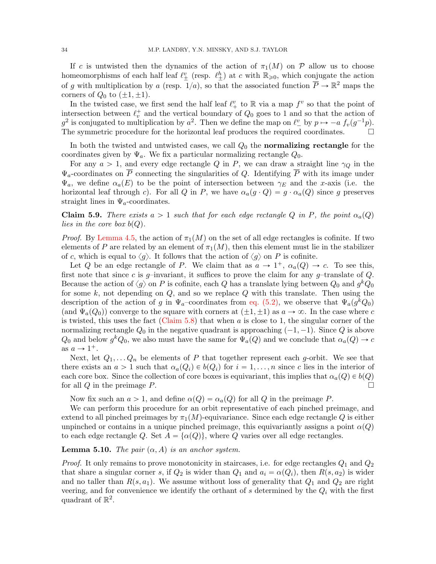If c is untwisted then the dynamics of the action of  $\pi_1(M)$  on P allow us to choose homeomorphisms of each half leaf  $\ell_{\pm}^{v}$  (resp.  $\ell_{\pm}^{h}$ ) at c with  $\mathbb{R}_{\geqslant 0}$ , which conjugate the action of g with multiplication by a (resp.  $1/a$ ), so that the associated function  $\overline{P} \to \mathbb{R}^2$  maps the corners of  $Q_0$  to  $(\pm 1, \pm 1)$ .

In the twisted case, we first send the half leaf  $\ell_{+}^{v}$  to  $\mathbb{R}$  via a map  $f^{v}$  so that the point of intersection between  $\ell_v^+$  and the vertical boundary of  $Q_0$  goes to 1 and so that the action of  $g^2$  is conjugated to multiplication by  $a^2$ . Then we define the map on  $\ell_{-}^v$  by  $p \mapsto -a f_v(g^{-1}p)$ . The symmetric procedure for the horizontal leaf produces the required coordinates.  $\Box$ 

In both the twisted and untwisted cases, we call  $Q_0$  the **normalizing rectangle** for the coordinates given by  $\Psi_a$ . We fix a particular normalizing rectangle  $Q_0$ .

For any  $a > 1$ , and every edge rectangle Q in P, we can draw a straight line  $\gamma_Q$  in the  $\Psi_a$ -coordinates on  $\overline{P}$  connecting the singularities of Q. Identifying  $\overline{P}$  with its image under  $\Psi_a$ , we define  $\alpha_a(E)$  to be the point of intersection between  $\gamma_E$  and the x-axis (i.e. the horizontal leaf through c). For all Q in P, we have  $\alpha_a(g \cdot Q) = g \cdot \alpha_a(Q)$  since g preserves straight lines in  $\Psi_a$ -coordinates.

Claim 5.9. There exists  $a > 1$  such that for each edge rectangle Q in P, the point  $\alpha_a(Q)$ lies in the core box  $b(Q)$ .

*Proof.* By [Lemma 4.5,](#page-23-0) the action of  $\pi_1(M)$  on the set of all edge rectangles is cofinite. If two elements of P are related by an element of  $\pi_1(M)$ , then this element must lie in the stabilizer of c, which is equal to  $\langle g \rangle$ . It follows that the action of  $\langle g \rangle$  on P is cofinite.

Let Q be an edge rectangle of P. We claim that as  $a \to 1^+$ ,  $\alpha_a(Q) \to c$ . To see this, first note that since c is g–invariant, it suffices to prove the claim for any g–translate of  $Q$ . Because the action of  $\langle g \rangle$  on P is cofinite, each Q has a translate lying between  $Q_0$  and  $g^k Q_0$ for some  $k$ , not depending on  $Q$ , and so we replace  $Q$  with this translate. Then using the description of the action of g in  $\Psi_a$ –coordinates from [eq. \(5.2\),](#page-32-1) we observe that  $\Psi_a(g^kQ_0)$ (and  $\Psi_a(Q_0)$ ) converge to the square with corners at  $(\pm 1, \pm 1)$  as  $a \to \infty$ . In the case where c is twisted, this uses the fact (Claim  $5.8$ ) that when a is close to 1, the singular corner of the normalizing rectangle  $Q_0$  in the negative quadrant is approaching  $(-1, -1)$ . Since Q is above  $Q_0$  and below  $g^k Q_0$ , we also must have the same for  $\Psi_a(Q)$  and we conclude that  $\alpha_a(Q) \to c$ as  $a \to 1^+$ .

Next, let  $Q_1, \ldots Q_n$  be elements of P that together represent each g-orbit. We see that there exists an  $a > 1$  such that  $\alpha_a(Q_i) \in b(Q_i)$  for  $i = 1, \ldots, n$  since c lies in the interior of each core box. Since the collection of core boxes is equivariant, this implies that  $\alpha_a(Q) \in b(Q)$ for all Q in the preimage P.

Now fix such an  $a > 1$ , and define  $\alpha(Q) = \alpha_a(Q)$  for all Q in the preimage P.

We can perform this procedure for an orbit representative of each pinched preimage, and extend to all pinched preimages by  $\pi_1(M)$ -equivariance. Since each edge rectangle Q is either unpinched or contains in a unique pinched preimage, this equivariantly assigns a point  $\alpha(Q)$ to each edge rectangle Q. Set  $A = {\alpha(Q)}$ , where Q varies over all edge rectangles.

<span id="page-33-0"></span>**Lemma 5.10.** The pair  $(\alpha, A)$  is an anchor system.

*Proof.* It only remains to prove monotonicity in staircases, i.e. for edge rectangles  $Q_1$  and  $Q_2$ that share a singular corner s, if  $Q_2$  is wider than  $Q_1$  and  $a_i = \alpha(Q_i)$ , then  $R(s, a_2)$  is wider and no taller than  $R(s, a_1)$ . We assume without loss of generality that  $Q_1$  and  $Q_2$  are right veering, and for convenience we identify the orthant of s determined by the  $Q_i$  with the first quadrant of  $\mathbb{R}^2$ .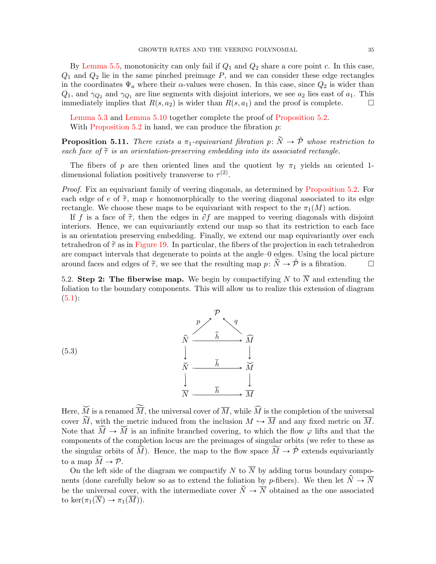By [Lemma 5.5,](#page-30-0) monotonicity can only fail if  $Q_1$  and  $Q_2$  share a core point c. In this case,  $Q_1$  and  $Q_2$  lie in the same pinched preimage  $P$ , and we can consider these edge rectangles in the coordinates  $\Psi_a$  where their  $\alpha$ -values were chosen. In this case, since  $Q_2$  is wider than  $Q_1$ , and  $\gamma_{Q_2}$  and  $\gamma_{Q_1}$  are line segments with disjoint interiors, we see  $a_2$  lies east of  $a_1$ . This immediately implies that  $R(s, a_2)$  is wider than  $R(s, a_1)$  and the proof is complete.

[Lemma 5.3](#page-28-1) and [Lemma 5.10](#page-33-0) together complete the proof of [Proposition 5.2.](#page-27-0) With [Proposition 5.2](#page-27-0) in hand, we can produce the fibration  $p$ :

<span id="page-34-0"></span>**Proposition 5.11.** There exists a  $\pi_1$ -equivariant fibration p:  $\tilde{N} \rightarrow \tilde{P}$  whose restriction to each face of  $\tilde{\tau}$  is an orientation-preserving embedding into its associated rectangle.

The fibers of p are then oriented lines and the quotient by  $\pi_1$  yields an oriented 1dimensional foliation positively transverse to  $\tau^{(2)}$ .

Proof. Fix an equivariant family of veering diagonals, as determined by [Proposition 5.2.](#page-27-0) For each edge of  $e$  of  $\tilde{\tau}$ , map e homomorphically to the veering diagonal associated to its edge rectangle. We choose these maps to be equivariant with respect to the  $\pi_1(M)$  action.

If f is a face of  $\tilde{\tau}$ , then the edges in  $\partial f$  are mapped to veering diagonals with disjoint interiors. Hence, we can equivariantly extend our map so that its restriction to each face is an orientation preserving embedding. Finally, we extend our map equivariantly over each tetrahedron of  $\tilde{\tau}$  as in [Figure 19.](#page-25-0) In particular, the fibers of the projection in each tetrahedron are compact intervals that degenerate to points at the angle–0 edges. Using the local picture around faces and edges of  $\tilde{\tau}$ , we see that the resulting map  $p: \tilde{N} \to \tilde{\mathcal{P}}$  is a fibration.

5.2. Step 2: The fiberwise map. We begin by compactifying N to  $\overline{N}$  and extending the foliation to the boundary components. This will allow us to realize this extension of diagram  $(5.1):$  $(5.1):$ 



Here,  $\widetilde{M}$  is a renamed  $\widetilde{\overline{M}}$ , the universal cover of  $\overline{M}$ , while  $\widehat{M}$  is the completion of the universal cover  $\widetilde{M}$ , with the metric induced from the inclusion  $M \hookrightarrow \overline{M}$  and any fixed metric on  $\overline{M}$ . Note that  $\widehat{M} \to \widetilde{M}$  is an infinite branched covering, to which the flow  $\varphi$  lifts and that the components of the completion locus are the preimages of singular orbits (we refer to these as the singular orbits of  $\widehat{M}$ ). Hence, the map to the flow space  $\widetilde{M} \to \mathring{\mathcal{P}}$  extends equivariantly to a map  $\widetilde{M} \to \mathcal{P}$ .

On the left side of the diagram we compactify N to  $\overline{N}$  by adding torus boundary components (done carefully below so as to extend the foliation by p-fibers). We then let  $\hat{N} \to \overline{N}$ be the universal cover, with the intermediate cover  $\check{N} \to \overline{N}$  obtained as the one associated to ker $(\pi_1(\overline{N}) \to \pi_1(\overline{M}))$ .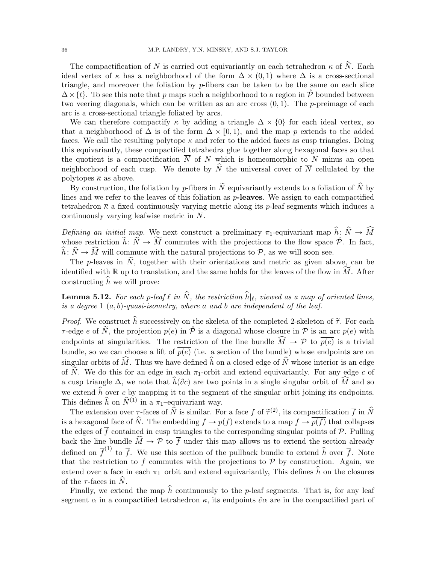The compactification of N is carried out equivariantly on each tetrahedron  $\kappa$  of  $\tilde{N}$ . Each ideal vertex of  $\kappa$  has a neighborhood of the form  $\Delta \times (0, 1)$  where  $\Delta$  is a cross-sectional triangle, and moreover the foliation by p-fibers can be taken to be the same on each slice  $\Delta \times \{t\}$ . To see this note that p maps such a neighborhood to a region in P bounded between two veering diagonals, which can be written as an arc cross  $(0, 1)$ . The p-preimage of each arc is a cross-sectional triangle foliated by arcs.

We can therefore compactify  $\kappa$  by adding a triangle  $\Delta \times \{0\}$  for each ideal vertex, so that a neighborhood of  $\Delta$  is of the form  $\Delta \times [0, 1)$ , and the map p extends to the added faces. We call the resulting polytope  $\overline{\kappa}$  and refer to the added faces as cusp triangles. Doing this equivariantly, these compactifed tetrahedra glue together along hexagonal faces so that the quotient is a compactification  $N$  of  $N$  which is homeomorphic to  $N$  minus an open neighborhood of each cusp. We denote by  $\hat{N}$  the universal cover of  $\overline{N}$  cellulated by the polytopes  $\bar{\kappa}$  as above.

By construction, the foliation by p-fibers in  $\tilde{N}$  equivariantly extends to a foliation of  $\hat{N}$  by lines and we refer to the leaves of this foliation as  $p$ -leaves. We assign to each compactified tetrahedron  $\bar{\kappa}$  a fixed continuously varying metric along its p-leaf segments which induces a continuously varying leafwise metric in  $\overline{N}$ .

Defining an initial map. We next construct a preliminary  $\pi_1$ -equivariant map  $\hat{h}: \hat{N} \to \hat{M}$ whose restriction  $\tilde{h}: \tilde{N} \to \tilde{M}$  commutes with the projections to the flow space  $\mathring{\mathcal{P}}$ . In fact,  $\hat{h}: \hat{N} \to \hat{M}$  will commute with the natural projections to P, as we will soon see.

The p-leaves in  $\tilde{N}$ , together with their orientations and metric as given above, can be identified with R up to translation, and the same holds for the leaves of the flow in  $\widetilde{M}$ . After constructing  $\hat{h}$  we will prove:

<span id="page-35-0"></span>**Lemma 5.12.** For each p-leaf  $\ell$  in  $\hat{N}$ , the restriction  $\hat{h}|_{\ell}$ , viewed as a map of oriented lines, is a degree  $1(a, b)$ -quasi-isometry, where a and b are independent of the leaf.

*Proof.* We construct  $\hat{h}$  successively on the skeleta of the completed 2-skeleton of  $\tilde{\tau}$ . For each  $\tau$ -edge e of  $\tilde{N}$ , the projection  $p(e)$  in  $\tilde{P}$  is a diagonal whose closure in P is an arc  $\overline{p(e)}$  with endpoints at singularities. The restriction of the line bundle  $\widehat{M} \to \mathcal{P}$  to  $\overline{p(e)}$  is a trivial bundle, so we can choose a lift of  $p(e)$  (i.e. a section of the bundle) whose endpoints are on singular orbits of  $\widehat{M}$ . Thus we have defined  $\widehat{h}$  on a closed edge of  $\widehat{N}$  whose interior is an edge of  $\tilde{N}$ . We do this for an edge in each  $\pi_1$ -orbit and extend equivariantly. For any edge c of a cusp triangle  $\Delta$ , we note that  $\hat{h}(\partial c)$  are two points in a single singular orbit of  $\widehat{M}$  and so we extend  $\hat{h}$  over c by mapping it to the segment of the singular orbit joining its endpoints. This defines  $\hat{h}$  on  $\hat{N}^{(1)}$  in a  $\pi_1$ -equivariant way.

The extension over  $\tau$ -faces of  $\hat{N}$  is similar. For a face f of  $\tilde{\tau}^{(2)}$ , its compactification  $\overline{f}$  in  $\hat{N}$ is a hexagonal face of  $\hat{N}$ . The embedding  $f \to p(f)$  extends to a map  $\overline{f} \to \overline{p(f)}$  that collapses the edges of  $\overline{f}$  contained in cusp triangles to the corresponding singular points of  $\mathcal{P}$ . Pulling back the line bundle  $\widehat{M} \to \mathcal{P}$  to  $\overline{f}$  under this map allows us to extend the section already defined on  $\bar{f}^{(1)}$  to  $\bar{f}$ . We use this section of the pullback bundle to extend  $\hat{h}$  over  $\bar{f}$ . Note that the restriction to f commutes with the projections to  $P$  by construction. Again, we extend over a face in each  $\pi_1$ –orbit and extend equivariantly. This defines h on the closures of the  $\tau$ -faces in N.

Finally, we extend the map  $\hat{h}$  continuously to the p-leaf segments. That is, for any leaf segment  $\alpha$  in a compactified tetrahedron  $\bar{\kappa}$ , its endpoints  $\partial \alpha$  are in the compactified part of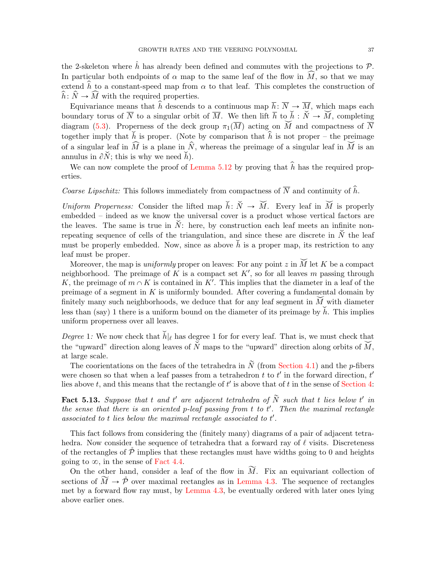the 2-skeleton where  $\hat{h}$  has already been defined and commutes with the projections to  $\mathcal{P}$ . In particular both endpoints of  $\alpha$  map to the same leaf of the flow in  $\widehat{M}$ , so that we may extend  $\hat{h}$  to a constant-speed map from  $\alpha$  to that leaf. This completes the construction of  $\hat{h}: \hat{N} \to \widehat{M}$  with the required properties.

Equivariance means that  $\hat{h}$  descends to a continuous map  $\overline{h}$ :  $\overline{N} \to \overline{M}$ , which maps each boundary torus of  $\overline{N}$  to a singular orbit of  $\overline{M}$ . We then lift  $\overline{h}$  to  $\check{h} : \check{N} \to \check{M}$ , completing diagram [\(5.3\)](#page-34-0). Properness of the deck group  $\pi_1(\overline{M})$  acting on  $\widetilde{M}$  and compactness of  $\overline{N}$ together imply that  $\tilde{h}$  is proper. (Note by comparison that  $\hat{h}$  is not proper – the preimage of a singular leaf in  $\widehat{M}$  is a plane in  $\widehat{N}$ , whereas the preimage of a singular leaf in  $\widecheck{M}$  is an annulus in  $\partial \check{N}$ ; this is why we need  $\check{h}$ ).

We can now complete the proof of [Lemma 5.12](#page-35-0) by proving that  $\hat{h}$  has the required properties.

*Coarse Lipschitz:* This follows immediately from compactness of  $\overline{N}$  and continuity of  $\hat{h}$ .

Uniform Properness: Consider the lifted map  $\check{h}: \check{N} \to \check{M}$ . Every leaf in  $\check{M}$  is properly embedded – indeed as we know the universal cover is a product whose vertical factors are the leaves. The same is true in  $\check{N}$ : here, by construction each leaf meets an infinite nonrepeating sequence of cells of the triangulation, and since these are discrete in  $\check{N}$  the leaf must be properly embedded. Now, since as above  $\check{h}$  is a proper map, its restriction to any leaf must be proper.

Moreover, the map is *uniformly* proper on leaves: For any point z in  $\widetilde{M}$  let K be a compact neighborhood. The preimage of K is a compact set  $K'$ , so for all leaves m passing through K, the preimage of  $m \cap K$  is contained in K'. This implies that the diameter in a leaf of the preimage of a segment in  $K$  is uniformly bounded. After covering a fundamental domain by finitely many such neighborhoods, we deduce that for any leaf segment in  $\widetilde{M}$  with diameter less than (say) 1 there is a uniform bound on the diameter of its preimage by  $\check{h}$ . This implies uniform properness over all leaves.

Degree 1: We now check that  $\check{h}|_{\ell}$  has degree 1 for for every leaf. That is, we must check that the "upward" direction along leaves of  $\check{N}$  maps to the "upward" direction along orbits of  $\check{M}$ , at large scale.

The coorientations on the faces of the tetrahedra in  $\tilde{N}$  (from [Section 4.1\)](#page-25-0) and the p-fibers were chosen so that when a leaf passes from a tetrahedron  $t$  to  $t'$  in the forward direction,  $t'$ lies above t, and this means that the rectangle of  $t'$  is above that of t in the sense of [Section 4:](#page-20-0)

<span id="page-36-0"></span>**Fact 5.13.** Suppose that t and t' are adjacent tetrahedra of  $\tilde{N}$  such that t lies below t' in the sense that there is an oriented p-leaf passing from  $t$  to  $t'$ . Then the maximal rectangle associated to  $t$  lies below the maximal rectangle associated to  $t'$ .

This fact follows from considering the (finitely many) diagrams of a pair of adjacent tetrahedra. Now consider the sequence of tetrahedra that a forward ray of  $\ell$  visits. Discreteness of the rectangles of  $P$  implies that these rectangles must have widths going to 0 and heights going to  $\infty$ , in the sense of [Fact 4.4.](#page-23-0)

On the other hand, consider a leaf of the flow in  $\widetilde{M}$ . Fix an equivariant collection of sections of  $\widetilde{M} \to \widetilde{\mathcal{P}}$  over maximal rectangles as in [Lemma 4.3.](#page-23-1) The sequence of rectangles met by a forward flow ray must, by [Lemma 4.3,](#page-23-1) be eventually ordered with later ones lying above earlier ones.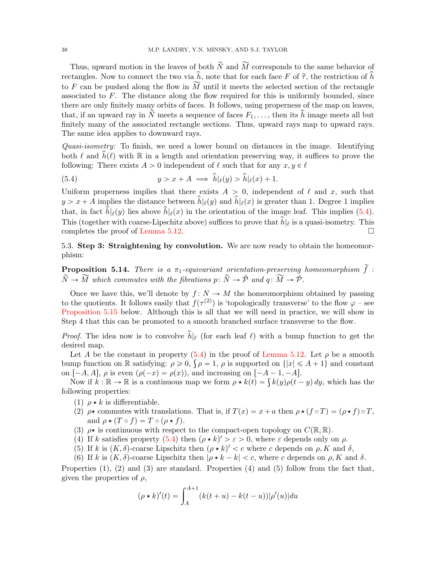Thus, upward motion in the leaves of both  $\widetilde{N}$  and  $\widetilde{M}$  corresponds to the same behavior of rectangles. Now to connect the two via  $\hat{h}$ , note that for each face F of  $\tilde{\tau}$ , the restriction of  $\hat{h}$ to F can be pushed along the flow in  $\widetilde{M}$  until it meets the selected section of the rectangle associated to F. The distance along the flow required for this is uniformly bounded, since there are only finitely many orbits of faces. It follows, using properness of the map on leaves, that, if an upward ray in  $\tilde{N}$  meets a sequence of faces  $F_1, \ldots$ , then its  $\tilde{h}$  image meets all but finitely many of the associated rectangle sections. Thus, upward rays map to upward rays. The same idea applies to downward rays.

Quasi-isometry: To finish, we need a lower bound on distances in the image. Identifying both  $\ell$  and  $\hat{h}(\ell)$  with R in a length and orientation preserving way, it suffices to prove the following: There exists  $A > 0$  independent of  $\ell$  such that for any  $x, y \in \ell$ 

<span id="page-37-0"></span>(5.4) 
$$
y > x + A \implies \hat{h}|_{\ell}(y) > \hat{h}|_{\ell}(x) + 1.
$$

Uniform properness implies that there exists  $A > 0$ , independent of  $\ell$  and x, such that  $y > x + A$  implies the distance between  $\hat{h}|\ell(y)$  and  $\hat{h}|\ell(x)$  is greater than 1. Degree 1 implies that, in fact  $\hat{h}|\ell(y)$  lies above  $\hat{h}|\ell(x)$  in the orientation of the image leaf. This implies [\(5.4\)](#page-37-0). This (together with coarse-Lipschitz above) suffices to prove that  $\hat{h}|\hat{\ell}$  is a quasi-isometry. This completes the proof of [Lemma 5.12.](#page-35-0)

5.3. Step 3: Straightening by convolution. We are now ready to obtain the homeomorphism:

<span id="page-37-1"></span>**Proposition 5.14.** There is a  $\pi_1$ -equivariant orientation-preserving homeomorphism  $\tilde{f}$ :  $\widetilde{N} \rightarrow \widetilde{M}$  which commutes with the fibrations  $p: \widetilde{N} \rightarrow \mathring{P}$  and  $q: \widetilde{M} \rightarrow \mathring{P}$ .

Once we have this, we'll denote by  $f: N \to M$  the homeomorphism obtained by passing to the quotients. It follows easily that  $f(\tau^{(2)})$  is 'topologically transverse' to the flow  $\varphi$  – see [Proposition 5.15](#page-38-0) below. Although this is all that we will need in practice, we will show in Step 4 that this can be promoted to a smooth branched surface transverse to the flow.

*Proof.* The idea now is to convolve  $\tilde{h}|_{\ell}$  (for each leaf  $\ell$ ) with a bump function to get the desired map.

Let A be the constant in property  $(5.4)$  in the proof of [Lemma 5.12.](#page-35-0) Let  $\rho$  be a smooth Let A be the constant in property (5.4) in the proof of Lemma 5.12. Let  $\rho$  be a smooth bump function on R satisfying:  $\rho \ge 0$ ,  $\int \rho = 1$ ,  $\rho$  is supported on  $\{|x| \le A + 1\}$  and constant on  $[-A, A], \rho$  is even  $(\rho(-x) = \rho(x))$ , and increasing on  $[-A - 1, -A].$ 

 $[-A, A]$ ,  $\rho$  is even  $(\rho(-x) = \rho(x))$ , and increasing on  $[-A - 1, -A]$ .<br>Now if  $k : \mathbb{R} \to \mathbb{R}$  is a continuous map we form  $\rho \star k(t) = \int k(y)\rho(t-y) dy$ , which has the following properties:

- (1)  $\rho \star k$  is differentiable.
- (2)  $\rho \star$  commutes with translations. That is, if  $T(x) = x + a$  then  $\rho \star (f \circ T) = (\rho \star f) \circ T$ , and  $\rho \star (T \circ f) = T \circ (\rho \star f)$ .
- (3)  $\rho \star$  is continuous with respect to the compact-open topology on  $C(\mathbb{R}, \mathbb{R})$ .
- (4) If k satisfies property [\(5.4\)](#page-37-0) then  $(\rho \star k)' > \varepsilon > 0$ , where  $\varepsilon$  depends only on  $\rho$ .
- (5) If k is  $(K, \delta)$ -coarse Lipschitz then  $(\rho * k)' < c$  where c depends on  $\rho, K$  and  $\delta$ ,
- (6) If k is  $(K, \delta)$ -coarse Lipschitz then  $|\rho \star k k| < c$ , where c depends on  $\rho$ , K and  $\delta$ .

Properties (1), (2) and (3) are standard. Properties (4) and (5) follow from the fact that, given the properties of  $\rho$ ,

$$
(\rho \star k)'(t) = \int_{A}^{A+1} (k(t+u) - k(t-u)) |\rho'(u)| du
$$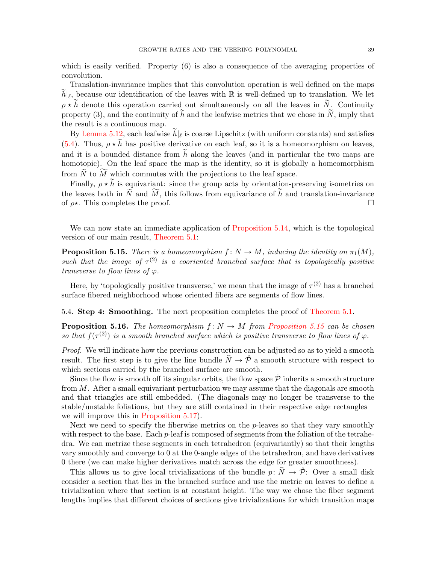which is easily verified. Property  $(6)$  is also a consequence of the averaging properties of convolution.

Translation-invariance implies that this convolution operation is well defined on the maps  $\widetilde{h}|_{\ell}$ , because our identification of the leaves with R is well-defined up to translation. We let  $\rho \star \tilde{h}$  denote this operation carried out simultaneously on all the leaves in  $\tilde{N}$ . Continuity property (3), and the continuity of  $\tilde{h}$  and the leafwise metrics that we chose in  $\tilde{N}$ , imply that the result is a continuous map.

By [Lemma 5.12,](#page-35-0) each leafwise  $\widetilde{h}|_{\ell}$  is coarse Lipschitz (with uniform constants) and satisfies [\(5.4\)](#page-37-0). Thus,  $\rho \star \tilde{h}$  has positive derivative on each leaf, so it is a homeomorphism on leaves, and it is a bounded distance from  $\tilde{h}$  along the leaves (and in particular the two maps are homotopic). On the leaf space the map is the identity, so it is globally a homeomorphism from  $\widetilde{N}$  to  $\widetilde{M}$  which commutes with the projections to the leaf space.

Finally,  $\rho \star \tilde{h}$  is equivariant: since the group acts by orientation-preserving isometries on the leaves both in  $\widetilde{N}$  and  $\widetilde{M}$ , this follows from equivariance of  $\widetilde{h}$  and translation-invariance of  $\rho \star$ . This completes the proof.

We can now state an immediate application of [Proposition 5.14,](#page-37-1) which is the topological version of our main result, [Theorem 5.1:](#page-26-0)

<span id="page-38-0"></span>**Proposition 5.15.** There is a homeomorphism  $f: N \to M$ , inducing the identity on  $\pi_1(M)$ , such that the image of  $\tau^{(2)}$  is a cooriented branched surface that is topologically positive transverse to flow lines of  $\varphi$ .

Here, by 'topologically positive transverse,' we mean that the image of  $\tau^{(2)}$  has a branched surface fibered neighborhood whose oriented fibers are segments of flow lines.

<span id="page-38-1"></span>5.4. Step 4: Smoothing. The next proposition completes the proof of [Theorem 5.1.](#page-26-0)

**Proposition 5.16.** The homeomorphism  $f: N \to M$  from [Proposition 5.15](#page-38-0) can be chosen so that  $f(\tau^{(2)})$  is a smooth branched surface which is positive transverse to flow lines of  $\varphi$ .

Proof. We will indicate how the previous construction can be adjusted so as to yield a smooth result. The first step is to give the line bundle  $\tilde{N} \rightarrow \tilde{\mathcal{P}}$  a smooth structure with respect to which sections carried by the branched surface are smooth.

Since the flow is smooth off its singular orbits, the flow space  $\hat{\mathcal{P}}$  inherits a smooth structure from M. After a small equivariant perturbation we may assume that the diagonals are smooth and that triangles are still embedded. (The diagonals may no longer be transverse to the stable/unstable foliations, but they are still contained in their respective edge rectangles – we will improve this in [Proposition 5.17\)](#page-39-0).

Next we need to specify the fiberwise metrics on the  $p$ -leaves so that they vary smoothly with respect to the base. Each  $p$ -leaf is composed of segments from the foliation of the tetrahedra. We can metrize these segments in each tetrahedron (equivariantly) so that their lengths vary smoothly and converge to 0 at the 0-angle edges of the tetrahedron, and have derivatives 0 there (we can make higher derivatives match across the edge for greater smoothness).

This allows us to give local trivializations of the bundle  $p: \tilde{N} \rightarrow \tilde{P}$ : Over a small disk consider a section that lies in the branched surface and use the metric on leaves to define a trivialization where that section is at constant height. The way we chose the fiber segment lengths implies that different choices of sections give trivializations for which transition maps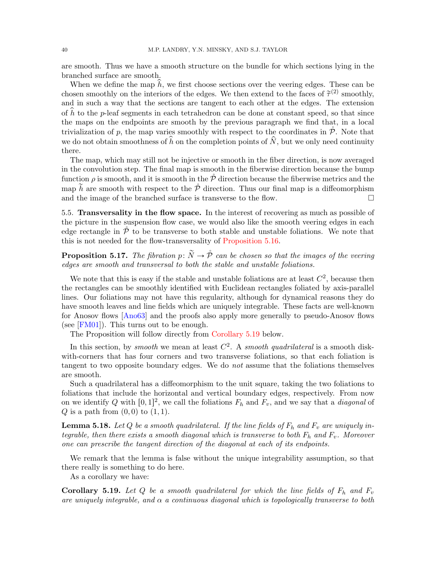are smooth. Thus we have a smooth structure on the bundle for which sections lying in the branched surface are smooth.

When we define the map  $\hat{h}$ , we first choose sections over the veering edges. These can be chosen smoothly on the interiors of the edges. We then extend to the faces of  $\tilde{\tau}^{(2)}$  smoothly, and in such a way that the sections are tangent to each other at the edges. The extension of  $h$  to the p-leaf segments in each tetrahedron can be done at constant speed, so that since the maps on the endpoints are smooth by the previous paragraph we find that, in a local trivialization of p, the map varies smoothly with respect to the coordinates in  $\tilde{\mathcal{P}}$ . Note that we do not obtain smoothness of  $\hat{h}$  on the completion points of  $\hat{N}$ , but we only need continuity there.

The map, which may still not be injective or smooth in the fiber direction, is now averaged in the convolution step. The final map is smooth in the fiberwise direction because the bump function  $\rho$  is smooth, and it is smooth in the  $\tilde{\mathcal{P}}$  direction because the fiberwise metrics and the map  $\tilde{h}$  are smooth with respect to the  $\dot{\mathcal{P}}$  direction. Thus our final map is a diffeomorphism and the image of the branched surface is transverse to the flow.  $\Box$ 

5.5. Transversality in the flow space. In the interest of recovering as much as possible of the picture in the suspension flow case, we would also like the smooth veering edges in each edge rectangle in  $\tilde{\mathcal{P}}$  to be transverse to both stable and unstable foliations. We note that this is not needed for the flow-transversality of [Proposition 5.16.](#page-38-1)

<span id="page-39-0"></span>**Proposition 5.17.** The fibration  $p: \widetilde{N} \to \hat{\mathcal{P}}$  can be chosen so that the images of the veering edges are smooth and transversal to both the stable and unstable foliations.

We note that this is easy if the stable and unstable foliations are at least  $C^2$ , because then the rectangles can be smoothly identified with Euclidean rectangles foliated by axis-parallel lines. Our foliations may not have this regularity, although for dynamical reasons they do have smooth leaves and line fields which are uniquely integrable. These facts are well-known for Anosov flows [\[Ano63\]](#page-71-0) and the proofs also apply more generally to pseudo-Anosov flows (see [\[FM01\]](#page-71-1)). This turns out to be enough.

The Proposition will follow directly from [Corollary 5.19](#page-39-1) below.

In this section, by smooth we mean at least  $C^2$ . A smooth quadrilateral is a smooth diskwith-corners that has four corners and two transverse foliations, so that each foliation is tangent to two opposite boundary edges. We do not assume that the foliations themselves are smooth.

Such a quadrilateral has a diffeomorphism to the unit square, taking the two foliations to foliations that include the horizontal and vertical boundary edges, respectively. From now on we identify Q with  $[0, 1]^2$ , we call the foliations  $F_h$  and  $F_v$ , and we say that a *diagonal* of  $Q$  is a path from  $(0, 0)$  to  $(1, 1)$ .

<span id="page-39-2"></span>**Lemma 5.18.** Let Q be a smooth quadrilateral. If the line fields of  $F_h$  and  $F_v$  are uniquely integrable, then there exists a smooth diagonal which is transverse to both  $F_h$  and  $F_v$ . Moreover one can prescribe the tangent direction of the diagonal at each of its endpoints.

We remark that the lemma is false without the unique integrability assumption, so that there really is something to do here.

As a corollary we have:

<span id="page-39-1"></span>**Corollary 5.19.** Let Q be a smooth quadrilateral for which the line fields of  $F_h$  and  $F_v$ are uniquely integrable, and  $\alpha$  a continuous diagonal which is topologically transverse to both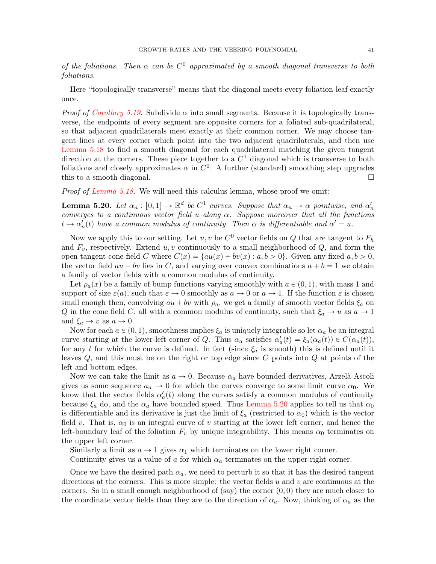of the foliations. Then  $\alpha$  can be  $C^0$  approximated by a smooth diagonal transverse to both foliations.

Here "topologically transverse" means that the diagonal meets every foliation leaf exactly once.

*Proof of [Corollary 5.19.](#page-39-1)* Subdivide  $\alpha$  into small segments. Because it is topologically transverse, the endpoints of every segment are opposite corners for a foliated sub-quadrilateral, so that adjacent quadrilaterals meet exactly at their common corner. We may choose tangent lines at every corner which point into the two adjacent quadrilaterals, and then use [Lemma 5.18](#page-39-2) to find a smooth diagonal for each quadrilateral matching the given tangent direction at the corners. These piece together to a  $C<sup>1</sup>$  diagonal which is transverse to both foliations and closely approximates  $\alpha$  in  $C^0$ . A further (standard) smoothing step upgrades this to a smooth diagonal.

Proof of [Lemma 5.18.](#page-39-2) We will need this calculus lemma, whose proof we omit:

<span id="page-40-0"></span>**Lemma 5.20.** Let  $\alpha_n : [0,1] \to \mathbb{R}^d$  be  $C^1$  curves. Suppose that  $\alpha_n \to \alpha$  pointwise, and  $\alpha'_n$ converges to a continuous vector field u along  $\alpha$ . Suppose moreover that all the functions  $t \mapsto \alpha_n'(t)$  have a common modulus of continuity. Then  $\alpha$  is differentiable and  $\alpha' = u$ .

Now we apply this to our setting. Let  $u, v$  be  $C^0$  vector fields on  $Q$  that are tangent to  $F_h$ and  $F_v$ , respectively. Extend u, v continuously to a small neighborhood of  $Q$ , and form the open tangent cone field C where  $C(x) = \{au(x) + bv(x) : a, b > 0\}$ . Given any fixed  $a, b > 0$ , the vector field  $au + bv$  lies in C, and varying over convex combinations  $a + b = 1$  we obtain a family of vector fields with a common modulus of continuity.

Let  $\rho_a(x)$  be a family of bump functions varying smoothly with  $a \in (0, 1)$ , with mass 1 and support of size  $\varepsilon(a)$ , such that  $\varepsilon \to 0$  smoothly as  $a \to 0$  or  $a \to 1$ . If the function  $\varepsilon$  is chosen small enough then, convolving  $au + bv$  with  $\rho_a$ , we get a family of smooth vector fields  $\xi_a$  on Q in the cone field C, all with a common modulus of continuity, such that  $\xi_a \to u$  as  $a \to 1$ and  $\xi_a \rightarrow v$  as  $a \rightarrow 0$ .

Now for each  $a \in (0, 1)$ , smoothness implies  $\xi_a$  is uniquely integrable so let  $\alpha_a$  be an integral curve starting at the lower-left corner of Q. Thus  $\alpha_a$  satisfies  $\alpha'_a(t) = \xi_a(\alpha_a(t)) \in C(\alpha_a(t)),$ for any t for which the curve is defined. In fact (since  $\xi_a$  is smooth) this is defined until it leaves  $Q$ , and this must be on the right or top edge since  $C$  points into  $Q$  at points of the left and bottom edges.

Now we can take the limit as  $a \to 0$ . Because  $\alpha_a$  have bounded derivatives, Arzelà-Ascoli gives us some sequence  $a_n \to 0$  for which the curves converge to some limit curve  $\alpha_0$ . We know that the vector fields  $\alpha'_a(t)$  along the curves satisfy a common modulus of continuity because  $\xi_a$  do, and the  $\alpha_a$  have bounded speed. Thus [Lemma 5.20](#page-40-0) applies to tell us that  $\alpha_0$ is differentiable and its derivative is just the limit of  $\xi_a$  (restricted to  $\alpha_0$ ) which is the vector field v. That is,  $\alpha_0$  is an integral curve of v starting at the lower left corner, and hence the left-boundary leaf of the foliation  $F_v$  by unique integrability. This means  $\alpha_0$  terminates on the upper left corner.

Similarly a limit as  $a \to 1$  gives  $\alpha_1$  which terminates on the lower right corner.

Continuity gives us a value of  $a$  for which  $\alpha_a$  terminates on the upper-right corner.

Once we have the desired path  $\alpha_a$ , we need to perturb it so that it has the desired tangent directions at the corners. This is more simple: the vector fields  $u$  and  $v$  are continuous at the corners. So in a small enough neighborhood of (say) the corner  $(0, 0)$  they are much closer to the coordinate vector fields than they are to the direction of  $\alpha_a$ . Now, thinking of  $\alpha_a$  as the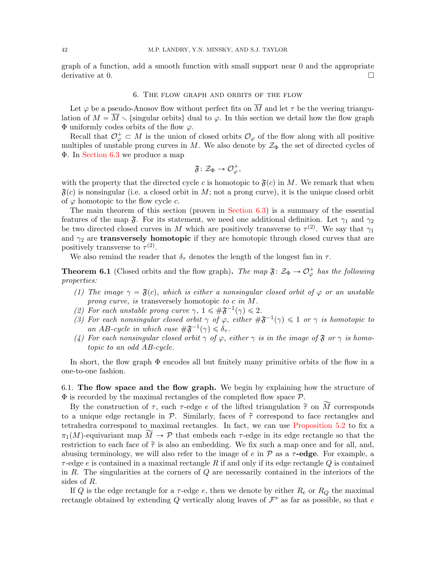graph of a function, add a smooth function with small support near 0 and the appropriate derivative at 0.

# 6. The flow graph and orbits of the flow

Let  $\varphi$  be a pseudo-Anosov flow without perfect fits on  $\overline{M}$  and let  $\tau$  be the veering triangulation of  $M = \overline{M} \setminus \{\text{singular orbits}\}\$  dual to  $\varphi$ . In this section we detail how the flow graph  $\Phi$  uniformly codes orbits of the flow  $\varphi$ .

Recall that  $\mathcal{O}_{\varphi}^+ \subset M$  is the union of closed orbits  $\mathcal{O}_{\varphi}$  of the flow along with all positive multiples of unstable prong curves in M. We also denote by  $\mathcal{Z}_{\Phi}$  the set of directed cycles of Φ. In [Section 6.3](#page-50-0) we produce a map

$$
\mathfrak{F}\colon \mathcal{Z}_{\Phi} \to \mathcal{O}_{\varphi}^+,
$$

with the property that the directed cycle c is homotopic to  $\mathfrak{F}(c)$  in M. We remark that when  $\mathfrak{F}(c)$  is nonsingular (i.e. a closed orbit in M; not a prong curve), it is the unique closed orbit of  $\varphi$  homotopic to the flow cycle c.

The main theorem of this section (proven in [Section 6.3\)](#page-50-0) is a summary of the essential features of the map  $\mathfrak{F}$ . For its statement, we need one additional definition. Let  $\gamma_1$  and  $\gamma_2$ be two directed closed curves in M which are positively transverse to  $\tau^{(2)}$ . We say that  $\gamma_1$ and  $\gamma_2$  are **transversely homotopic** if they are homotopic through closed curves that are positively transverse to  $\tau^{(2)}$ .

We also remind the reader that  $\delta_{\tau}$  denotes the length of the longest fan in  $\tau$ .

<span id="page-41-0"></span>**Theorem 6.1** (Closed orbits and the flow graph). The map  $\mathfrak{F} : \mathcal{Z}_{\Phi} \to \mathcal{O}_{\varphi}^+$  has the following properties:

- (1) The image  $\gamma = \mathfrak{F}(c)$ , which is either a nonsingular closed orbit of  $\varphi$  or an unstable prong curve, is transversely homotopic to c in M.
- (2) For each unstable prong curve  $\gamma$ ,  $1 \leq \#\mathfrak{F}^{-1}(\gamma) \leq 2$ .
- (3) For each nonsingular closed orbit  $\gamma$  of  $\varphi$ , either  $\#\mathfrak{F}^{-1}(\gamma) \leq 1$  or  $\gamma$  is homotopic to an AB-cycle in which case  $\#\mathfrak{F}^{-1}(\gamma) \leq \delta_{\tau}$ .
- (4) For each nonsingular closed orbit  $\gamma$  of  $\varphi$ , either  $\gamma$  is in the image of  $\mathfrak F$  or  $\gamma$  is homotopic to an odd AB-cycle.

In short, the flow graph Φ encodes all but finitely many primitive orbits of the flow in a one-to-one fashion.

6.1. The flow space and the flow graph. We begin by explaining how the structure of  $\Phi$  is recorded by the maximal rectangles of the completed flow space  $\mathcal{P}$ .

By the construction of  $\tau$ , each  $\tau$ -edge e of the lifted triangulation  $\tilde{\tau}$  on  $\tilde{M}$  corresponds to a unique edge rectangle in  $\mathcal{P}$ . Similarly, faces of  $\tilde{\tau}$  correspond to face rectangles and tetrahedra correspond to maximal rectangles. In fact, we can use [Proposition 5.2](#page-27-0) to fix a  $\pi_1(M)$ -equivariant map  $\widetilde{M} \to \mathcal{P}$  that embeds each  $\tau$ -edge in its edge rectangle so that the restriction to each face of  $\tilde{\tau}$  is also an embedding. We fix such a map once and for all, and, abusing terminology, we will also refer to the image of e in  $\mathcal P$  as a  $\tau$ -edge. For example, a  $\tau$ -edge e is contained in a maximal rectangle R if and only if its edge rectangle Q is contained in R. The singularities at the corners of  $Q$  are necessarily contained in the interiors of the sides of R.

If Q is the edge rectangle for a  $\tau$ -edge e, then we denote by either  $R_e$  or  $R_Q$  the maximal rectangle obtained by extending Q vertically along leaves of  $\mathcal{F}^s$  as far as possible, so that e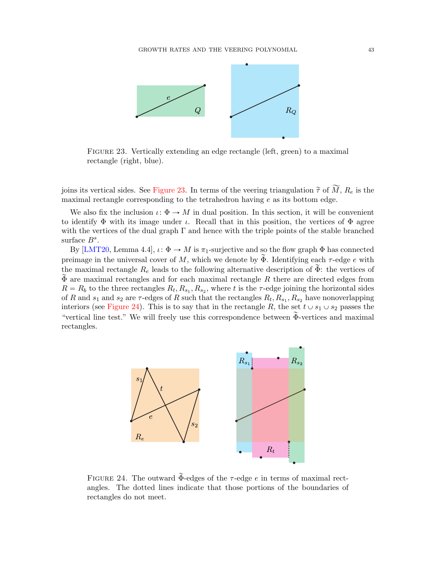

<span id="page-42-0"></span>Figure 23. Vertically extending an edge rectangle (left, green) to a maximal rectangle (right, blue).

joins its vertical sides. See [Figure 23.](#page-42-0) In terms of the veering triangulation  $\tilde{\tau}$  of  $\widetilde{M}$ ,  $R_e$  is the maximal rectangle corresponding to the tetrahedron having  $e$  as its bottom edge.

We also fix the inclusion  $\iota: \Phi \to M$  in dual position. In this section, it will be convenient to identify  $\Phi$  with its image under *ι*. Recall that in this position, the vertices of  $\Phi$  agree with the vertices of the dual graph  $\Gamma$  and hence with the triple points of the stable branched surface  $B^s$ .

By [\[LMT20,](#page-72-0) Lemma 4.4],  $\iota: \Phi \to M$  is  $\pi_1$ -surjective and so the flow graph  $\Phi$  has connected preimage in the universal cover of M, which we denote by  $\widetilde{\Phi}$ . Identifying each  $\tau$ -edge e with the maximal rectangle  $R_e$  leads to the following alternative description of  $\Phi$ : the vertices of  $\Phi$  are maximal rectangles and for each maximal rectangle R there are directed edges from  $R = R_b$  to the three rectangles  $R_t, R_{s_1}, R_{s_2}$ , where t is the  $\tau$ -edge joining the horizontal sides of R and  $s_1$  and  $s_2$  are  $\tau$ -edges of R such that the rectangles  $R_t, R_{s_1}, R_{s_2}$  have nonoverlapping interiors (see [Figure 24\)](#page-42-1). This is to say that in the rectangle R, the set  $t \cup s_1 \cup s_2$  passes the "vertical line test." We will freely use this correspondence between  $\tilde{\Phi}$ -vertices and maximal rectangles.



<span id="page-42-1"></span>FIGURE 24. The outward  $\Phi$ -edges of the  $\tau$ -edge e in terms of maximal rectangles. The dotted lines indicate that those portions of the boundaries of rectangles do not meet.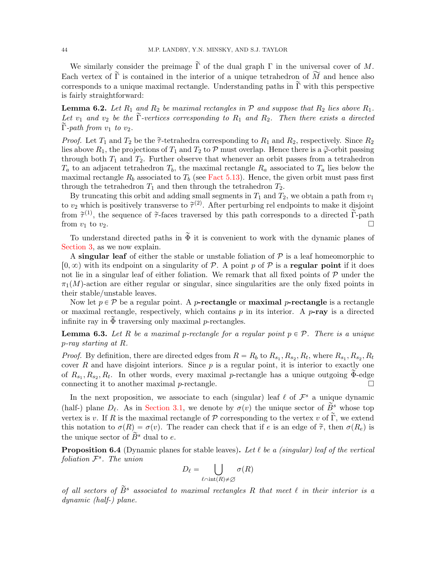We similarly consider the preimage  $\tilde{\Gamma}$  of the dual graph  $\Gamma$  in the universal cover of M. Each vertex of  $\tilde{\Gamma}$  is contained in the interior of a unique tetrahedron of  $\widetilde{M}$  and hence also corresponds to a unique maximal rectangle. Understanding paths in  $\tilde{\Gamma}$  with this perspective is fairly straightforward:

<span id="page-43-0"></span>**Lemma 6.2.** Let  $R_1$  and  $R_2$  be maximal rectangles in  $P$  and suppose that  $R_2$  lies above  $R_1$ . Let  $v_1$  and  $v_2$  be the  $\Gamma$ -vertices corresponding to  $R_1$  and  $R_2$ . Then there exists a directed  $\Gamma$ -path from  $v_1$  to  $v_2$ .

*Proof.* Let  $T_1$  and  $T_2$  be the  $\tilde{\tau}$ -tetrahedra corresponding to  $R_1$  and  $R_2$ , respectively. Since  $R_2$ lies above  $R_1$ , the projections of  $T_1$  and  $T_2$  to P must overlap. Hence there is a  $\tilde{\varphi}$ -orbit passing through both  $T_1$  and  $T_2$ . Further observe that whenever an orbit passes from a tetrahedron  $T_a$  to an adjacent tetrahedron  $T_b$ , the maximal rectangle  $R_a$  associated to  $T_a$  lies below the maximal rectangle  $R_b$  associated to  $T_b$  (see [Fact 5.13\)](#page-36-0). Hence, the given orbit must pass first through the tetrahedron  $T_1$  and then through the tetrahedron  $T_2$ .

By truncating this orbit and adding small segments in  $T_1$  and  $T_2$ , we obtain a path from  $v_1$ to  $v_2$  which is positively transverse to  $\tilde{\tau}^{(2)}$ . After perturbing rel endpoints to make it disjoint from  $\tilde{\tau}^{(1)}$ , the sequence of  $\tilde{\tau}$ -faces traversed by this path corresponds to a directed  $\tilde{\Gamma}$ -path from  $v_1$  to  $v_2$ .

To understand directed paths in  $\tilde{\Phi}$  it is convenient to work with the dynamic planes of [Section 3,](#page-9-0) as we now explain.

A singular leaf of either the stable or unstable foliation of  $P$  is a leaf homeomorphic to  $[0, \infty)$  with its endpoint on a singularity of P. A point p of P is a regular point if it does not lie in a singular leaf of either foliation. We remark that all fixed points of  $P$  under the  $\pi_1(M)$ -action are either regular or singular, since singularities are the only fixed points in their stable/unstable leaves.

Now let  $p \in \mathcal{P}$  be a regular point. A *p*-rectangle or maximal *p*-rectangle is a rectangle or maximal rectangle, respectively, which contains  $p$  in its interior. A  $p$ -ray is a directed infinite ray in  $\Phi$  traversing only maximal *p*-rectangles.

**Lemma 6.3.** Let R be a maximal p-rectangle for a regular point  $p \in \mathcal{P}$ . There is a unique p-ray starting at R.

*Proof.* By definition, there are directed edges from  $R = R_b$  to  $R_{s_1}, R_{s_2}, R_t$ , where  $R_{s_1}, R_{s_2}, R_t$ cover  $R$  and have disjoint interiors. Since  $p$  is a regular point, it is interior to exactly one of  $R_{s_1}, R_{s_2}, R_t$ . In other words, every maximal p-rectangle has a unique outgoing  $\widetilde{\Phi}$ -edge connecting it to another maximal  $p$ -rectangle.

In the next proposition, we associate to each (singular) leaf  $\ell$  of  $\mathcal{F}^s$  a unique dynamic (half-) plane  $D_\ell$ . As in [Section 3.1,](#page-9-1) we denote by  $\sigma(v)$  the unique sector of  $\tilde{B}^s$  whose top vertex is v. If R is the maximal rectangle of P corresponding to the vertex v of  $\tilde{\Gamma}$ , we extend this notation to  $\sigma(R) = \sigma(v)$ . The reader can check that if e is an edge of  $\tilde{\tau}$ , then  $\sigma(R_e)$  is the unique sector of  $\widetilde{B}^s$  dual to e.

<span id="page-43-1"></span>**Proposition 6.4** (Dynamic planes for stable leaves). Let  $\ell$  be a (singular) leaf of the vertical foliation  $\mathcal{F}^s$ . The union

$$
D_{\ell} = \bigcup_{\ell \cap \text{int}(R) \neq \varnothing} \sigma(R)
$$

of all sectors of  $\widetilde{B}^s$  associated to maximal rectangles R that meet  $\ell$  in their interior is a dynamic (half-) plane.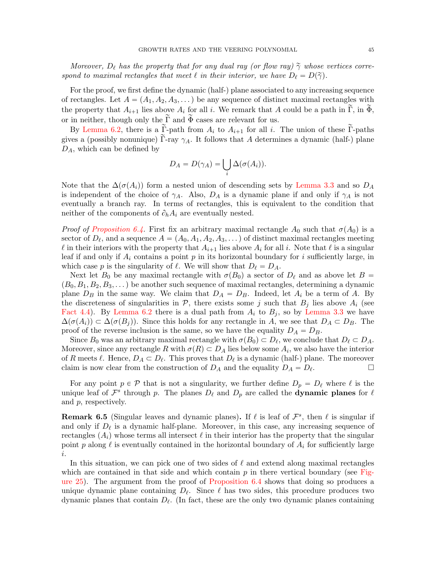Moreover,  $D_{\ell}$  has the property that for any dual ray (or flow ray)  $\tilde{\gamma}$  whose vertices correspond to maximal rectangles that meet  $\ell$  in their interior, we have  $D_{\ell} = D(\tilde{\gamma})$ .

For the proof, we first define the dynamic (half-) plane associated to any increasing sequence of rectangles. Let  $A = (A_1, A_2, A_3, ...)$  be any sequence of distinct maximal rectangles with the property that  $A_{i+1}$  lies above  $A_i$  for all i. We remark that A could be a path in  $\tilde{\Gamma}$ , in  $\tilde{\Phi}$ , or in neither, though only the  $\tilde{\Gamma}$  and  $\tilde{\Phi}$  cases are relevant for us.

By [Lemma 6.2,](#page-43-0) there is a  $\tilde{\Gamma}$ -path from  $A_i$  to  $A_{i+1}$  for all i. The union of these  $\tilde{\Gamma}$ -paths gives a (possibly nonunique)  $\tilde{\Gamma}$ -ray  $\gamma_A$ . It follows that A determines a dynamic (half-) plane  $D_A$ , which can be defined by

$$
D_A = D(\gamma_A) = \bigcup_i \Delta(\sigma(A_i)).
$$

Note that the  $\Delta(\sigma(A_i))$  form a nested union of descending sets by [Lemma 3.3](#page-12-0) and so  $D_A$ is independent of the choice of  $\gamma_A$ . Also,  $D_A$  is a dynamic plane if and only if  $\gamma_A$  is not eventually a branch ray. In terms of rectangles, this is equivalent to the condition that neither of the components of  $\partial_h A_i$  are eventually nested.

*Proof of [Proposition 6.4.](#page-43-1)* First fix an arbitrary maximal rectangle  $A_0$  such that  $\sigma(A_0)$  is a sector of  $D_{\ell}$ , and a sequence  $A = (A_0, A_1, A_2, A_3, ...)$  of distinct maximal rectangles meeting  $\ell$  in their interiors with the property that  $A_{i+1}$  lies above  $A_i$  for all i. Note that  $\ell$  is a singular leaf if and only if  $A_i$  contains a point p in its horizontal boundary for i sufficiently large, in which case p is the singularity of  $\ell$ . We will show that  $D_{\ell} = D_A$ .

Next let  $B_0$  be any maximal rectangle with  $\sigma(B_0)$  a sector of  $D_\ell$  and as above let  $B =$  $(B_0, B_1, B_2, B_3, \dots)$  be another such sequence of maximal rectangles, determining a dynamic plane  $D_B$  in the same way. We claim that  $D_A = D_B$ . Indeed, let  $A_i$  be a term of A. By the discreteness of singularities in  $P$ , there exists some j such that  $B_j$  lies above  $A_i$  (see [Fact 4.4\)](#page-23-0). By [Lemma 6.2](#page-43-0) there is a dual path from  $A_i$  to  $B_j$ , so by [Lemma 3.3](#page-12-0) we have  $\Delta(\sigma(A_i)) \subset \Delta(\sigma(B_i))$ . Since this holds for any rectangle in A, we see that  $D_A \subset D_B$ . The proof of the reverse inclusion is the same, so we have the equality  $D_A = D_B$ .

Since  $B_0$  was an arbitrary maximal rectangle with  $\sigma(B_0) \subset D_\ell$ , we conclude that  $D_\ell \subset D_A$ . Moreover, since any rectangle R with  $\sigma(R) \subset D_A$  lies below some  $A_i$ , we also have the interior of R meets  $\ell$ . Hence,  $D_A \subset D_{\ell}$ . This proves that  $D_{\ell}$  is a dynamic (half-) plane. The moreover claim is now clear from the construction of  $D_A$  and the equality  $D_A = D_{\ell}$ . . В процесс и проставители и производите в се<mark>пте</mark>ндата на производите в село во село во село во село во село во<br>Село во село во село во село во село во село во село во село во село во село во село во село во село во село

For any point  $p \in \mathcal{P}$  that is not a singularity, we further define  $D_p = D_\ell$  where  $\ell$  is the unique leaf of  $\mathcal{F}^s$  through p. The planes  $D_\ell$  and  $D_p$  are called the **dynamic planes** for  $\ell$ and p, respectively.

<span id="page-44-0"></span>**Remark 6.5** (Singular leaves and dynamic planes). If  $\ell$  is leaf of  $\mathcal{F}^s$ , then  $\ell$  is singular if and only if  $D_{\ell}$  is a dynamic half-plane. Moreover, in this case, any increasing sequence of rectangles  $(A_i)$  whose terms all intersect  $\ell$  in their interior has the property that the singular point p along  $\ell$  is eventually contained in the horizontal boundary of  $A_i$  for sufficiently large i.

In this situation, we can pick one of two sides of  $\ell$  and extend along maximal rectangles which are contained in that side and which contain  $p$  in there vertical boundary (see [Fig](#page-45-0)[ure 25\)](#page-45-0). The argument from the proof of [Proposition 6.4](#page-43-1) shows that doing so produces a unique dynamic plane containing  $D_\ell$ . Since  $\ell$  has two sides, this procedure produces two dynamic planes that contain  $D_{\ell}$ . (In fact, these are the only two dynamic planes containing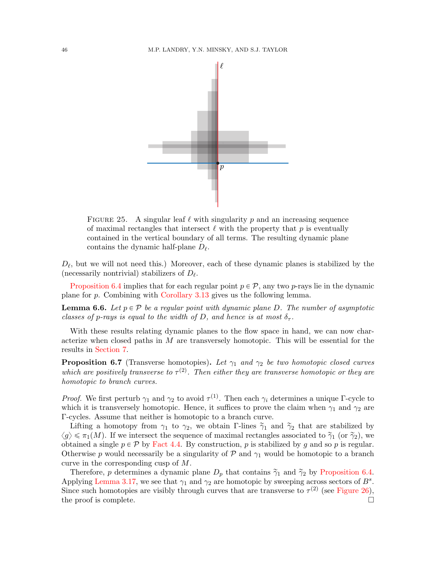

<span id="page-45-0"></span>FIGURE 25. A singular leaf  $\ell$  with singularity p and an increasing sequence of maximal rectangles that intersect  $\ell$  with the property that p is eventually contained in the vertical boundary of all terms. The resulting dynamic plane contains the dynamic half-plane  $D_{\ell}$ .

 $D_{\ell}$ , but we will not need this.) Moreover, each of these dynamic planes is stabilized by the (necessarily nontrivial) stabilizers of  $D_{\ell}$ .

[Proposition 6.4](#page-43-1) implies that for each regular point  $p \in \mathcal{P}$ , any two p-rays lie in the dynamic plane for p. Combining with [Corollary 3.13](#page-17-0) gives us the following lemma.

<span id="page-45-2"></span>**Lemma 6.6.** Let  $p \in \mathcal{P}$  be a regular point with dynamic plane D. The number of asymptotic classes of p-rays is equal to the width of D, and hence is at most  $\delta_{\tau}$ .

With these results relating dynamic planes to the flow space in hand, we can now characterize when closed paths in  $M$  are transversely homotopic. This will be essential for the results in [Section 7.](#page-53-0)

<span id="page-45-1"></span>**Proposition 6.7** (Transverse homotopies). Let  $\gamma_1$  and  $\gamma_2$  be two homotopic closed curves which are positively transverse to  $\tau^{(2)}$ . Then either they are transverse homotopic or they are homotopic to branch curves.

*Proof.* We first perturb  $\gamma_1$  and  $\gamma_2$  to avoid  $\tau^{(1)}$ . Then each  $\gamma_i$  determines a unique  $\Gamma$ -cycle to which it is transversely homotopic. Hence, it suffices to prove the claim when  $\gamma_1$  and  $\gamma_2$  are Γ-cycles. Assume that neither is homotopic to a branch curve.

Lifting a homotopy from  $\gamma_1$  to  $\gamma_2$ , we obtain Γ-lines  $\tilde{\gamma}_1$  and  $\tilde{\gamma}_2$  that are stabilized by  $\langle g \rangle \leq \pi_1(M)$ . If we intersect the sequence of maximal rectangles associated to  $\tilde{\gamma}_1$  (or  $\tilde{\gamma}_2$ ), we obtained a single  $p \in \mathcal{P}$  by [Fact 4.4.](#page-23-0) By construction, p is stabilized by g and so p is regular. Otherwise p would necessarily be a singularity of  $P$  and  $\gamma_1$  would be homotopic to a branch curve in the corresponding cusp of M.

Therefore, p determines a dynamic plane  $D_p$  that contains  $\tilde{\gamma}_1$  and  $\tilde{\gamma}_2$  by [Proposition 6.4.](#page-43-1) Applying [Lemma 3.17,](#page-19-0) we see that  $\gamma_1$  and  $\gamma_2$  are homotopic by sweeping across sectors of  $B^s$ . Since such homotopies are visibly through curves that are transverse to  $\tau^{(2)}$  (see [Figure 26\)](#page-46-0), the proof is complete.  $\Box$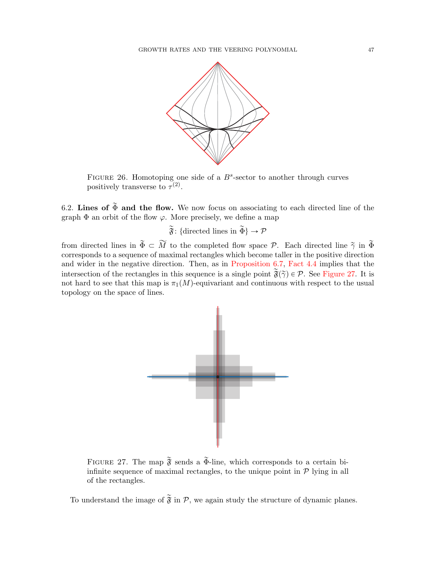

<span id="page-46-0"></span>FIGURE 26. Homotoping one side of a  $B^s$ -sector to another through curves positively transverse to  $\tau^{(2)}$ .

6.2. Lines of  $\widetilde{\Phi}$  and the flow. We now focus on associating to each directed line of the graph  $\Phi$  an orbit of the flow  $\varphi$ . More precisely, we define a map

 $\widetilde{\mathfrak{F}}$ : {directed lines in  $\widetilde{\Phi}$ }  $\rightarrow \mathcal{P}$ 

from directed lines in  $\tilde{\Phi} \subset \widetilde{M}$  to the completed flow space P. Each directed line  $\tilde{\gamma}$  in  $\tilde{\Phi}$ corresponds to a sequence of maximal rectangles which become taller in the positive direction and wider in the negative direction. Then, as in [Proposition 6.7,](#page-45-1) [Fact 4.4](#page-23-0) implies that the intersection of the rectangles in this sequence is a single point  $\tilde{\mathfrak{F}}(\tilde{\gamma}) \in \mathcal{P}$ . See [Figure 27.](#page-46-1) It is not hard to see that this map is  $\pi_1(M)$ -equivariant and continuous with respect to the usual topology on the space of lines.



<span id="page-46-1"></span>FIGURE 27. The map  $\tilde{\mathfrak{F}}$  sends a  $\tilde{\Phi}$ -line, which corresponds to a certain biinfinite sequence of maximal rectangles, to the unique point in  $P$  lying in all of the rectangles.

To understand the image of  $\tilde{\mathfrak{F}}$  in P, we again study the structure of dynamic planes.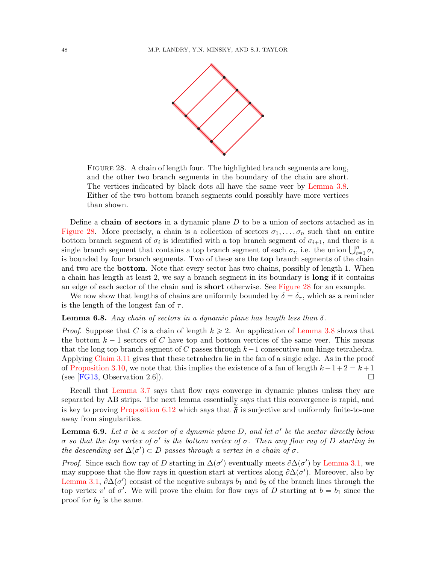

<span id="page-47-0"></span>FIGURE 28. A chain of length four. The highlighted branch segments are long, and the other two branch segments in the boundary of the chain are short. The vertices indicated by black dots all have the same veer by [Lemma 3.8.](#page-15-0) Either of the two bottom branch segments could possibly have more vertices than shown.

Define a chain of sectors in a dynamic plane  $D$  to be a union of sectors attached as in [Figure 28.](#page-47-0) More precisely, a chain is a collection of sectors  $\sigma_1, \ldots, \sigma_n$  such that an entire bottom branch segment of  $\sigma_i$  is identified with a top branch segment of  $\sigma_{i+1}$ , and there is a bottom branch segment of  $\sigma_i$  is identified with a top branch segment of  $\sigma_{i+1}$ , and there is a single branch segment that contains a top branch segment of each  $\sigma_i$ , i.e. the union  $\bigcup_{i=1}^n \sigma_i$ is bounded by four branch segments. Two of these are the top branch segments of the chain and two are the bottom. Note that every sector has two chains, possibly of length 1. When a chain has length at least 2, we say a branch segment in its boundary is long if it contains an edge of each sector of the chain and is short otherwise. See [Figure 28](#page-47-0) for an example.

We now show that lengths of chains are uniformly bounded by  $\delta = \delta_{\tau}$ , which as a reminder is the length of the longest fan of  $\tau$ .

## <span id="page-47-2"></span>**Lemma 6.8.** Any chain of sectors in a dynamic plane has length less than  $\delta$ .

*Proof.* Suppose that C is a chain of length  $k \ge 2$ . An application of [Lemma 3.8](#page-15-0) shows that the bottom  $k - 1$  sectors of C have top and bottom vertices of the same veer. This means that the long top branch segment of C passes through  $k-1$  consecutive non-hinge tetrahedra. Applying [Claim 3.11](#page-16-0) gives that these tetrahedra lie in the fan of a single edge. As in the proof of [Proposition 3.10,](#page-16-1) we note that this implies the existence of a fan of length  $k - 1 + 2 = k + 1$ (see [\[FG13,](#page-71-2) Observation 2.6]).

Recall that [Lemma 3.7](#page-13-0) says that flow rays converge in dynamic planes unless they are separated by AB strips. The next lemma essentially says that this convergence is rapid, and is key to proving [Proposition 6.12](#page-50-1) which says that  $\tilde{\mathfrak{F}}$  is surjective and uniformly finite-to-one away from singularities.

<span id="page-47-1"></span>**Lemma 6.9.** Let  $\sigma$  be a sector of a dynamic plane D, and let  $\sigma'$  be the sector directly below σ so that the top vertex of σ' is the bottom vertex of σ. Then any flow ray of D starting in the descending set  $\Delta(\sigma') \subset D$  passes through a vertex in a chain of  $\sigma$ .

*Proof.* Since each flow ray of D starting in  $\Delta(\sigma')$  eventually meets  $\partial \Delta(\sigma')$  by [Lemma 3.1,](#page-10-0) we may suppose that the flow rays in question start at vertices along  $\partial \Delta(\sigma')$ . Moreover, also by [Lemma 3.1,](#page-10-0)  $\partial \Delta(\sigma')$  consist of the negative subrays  $b_1$  and  $b_2$  of the branch lines through the top vertex v' of  $\sigma'$ . We will prove the claim for flow rays of D starting at  $b = b_1$  since the proof for  $b_2$  is the same.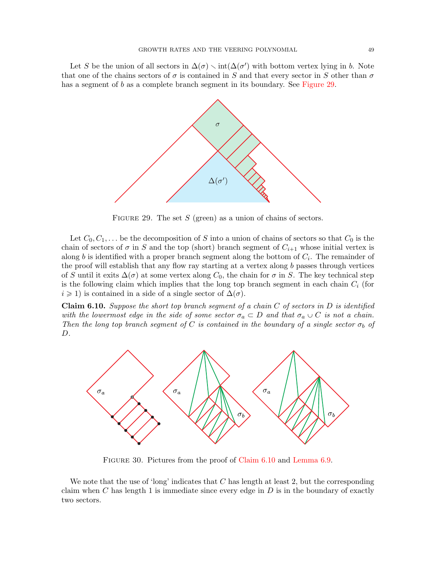Let S be the union of all sectors in  $\Delta(\sigma) \setminus \text{int}(\Delta(\sigma')$  with bottom vertex lying in b. Note that one of the chains sectors of  $\sigma$  is contained in S and that every sector in S other than  $\sigma$ has a segment of b as a complete branch segment in its boundary. See [Figure 29.](#page-48-0)



<span id="page-48-0"></span>FIGURE 29. The set  $S$  (green) as a union of chains of sectors.

Let  $C_0, C_1, \ldots$  be the decomposition of S into a union of chains of sectors so that  $C_0$  is the chain of sectors of  $\sigma$  in S and the top (short) branch segment of  $C_{i+1}$  whose initial vertex is along b is identified with a proper branch segment along the bottom of  $C_i$ . The remainder of the proof will establish that any flow ray starting at a vertex along b passes through vertices of S until it exits  $\Delta(\sigma)$  at some vertex along C<sub>0</sub>, the chain for  $\sigma$  in S. The key technical step is the following claim which implies that the long top branch segment in each chain  $C_i$  (for  $i \geq 1$ ) is contained in a side of a single sector of  $\Delta(\sigma)$ .

<span id="page-48-1"></span>**Claim 6.10.** Suppose the short top branch seqment of a chain  $C$  of sectors in  $D$  is identified with the lowermost edge in the side of some sector  $\sigma_a \subset D$  and that  $\sigma_a \cup C$  is not a chain. Then the long top branch segment of C is contained in the boundary of a single sector  $\sigma_b$  of D.



<span id="page-48-2"></span>FIGURE 30. Pictures from the proof of [Claim 6.10](#page-48-1) and [Lemma 6.9.](#page-47-1)

We note that the use of 'long' indicates that  $C$  has length at least 2, but the corresponding claim when C has length 1 is immediate since every edge in  $D$  is in the boundary of exactly two sectors.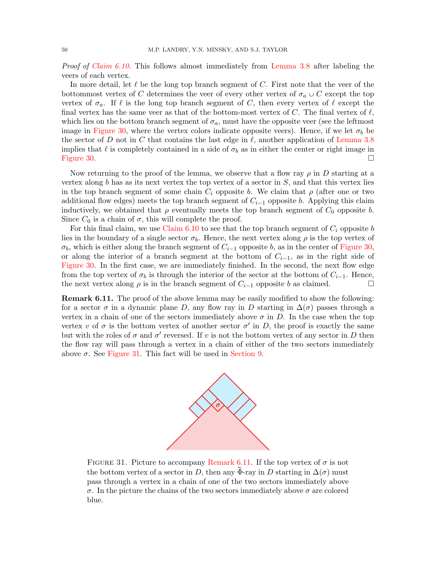Proof of [Claim 6.10.](#page-48-1) This follows almost immediately from [Lemma 3.8](#page-15-0) after labeling the veers of each vertex.

In more detail, let  $\ell$  be the long top branch segment of C. First note that the veer of the bottommost vertex of C determines the veer of every other vertex of  $\sigma_a \cup C$  except the top vertex of  $\sigma_a$ . If  $\ell$  is the long top branch segment of C, then every vertex of  $\ell$  except the final vertex has the same veer as that of the bottom-most vertex of C. The final vertex of  $\ell$ , which lies on the bottom branch segment of  $\sigma_a$ , must have the opposite veer (see the leftmost image in [Figure 30,](#page-48-2) where the vertex colors indicate opposite veers). Hence, if we let  $\sigma_b$  be the sector of D not in C that contains the last edge in  $\ell$ , another application of [Lemma 3.8](#page-15-0) implies that  $\ell$  is completely contained in a side of  $\sigma_b$  as in either the center or right image in [Figure 30.](#page-48-2)  $\Box$ 

Now returning to the proof of the lemma, we observe that a flow ray  $\rho$  in D starting at a vertex along b has as its next vertex the top vertex of a sector in  $S$ , and that this vertex lies in the top branch segment of some chain  $C_i$  opposite b. We claim that  $\rho$  (after one or two additional flow edges) meets the top branch segment of  $C_{i-1}$  opposite b. Applying this claim inductively, we obtained that  $\rho$  eventually meets the top branch segment of  $C_0$  opposite b. Since  $C_0$  is a chain of  $\sigma$ , this will complete the proof.

For this final claim, we use [Claim 6.10](#page-48-1) to see that the top branch segment of  $C_i$  opposite b lies in the boundary of a single sector  $\sigma_b$ . Hence, the next vertex along  $\rho$  is the top vertex of  $\sigma_b$ , which is either along the branch segment of  $C_{i-1}$  opposite b, as in the center of [Figure 30,](#page-48-2) or along the interior of a branch segment at the bottom of  $C_{i-1}$ , as in the right side of [Figure 30.](#page-48-2) In the first case, we are immediately finished. In the second, the next flow edge from the top vertex of  $\sigma_b$  is through the interior of the sector at the bottom of  $C_{i-1}$ . Hence, the next vertex along  $\rho$  is in the branch segment of  $C_{i-1}$  opposite b as claimed.

<span id="page-49-1"></span>**Remark 6.11.** The proof of the above lemma may be easily modified to show the following: for a sector  $\sigma$  in a dynamic plane D, any flow ray in D starting in  $\Delta(\sigma)$  passes through a vertex in a chain of one of the sectors immediately above  $\sigma$  in D. In the case when the top vertex v of  $\sigma$  is the bottom vertex of another sector  $\sigma'$  in D, the proof is exactly the same but with the roles of  $\sigma$  and  $\sigma'$  reversed. If v is not the bottom vertex of any sector in D then the flow ray will pass through a vertex in a chain of either of the two sectors immediately above  $\sigma$ . See [Figure 31.](#page-49-0) This fact will be used in [Section 9.](#page-61-0)



<span id="page-49-0"></span>FIGURE 31. Picture to accompany [Remark 6.11.](#page-49-1) If the top vertex of  $\sigma$  is not the bottom vertex of a sector in D, then any  $\Phi$ -ray in D starting in  $\Delta(\sigma)$  must pass through a vertex in a chain of one of the two sectors immediately above σ. In the picture the chains of the two sectors immediately above σ are colored blue.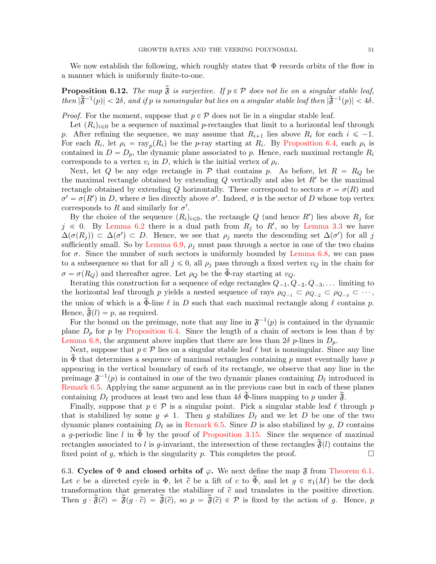We now establish the following, which roughly states that  $\Phi$  records orbits of the flow in a manner which is uniformly finite-to-one.

<span id="page-50-1"></span>**Proposition 6.12.** The map  $\tilde{\mathfrak{F}}$  is surjective. If  $p \in \mathcal{P}$  does not lie on a singular stable leaf, then  $|\widetilde{\mathfrak{F}}^{-1}(p)| < 2\delta$ , and if p is nonsingular but lies on a singular stable leaf then  $|\widetilde{\mathfrak{F}}^{-1}(p)| < 4\delta$ .

*Proof.* For the moment, suppose that  $p \in \mathcal{P}$  does not lie in a singular stable leaf.

Let  $(R_i)_{i\leq 0}$  be a sequence of maximal p-rectangles that limit to a horizontal leaf through p. After refining the sequence, we may assume that  $R_{i+1}$  lies above  $R_i$  for each  $i \leq -1$ . For each  $R_i$ , let  $\rho_i = \text{ray}_p(R_i)$  be the p-ray starting at  $R_i$ . By [Proposition 6.4,](#page-43-1) each  $\rho_i$  is contained in  $D = D_p$ , the dynamic plane associated to p. Hence, each maximal rectangle  $R_i$ corresponds to a vertex  $v_i$  in D, which is the initial vertex of  $\rho_i$ .

Next, let Q be any edge rectangle in P that contains p. As before, let  $R = R_Q$  be the maximal rectangle obtained by extending  $Q$  vertically and also let  $R'$  be the maximal rectangle obtained by extending Q horizontally. These correspond to sectors  $\sigma = \sigma(R)$  and  $\sigma' = \sigma(R')$  in D, where  $\sigma$  lies directly above  $\sigma'$ . Indeed,  $\sigma$  is the sector of D whose top vertex corresponds to R and similarly for  $\sigma'$ .

By the choice of the sequence  $(R_i)_{i\leq 0}$ , the rectangle Q (and hence R') lies above  $R_j$  for  $j \ll 0$ . By [Lemma 6.2](#page-43-0) there is a dual path from  $R_j$  to R', so by [Lemma 3.3](#page-12-0) we have  $\Delta(\sigma(R_j)) \subset \Delta(\sigma') \subset D$ . Hence, we see that  $\rho_j$  meets the descending set  $\Delta(\sigma')$  for all j sufficiently small. So by [Lemma 6.9,](#page-47-1)  $\rho_i$  must pass through a sector in one of the two chains for  $\sigma$ . Since the number of such sectors is uniformly bounded by [Lemma 6.8,](#page-47-2) we can pass to a subsequence so that for all  $j \leq 0$ , all  $\rho_j$  pass through a fixed vertex  $v_Q$  in the chain for  $\sigma = \sigma(R_Q)$  and thereafter agree. Let  $\rho_Q$  be the Φ-ray starting at  $v_Q$ .

Iterating this construction for a sequence of edge rectangles  $Q_{-1}, Q_{-2}, Q_{-3}, \ldots$  limiting to the horizontal leaf through p yields a nested sequence of rays  $\rho_{Q-1} \subset \rho_{Q-2} \subset \rho_{Q-3} \subset \cdots$ , the union of which is a  $\widetilde{\Phi}$ -line  $\ell$  in D such that each maximal rectangle along  $\ell$  contains p. Hence,  $\tilde{\mathfrak{F}}(l) = p$ , as required.

For the bound on the preimage, note that any line in  $\mathfrak{F}^{-1}(p)$  is contained in the dynamic plane  $D_p$  for p by [Proposition 6.4.](#page-43-1) Since the length of a chain of sectors is less than  $\delta$  by [Lemma 6.8,](#page-47-2) the argument above implies that there are less than  $2\delta p$ -lines in  $D_p$ .

Next, suppose that  $p \in \mathcal{P}$  lies on a singular stable leaf  $\ell$  but is nonsingular. Since any line in  $\Phi$  that determines a sequence of maximal rectangles containing p must eventually have p appearing in the vertical boundary of each of its rectangle, we observe that any line in the preimage  $\mathfrak{F}^{-1}(p)$  is contained in one of the two dynamic planes containing  $D_{\ell}$  introduced in [Remark 6.5.](#page-44-0) Applying the same argument as in the previous case but in each of these planes containing  $D_\ell$  produces at least two and less than  $4\delta \Phi$ -lines mapping to p under  $\mathfrak{F}$ .

Finally, suppose that  $p \in \mathcal{P}$  is a singular point. Pick a singular stable leaf  $\ell$  through p that is stabilized by some  $g \neq 1$ . Then g stabilizes  $D_\ell$  and we let D be one of the two dynamic planes containing  $D_\ell$  as in [Remark 6.5.](#page-44-0) Since D is also stabilized by g, D contains a g-periodic line l in  $\widetilde{\Phi}$  by the proof of [Proposition 3.15.](#page-17-1) Since the sequence of maximal rectangles associated to l is g-invariant, the intersection of these rectangles  $\tilde{\mathfrak{F}}(l)$  contains the fixed point of g, which is the singularity p. This completes the proof.  $\Box$ 

<span id="page-50-0"></span>6.3. Cycles of  $\Phi$  and closed orbits of  $\varphi$ . We next define the map  $\mathfrak{F}$  from [Theorem 6.1.](#page-41-0) Let c be a directed cycle in  $\Phi$ , let  $\tilde{c}$  be a lift of c to  $\tilde{\Phi}$ , and let  $g \in \pi_1(M)$  be the deck transformation that generates the stabilizer of  $\tilde{c}$  and translates in the positive direction. Then  $g \cdot \tilde{\mathfrak{F}}(\tilde{c}) = \tilde{\mathfrak{F}}(g \cdot \tilde{c}) = \tilde{\mathfrak{F}}(\tilde{c}),$  so  $p = \tilde{\mathfrak{F}}(\tilde{c}) \in \mathcal{P}$  is fixed by the action of g. Hence, p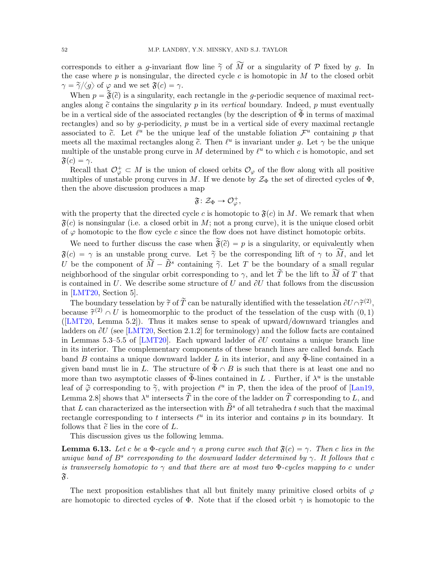corresponds to either a g-invariant flow line  $\tilde{\gamma}$  of  $\tilde{M}$  or a singularity of  $P$  fixed by g. In the case where  $p$  is nonsingular, the directed cycle  $c$  is homotopic in  $M$  to the closed orbit  $\gamma = \tilde{\gamma}/\langle g \rangle$  of  $\varphi$  and we set  $\mathfrak{F}(c) = \gamma$ .

When  $p = \tilde{\mathfrak{F}}(\tilde{c})$  is a singularity, each rectangle in the g-periodic sequence of maximal rectangles along  $\tilde{c}$  contains the singularity p in its vertical boundary. Indeed, p must eventually be in a vertical side of the associated rectangles (by the description of  $\tilde{\Phi}$  in terms of maximal rectangles) and so by g-periodicity,  $p$  must be in a vertical side of every maximal rectangle associated to  $\tilde{c}$ . Let  $\ell^u$  be the unique leaf of the unstable foliation  $\mathcal{F}^u$  containing p that meets all the maximal rectangles along  $\tilde{c}$ . Then  $\ell^u$  is invariant under g. Let  $\gamma$  be the unique multiple of the unstable prong curve in M determined by  $\ell^u$  to which c is homotopic, and set  $\mathfrak{F}(c) = \gamma.$ 

Recall that  $\mathcal{O}_{\varphi}^+ \subset M$  is the union of closed orbits  $\mathcal{O}_{\varphi}$  of the flow along with all positive multiples of unstable prong curves in M. If we denote by  $\mathcal{Z}_{\Phi}$  the set of directed cycles of  $\Phi$ , then the above discussion produces a map

$$
\mathfrak{F}\colon \mathcal{Z}_\Phi\rightarrow \mathcal{O}_\varphi^+,
$$

with the property that the directed cycle c is homotopic to  $\mathfrak{F}(c)$  in M. We remark that when  $\mathfrak{F}(c)$  is nonsingular (i.e. a closed orbit in M; not a prong curve), it is the unique closed orbit of  $\varphi$  homotopic to the flow cycle c since the flow does not have distinct homotopic orbits.

We need to further discuss the case when  $\tilde{\mathfrak{F}}(\tilde{c}) = p$  is a singularity, or equivalently when  $\mathfrak{F}(c) = \gamma$  is an unstable prong curve. Let  $\tilde{\gamma}$  be the corresponding lift of  $\gamma$  to  $\widetilde{M}$ , and let U be the component of  $\hat{\overline{M}} - \tilde{B}^s$  containing  $\tilde{\gamma}$ . Let T be the boundary of a small regular neighborhood of the singular orbit corresponding to  $\gamma$ , and let  $\widetilde{T}$  be the lift to  $\widetilde{M}$  of T that is contained in U. We describe some structure of U and  $\partial U$  that follows from the discussion in [\[LMT20,](#page-72-0) Section 5].

The boundary tesselation by  $\widetilde{\tau}$  of  $\widetilde{T}$  can be naturally identified with the tesselation  $\partial U \cap \widetilde{\tau}^{(2)}$ , because  $\tilde{\tau}^{(2)} \cap U$  is homeomorphic to the product of the tesselation of the cusp with  $(0, 1)$ ([\[LMT20,](#page-72-0) Lemma 5.2]). Thus it makes sense to speak of upward/downward triangles and ladders on  $\partial U$  (see [\[LMT20,](#page-72-0) Section 2.1.2] for terminology) and the follow facts are contained in Lemmas 5.3–5.5 of [\[LMT20\]](#page-72-0). Each upward ladder of  $\partial U$  contains a unique branch line in its interior. The complementary components of these branch lines are called bands. Each band B contains a unique downward ladder L in its interior, and any  $\Phi$ -line contained in a given band must lie in L. The structure of  $\widetilde{\Phi} \cap B$  is such that there is at least one and no more than two asymptotic classes of  $\tilde{\Phi}$ -lines contained in L. Further, if  $\lambda^u$  is the unstable leaf of  $\tilde{\varphi}$  corresponding to  $\tilde{\gamma}$ , with projection  $\ell^u$  in  $\mathcal{P}$ , then the idea of the proof of [\[Lan19,](#page-71-3) Lemma 2.8 shows that  $\lambda^u$  intersects  $\tilde{T}$  in the core of the ladder on  $\tilde{T}$  corresponding to L, and that L can characterized as the intersection with  $\widetilde{B}^s$  of all tetrahedra t such that the maximal rectangle corresponding to t intersects  $\ell^u$  in its interior and contains p in its boundary. It follows that  $\tilde{c}$  lies in the core of  $L$ .

This discussion gives us the following lemma.

<span id="page-51-0"></span>**Lemma 6.13.** Let c be a  $\Phi$ -cycle and  $\gamma$  a prong curve such that  $\mathfrak{F}(c) = \gamma$ . Then c lies in the unique band of  $B^s$  corresponding to the downward ladder determined by  $\gamma$ . It follows that c is transversely homotopic to  $\gamma$  and that there are at most two  $\Phi$ -cycles mapping to c under  $\mathfrak{F}.$ 

The next proposition establishes that all but finitely many primitive closed orbits of  $\varphi$ are homotopic to directed cycles of  $\Phi$ . Note that if the closed orbit  $\gamma$  is homotopic to the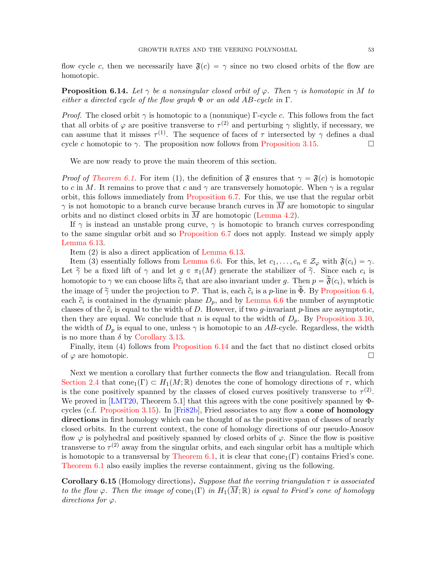flow cycle c, then we necessarily have  $\mathfrak{F}(c) = \gamma$  since no two closed orbits of the flow are homotopic.

<span id="page-52-0"></span>**Proposition 6.14.** Let  $\gamma$  be a nonsingular closed orbit of  $\varphi$ . Then  $\gamma$  is homotopic in M to either a directed cycle of the flow graph  $\Phi$  or an odd AB-cycle in  $\Gamma$ .

*Proof.* The closed orbit  $\gamma$  is homotopic to a (nonunique) Γ-cycle c. This follows from the fact that all orbits of  $\varphi$  are positive transverse to  $\tau^{(2)}$  and perturbing  $\gamma$  slightly, if necessary, we can assume that it misses  $\tau^{(1)}$ . The sequence of faces of  $\tau$  intersected by  $\gamma$  defines a dual cycle c homotopic to  $\gamma$ . The proposition now follows from [Proposition 3.15.](#page-17-1)

We are now ready to prove the main theorem of this section.

*Proof of [Theorem 6.1.](#page-41-0)* For item (1), the definition of  $\mathfrak{F}$  ensures that  $\gamma = \mathfrak{F}(c)$  is homotopic to c in M. It remains to prove that c and  $\gamma$  are transversely homotopic. When  $\gamma$  is a regular orbit, this follows immediately from [Proposition 6.7.](#page-45-1) For this, we use that the regular orbit  $\gamma$  is not homotopic to a branch curve because branch curves in M are homotopic to singular orbits and no distinct closed orbits in  $\overline{M}$  are homotopic [\(Lemma 4.2\)](#page-22-0).

If  $\gamma$  is instead an unstable prong curve,  $\gamma$  is homotopic to branch curves corresponding to the same singular orbit and so [Proposition 6.7](#page-45-1) does not apply. Instead we simply apply [Lemma 6.13.](#page-51-0)

Item (2) is also a direct application of [Lemma 6.13.](#page-51-0)

Item (3) essentially follows from [Lemma 6.6.](#page-45-2) For this, let  $c_1, \ldots, c_n \in \mathcal{Z}_{\varphi}$  with  $\mathfrak{F}(c_i) = \gamma$ . Let  $\tilde{\gamma}$  be a fixed lift of  $\gamma$  and let  $g \in \pi_1(M)$  generate the stabilizer of  $\tilde{\gamma}$ . Since each  $c_i$  is homotopic to  $\gamma$  we can choose lifts  $\tilde{c}_i$  that are also invariant under g. Then  $p = \tilde{\mathfrak{F}}(c_i)$ , which is the image of  $\gamma$  under the projection to P. That is, each  $\tilde{c}_i$  is a p-line in  $\tilde{\Phi}$ . By [Proposition 6.4,](#page-43-1) each  $\tilde{c}_i$  is contained in the dynamic plane  $D_p$ , and by [Lemma 6.6](#page-45-2) the number of asymptotic classes of the  $\tilde{c}_i$  is equal to the width of D. However, if two g-invariant p-lines are asymptotic, then they are equal. We conclude that n is equal to the width of  $D_p$ . By [Proposition 3.10,](#page-16-1) the width of  $D_p$  is equal to one, unless  $\gamma$  is homotopic to an AB-cycle. Regardless, the width is no more than  $\delta$  by [Corollary 3.13.](#page-17-0)

Finally, item  $(4)$  follows from [Proposition 6.14](#page-52-0) and the fact that no distinct closed orbits of  $\varphi$  are homotopic.

Next we mention a corollary that further connects the flow and triangulation. Recall from [Section 2.4](#page-8-0) that cone<sub>1</sub> $(\Gamma) \subset H_1(M;\mathbb{R})$  denotes the cone of homology directions of  $\tau$ , which is the cone positively spanned by the classes of closed curves positively transverse to  $\tau^{(2)}$ . We proved in [\[LMT20,](#page-72-0) Theorem 5.1] that this agrees with the cone positively spanned by Φcycles (c.f. [Proposition 3.15\)](#page-17-1). In [\[Fri82b\]](#page-71-4), Fried associates to any flow a cone of homology directions in first homology which can be thought of as the positive span of classes of nearly closed orbits. In the current context, the cone of homology directions of our pseudo-Anosov flow  $\varphi$  is polyhedral and positively spanned by closed orbits of  $\varphi$ . Since the flow is positive transverse to  $\tau^{(2)}$  away from the singular orbits, and each singular orbit has a multiple which is homotopic to a transversal by [Theorem 6.1,](#page-41-0) it is clear that cone<sub>1</sub>( $\Gamma$ ) contains Fried's cone. [Theorem 6.1](#page-41-0) also easily implies the reverse containment, giving us the following.

**Corollary 6.15** (Homology directions). Suppose that the veering triangulation  $\tau$  is associated to the flow  $\varphi$ . Then the image of cone<sub>1</sub> $(\Gamma)$  in  $H_1(M;\mathbb{R})$  is equal to Fried's cone of homology directions for  $\varphi$ .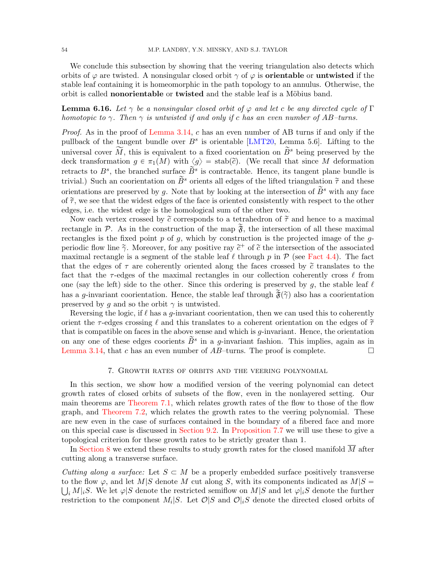We conclude this subsection by showing that the veering triangulation also detects which orbits of  $\varphi$  are twisted. A nonsingular closed orbit  $\gamma$  of  $\varphi$  is **orientable** or **untwisted** if the stable leaf containing it is homeomorphic in the path topology to an annulus. Otherwise, the orbit is called **nonorientable** or **twisted** and the stable leaf is a Möbius band.

# **Lemma 6.16.** Let  $\gamma$  be a nonsingular closed orbit of  $\varphi$  and let c be any directed cycle of  $\Gamma$ homotopic to  $\gamma$ . Then  $\gamma$  is untwisted if and only if c has an even number of AB-turns.

Proof. As in the proof of [Lemma 3.14,](#page-17-2) c has an even number of AB turns if and only if the pullback of the tangent bundle over  $B^s$  is orientable [\[LMT20,](#page-72-0) Lemma 5.6]. Lifting to the universal cover M, this is equivalent to a fixed coorientation on  $\tilde{B}^s$  being preserved by the deck transformation  $g \in \pi_1(M)$  with  $\langle g \rangle = \text{stab}(\tilde{c})$ . (We recall that since M deformation retracts to  $B^s$ , the branched surface  $\widetilde{B}^s$  is contractable. Hence, its tangent plane bundle is trivial.) Such an coorientation on  $\tilde{B}^s$  orients all edges of the lifted triangulation  $\tilde{\tau}$  and these orientations are preserved by q. Note that by looking at the intersection of  $\tilde{B}^s$  with any face of  $\tilde{\tau}$ , we see that the widest edges of the face is oriented consistently with respect to the other edges, i.e. the widest edge is the homological sum of the other two.

Now each vertex crossed by  $\tilde{c}$  corresponds to a tetrahedron of  $\tilde{\tau}$  and hence to a maximal rectangle in P. As in the construction of the map  $\tilde{\mathfrak{F}}$ , the intersection of all these maximal rectangles is the fixed point  $p$  of  $q$ , which by construction is the projected image of the  $q$ periodic flow line  $\tilde{\gamma}$ . Moreover, for any positive ray  $\tilde{c}^+$  of  $\tilde{c}$  the intersection of the associated maximal rectangle is a segment of the stable leaf  $\ell$  through p in  $\mathcal P$  (see [Fact 4.4\)](#page-23-0). The fact that the edges of  $\tau$  are coherently oriented along the faces crossed by  $\tilde{c}$  translates to the fact that the  $\tau$ -edges of the maximal rectangles in our collection coherently cross  $\ell$  from one (say the left) side to the other. Since this ordering is preserved by g, the stable leaf  $\ell$ has a g-invariant coorientation. Hence, the stable leaf through  $\tilde{\mathfrak{F}}(\tilde{\gamma})$  also has a coorientation preserved by q and so the orbit  $\gamma$  is untwisted.

Reversing the logic, if  $\ell$  has a g-invariant coorientation, then we can used this to coherently orient the  $\tau$ -edges crossing  $\ell$  and this translates to a coherent orientation on the edges of  $\tilde{\tau}$ that is compatible on faces in the above sense and which is  $g$ -invariant. Hence, the orientation on any one of these edges coorients  $\widetilde{B}^s$  in a *g*-invariant fashion. This implies, again as in [Lemma 3.14,](#page-17-2) that c has an even number of  $AB$ -turns. The proof is complete.

#### 7. Growth rates of orbits and the veering polynomial

<span id="page-53-0"></span>In this section, we show how a modified version of the veering polynomial can detect growth rates of closed orbits of subsets of the flow, even in the nonlayered setting. Our main theorems are [Theorem 7.1,](#page-54-0) which relates growth rates of the flow to those of the flow graph, and [Theorem 7.2,](#page-54-1) which relates the growth rates to the veering polynomial. These are new even in the case of surfaces contained in the boundary of a fibered face and more on this special case is discussed in [Section 9.2.](#page-66-0) In [Proposition 7.7](#page-57-0) we will use these to give a topological criterion for these growth rates to be strictly greater than 1.

In [Section 8](#page-57-1) we extend these results to study growth rates for the closed manifold  $\overline{M}$  after cutting along a transverse surface.

Cutting along a surface: Let  $S \subset M$  be a properly embedded surface positively transverse to the flow  $\varphi$ , and let  $M|S$  denote M cut along S, with its components indicated as  $M|S =$  $i, M_{i}S$ . We let  $\varphi|S$  denote the restricted semiflow on  $M|S$  and let  $\varphi|iS$  denote the further restriction to the component  $M_i|S$ . Let  $\mathcal{O}|S$  and  $\mathcal{O}|iS$  denote the directed closed orbits of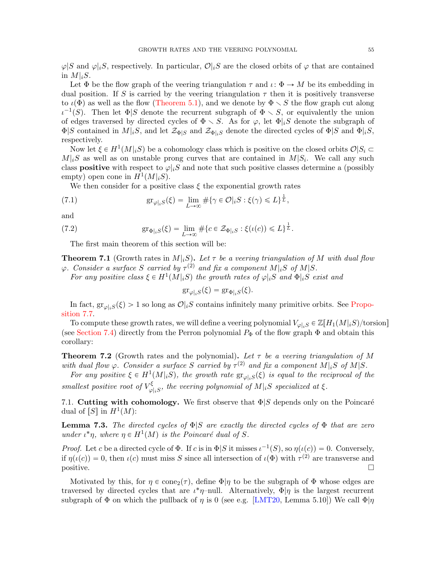$\varphi|S$  and  $\varphi|iS$ , respectively. In particular,  $\mathcal{O}|iS$  are the closed orbits of  $\varphi$  that are contained in  $M|_iS$ .

Let  $\Phi$  be the flow graph of the veering triangulation  $\tau$  and  $\iota: \Phi \to M$  be its embedding in dual position. If S is carried by the veering triangulation  $\tau$  then it is positively transverse to  $\iota(\Phi)$  as well as the flow [\(Theorem 5.1\)](#page-26-0), and we denote by  $\Phi \setminus S$  the flow graph cut along  $\iota^{-1}(S)$ . Then let  $\Phi|S$  denote the recurrent subgraph of  $\Phi \setminus S$ , or equivalently the union of edges traversed by directed cycles of  $\Phi \setminus S$ . As for  $\varphi$ , let  $\Phi|_iS$  denote the subgraph of  $\Phi|S$  contained in  $M|_iS$ , and let  $\mathcal{Z}_{\Phi|S}$  and  $\mathcal{Z}_{\Phi|S}$  denote the directed cycles of  $\Phi|S$  and  $\Phi|_iS$ , respectively.

Now let  $\xi \in H^1(M|_iS)$  be a cohomology class which is positive on the closed orbits  $\mathcal{O}|S_i \subset$  $M|_iS$  as well as on unstable prong curves that are contained in  $M|S_i$ . We call any such class **positive** with respect to  $\varphi|_iS$  and note that such positive classes determine a (possibly empty) open cone in  $H^1(M|_iS)$ .

We then consider for a positive class  $\xi$  the exponential growth rates

<span id="page-54-3"></span>(7.1) 
$$
\operatorname{gr}_{\varphi|_iS}(\xi) = \lim_{L \to \infty} \# \{ \gamma \in \mathcal{O} |_iS : \xi(\gamma) \leq L \}^{\frac{1}{L}},
$$

and

<span id="page-54-5"></span>(7.2) 
$$
\operatorname{gr}_{\Phi|_{i}S}(\xi) = \lim_{L \to \infty} \# \{c \in \mathcal{Z}_{\Phi|_{i}S} : \xi(\iota(c)) \leq L\}^{\frac{1}{L}}.
$$

The first main theorem of this section will be:

<span id="page-54-0"></span>**Theorem 7.1** (Growth rates in  $M|_{i}S$ ). Let  $\tau$  be a veering triangulation of M with dual flow  $\varphi$ . Consider a surface S carried by  $\tau^{(2)}$  and fix a component  $M|_{i}S$  of  $M|S$ .

For any positive class  $\xi \in H^1(M|_iS)$  the growth rates of  $\varphi|_iS$  and  $\Phi|_iS$  exist and

$$
\operatorname{gr}_{\varphi|_iS}(\xi) = \operatorname{gr}_{\Phi|_iS}(\xi).
$$

In fact,  $\operatorname{gr}_{\varphi|iS}(\xi) > 1$  so long as  $\mathcal{O}|iS$  contains infinitely many primitive orbits. See [Propo](#page-57-0)[sition 7.7.](#page-57-0)

To compute these growth rates, we will define a veering polynomial  $V_{\varphi|_iS} \in \mathbb{Z}[H_1(M|_iS)/\text{torsion}]$ (see [Section 7.4\)](#page-56-0) directly from the Perron polynomial  $P_{\Phi}$  of the flow graph  $\Phi$  and obtain this corollary:

<span id="page-54-1"></span>**Theorem 7.2** (Growth rates and the polynomial). Let  $\tau$  be a veering triangulation of M with dual flow  $\varphi$ . Consider a surface S carried by  $\tau^{(2)}$  and fix a component  $M|_{i}S$  of  $M|S$ .

For any positive  $\xi \in H^1(M|_iS)$ , the growth rate  $gr_{\varphi|_iS}(\xi)$  is equal to the reciprocal of the smallest positive root of  $V_{\alpha}^{\xi}$  $\mathcal{L}_{\varphi|_iS}^{\xi}$ , the veering polynomial of  $M|_iS$  specialized at  $\xi$ .

<span id="page-54-4"></span>7.1. Cutting with cohomology. We first observe that  $\Phi|S$  depends only on the Poincaré dual of  $[S]$  in  $H^1(M)$ :

<span id="page-54-2"></span>**Lemma 7.3.** The directed cycles of  $\Phi|S$  are exactly the directed cycles of  $\Phi$  that are zero under  $\iota^*\eta$ , where  $\eta \in H^1(M)$  is the Poincaré dual of S.

*Proof.* Let c be a directed cycle of  $\Phi$ . If c is in  $\Phi|S$  it misses  $\iota^{-1}(S)$ , so  $\eta(\iota(c)) = 0$ . Conversely, if  $\eta(\iota(c)) = 0$ , then  $\iota(c)$  must miss S since all intersection of  $\iota(\Phi)$  with  $\tau^{(2)}$  are transverse and  $\Box$  positive.

Motivated by this, for  $\eta \in \text{cone}_2(\tau)$ , define  $\Phi|\eta$  to be the subgraph of  $\Phi$  whose edges are traversed by directed cycles that are  $\iota^*\eta$ -null. Alternatively,  $\Phi|\eta$  is the largest recurrent subgraph of  $\Phi$  on which the pullback of  $\eta$  is 0 (see e.g. [\[LMT20,](#page-72-0) Lemma 5.10]) We call  $\Phi|\eta$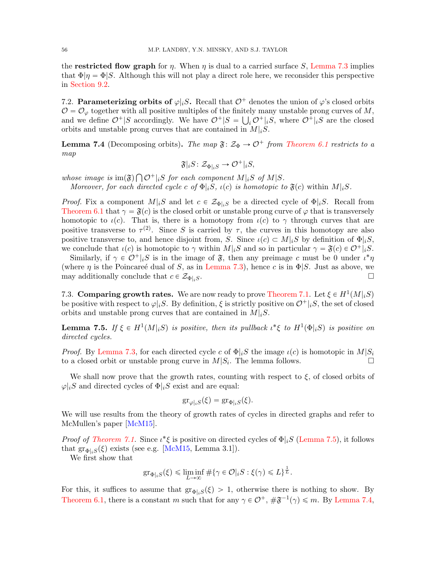the **restricted flow graph** for  $\eta$ . When  $\eta$  is dual to a carried surface S, [Lemma 7.3](#page-54-2) implies that  $\Phi|\eta = \Phi|S$ . Although this will not play a direct role here, we reconsider this perspective in [Section 9.2.](#page-66-0)

7.2. Parameterizing orbits of  $\varphi|_iS$ . Recall that  $\mathcal{O}^+$  denotes the union of  $\varphi$ 's closed orbits  $\mathcal{O} = \mathcal{O}_{\varphi}$  together with all positive multiples of the finitely many unstable prong curves of  $M$ , and we define  $\mathcal{O}^+|S$  accordingly. We have  $\mathcal{O}^+|S = \bigcup_i \mathcal{O}^+|_iS$ , where  $\mathcal{O}^+|_iS$  are the closed orbits and unstable prong curves that are contained in  $M|_{i}S$ .

<span id="page-55-1"></span>**Lemma 7.4** (Decomposing orbits). The map  $\mathfrak{F}: \mathcal{Z}_{\Phi} \to \mathcal{O}^+$  from [Theorem 6.1](#page-41-0) restricts to a map

$$
\mathfrak{F}|_{i}S\colon \mathcal{Z}_{\Phi|_{i}S} \to \mathcal{O}^+|_{i}S,
$$

whose image is  $\text{im}(\mathfrak{F})$  $\mathcal{O}^+|_iS$  for each component  $M|_iS$  of  $M|S$ .

ş

Moreover, for each directed cycle c of  $\Phi_i|S, \iota(c)$  is homotopic to  $\mathfrak{F}(c)$  within  $M|_iS$ .

*Proof.* Fix a component  $M|_{i}S$  and let  $c \in \mathcal{Z}_{\Phi|_{i}S}$  be a directed cycle of  $\Phi|_{i}S$ . Recall from [Theorem 6.1](#page-41-0) that  $\gamma = \mathfrak{F}(c)$  is the closed orbit or unstable prong curve of  $\varphi$  that is transversely homotopic to  $\iota(c)$ . That is, there is a homotopy from  $\iota(c)$  to  $\gamma$  through curves that are positive transverse to  $\tau^{(2)}$ . Since S is carried by  $\tau$ , the curves in this homotopy are also positive transverse to, and hence disjoint from, S. Since  $\iota(c) \subset M|_{i}S$  by definition of  $\Phi|_{i}S$ , we conclude that  $\iota(c)$  is homotopic to  $\gamma$  within  $M|_iS$  and so in particular  $\gamma = \mathfrak{F}(c) \in \mathcal{O}^+|_iS$ .

Similarly, if  $\gamma \in \mathcal{O}^+|_iS$  is in the image of  $\mathfrak{F}$ , then any preimage c must be 0 under  $\iota^*\eta$ (where  $\eta$  is the Poincare'e dual of S, as in [Lemma 7.3\)](#page-54-2), hence c is in  $\Phi|S$ . Just as above, we may additionally conclude that  $c \in \mathcal{Z}_{\Phi|i,S}$ .

7.3. Comparing growth rates. We are now ready to prove [Theorem 7.1.](#page-54-0) Let  $\xi \in H^1(M|_iS)$ be positive with respect to  $\varphi|_iS$ . By definition,  $\xi$  is strictly positive on  $\mathcal{O}^+|_iS$ , the set of closed orbits and unstable prong curves that are contained in  $M|_iS$ .

<span id="page-55-0"></span>**Lemma 7.5.** If  $\xi \in H^1(M|_iS)$  is positive, then its pullback  $\iota^* \xi$  to  $H^1(\Phi|_iS)$  is positive on directed cycles.

*Proof.* By [Lemma 7.3,](#page-54-2) for each directed cycle c of  $\Phi|_iS$  the image  $\iota(c)$  is homotopic in  $M|S_i$ to a closed orbit or unstable prong curve in  $M|S_i$ . The lemma follows.

We shall now prove that the growth rates, counting with respect to  $\xi$ , of closed orbits of  $\varphi|_iS$  and directed cycles of  $\Phi|_iS$  exist and are equal:

$$
\mathrm{gr}_{\varphi|_i S}(\xi) = \mathrm{gr}_{\Phi|_i S}(\xi).
$$

We will use results from the theory of growth rates of cycles in directed graphs and refer to McMullen's paper [\[McM15\]](#page-72-1).

*Proof of [Theorem 7.1.](#page-54-0)* Since  $\iota^* \xi$  is positive on directed cycles of  $\Phi|_iS$  [\(Lemma 7.5\)](#page-55-0), it follows that  $\operatorname{gr}_{\Phi|_iS}(\xi)$  exists (see e.g. [\[McM15,](#page-72-1) Lemma 3.1]).

We first show that

$$
\mathrm{gr}_{\Phi|_i S}(\xi) \leq \liminf_{L \to \infty} \# \{ \gamma \in \mathcal{O} |_i S : \xi(\gamma) \leq L \}^{\frac{1}{L}}.
$$

For this, it suffices to assume that  $\{(\xi) > 1\}$ , otherwise there is nothing to show. By [Theorem 6.1,](#page-41-0) there is a constant m such that for any  $\gamma \in \mathcal{O}^+$ ,  $\#\mathfrak{F}^{-1}(\gamma) \leq m$ . By [Lemma 7.4,](#page-55-1)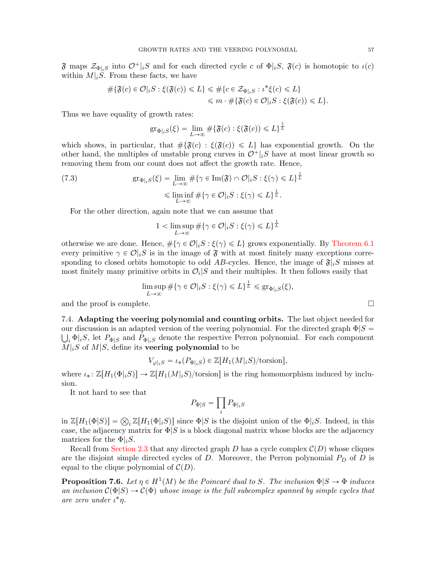$\mathfrak F$  maps  $\mathcal Z_{\Phi|iS}$  into  $\mathcal O^+|iS$  and for each directed cycle c of  $\Phi|iS, \mathfrak F(c)$  is homotopic to  $\iota(c)$ within  $M|_iS$ . From these facts, we have

$$
\begin{aligned} \# \{ \mathfrak{F}(c) \in \mathcal{O} |_{i} S : \xi(\mathfrak{F}(c)) \le L \} &\le \# \{ c \in \mathcal{Z}_{\Phi|_{i} S} : \iota^* \xi(c) \le L \} \\ &\le m \cdot \# \{ \mathfrak{F}(c) \in \mathcal{O} |_{i} S : \xi(\mathfrak{F}(c)) \le L \}. \end{aligned}
$$

Thus we have equality of growth rates:

$$
\mathrm{gr}_{\Phi|_i S}(\xi) = \lim_{L \to \infty} \# \{ \mathfrak{F}(c) : \xi(\mathfrak{F}(c)) \leq L \}^{\frac{1}{L}}
$$

which shows, in particular, that  $\#\{\mathfrak{F}(c) : \xi(\mathfrak{F}(c)) \leq L\}$  has exponential growth. On the other hand, the multiples of unstable prong curves in  $\mathcal{O}^+|_iS$  have at most linear growth so removing them from our count does not affect the growth rate. Hence,

(7.3) 
$$
\operatorname{gr}_{\Phi|_{i}S}(\xi) = \lim_{L \to \infty} \# \{ \gamma \in \operatorname{Im}(\mathfrak{F}) \cap \mathcal{O}|_{i}S : \xi(\gamma) \leq L \}^{\frac{1}{L}}
$$

$$
\leq \liminf_{L \to \infty} \# \{ \gamma \in \mathcal{O}|_{i}S : \xi(\gamma) \leq L \}^{\frac{1}{L}}.
$$

For the other direction, again note that we can assume that

$$
1 < \limsup_{L \to \infty} \# \{ \gamma \in \mathcal{O} | iS : \xi(\gamma) \leq L \}^{\frac{1}{L}}
$$

otherwise we are done. Hence,  $\#\{\gamma \in \mathcal{O}|iS : \xi(\gamma) \leq L\}$  grows exponentially. By [Theorem 6.1](#page-41-0) every primitive  $\gamma \in \mathcal{O}|iS$  is in the image of  $\mathfrak F$  with at most finitely many exceptions corresponding to closed orbits homotopic to odd AB-cycles. Hence, the image of  $\mathfrak{F}|iS$  misses at most finitely many primitive orbits in  $\mathcal{O}_i$  S and their multiples. It then follows easily that

$$
\limsup_{L\to\infty}\#\{\gamma\in\mathcal{O}|_iS:\xi(\gamma)\leqslant L\}^{\frac{1}{L}}\leqslant\text{gr}_{\Phi|_iS}(\xi),
$$

and the proof is complete.  $\Box$ 

<span id="page-56-0"></span>7.4. Adapting the veering polynomial and counting orbits. The last object needed for our discussion is an adapted version of the veering polynomial. For the directed graph  $\Phi|S=$  $\bigcup_i \Phi_i S$ , let  $P_{\Phi|S}$  and  $P_{\Phi|i}$  denote the respective Perron polynomial. For each component  $M|_iS$  of  $M|S$ , define its **veering polynomial** to be

$$
V_{\varphi|_iS} = \iota_*(P_{\Phi|_iS}) \in \mathbb{Z}[H_1(M|_iS)/\text{torsion}],
$$

where  $\iota_* : \mathbb{Z}[H_1(\Phi|_iS)] \to \mathbb{Z}[H_1(M|_iS)/\text{torsion}]$  is the ring homomorphism induced by inclusion.

It not hard to see that

$$
P_{\Phi|S}=\prod_i P_{\Phi|_i S}
$$

in  $\mathbb{Z}[H_1(\Phi|S)] = \bigotimes_i \mathbb{Z}[H_1(\Phi|_iS)]$  since  $\Phi|S$  is the disjoint union of the  $\Phi|_iS$ . Indeed, in this case, the adjacency matrix for  $\Phi|S$  is a block diagonal matrix whose blocks are the adjacency matrices for the  $\Phi|_iS$ .

Recall from [Section 2.3](#page-7-0) that any directed graph D has a cycle complex  $\mathcal{C}(D)$  whose cliques are the disjoint simple directed cycles of  $D$ . Moreover, the Perron polynomial  $P_D$  of  $D$  is equal to the clique polynomial of  $\mathcal{C}(D)$ .

<span id="page-56-1"></span>**Proposition 7.6.** Let  $\eta \in H^1(M)$  be the Poincaré dual to S. The inclusion  $\Phi|S \to \Phi$  induces an inclusion  $C(\Phi|S) \to C(\Phi)$  whose image is the full subcomplex spanned by simple cycles that are zero under ι ˚η.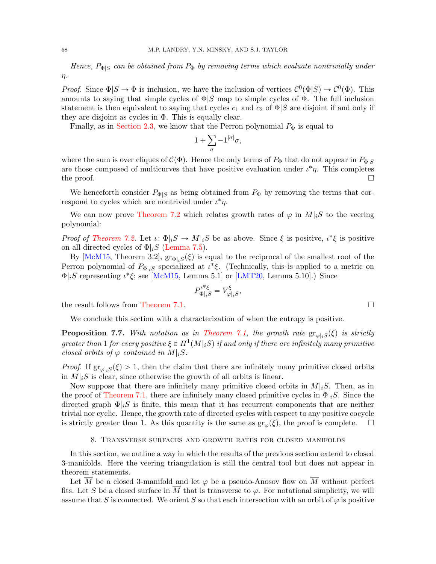Hence,  $P_{\Phi|S}$  can be obtained from  $P_{\Phi}$  by removing terms which evaluate nontrivially under  $\eta$ .

*Proof.* Since  $\Phi|S \to \Phi$  is inclusion, we have the inclusion of vertices  $\mathcal{C}^0(\Phi|S) \to \mathcal{C}^0(\Phi)$ . This amounts to saying that simple cycles of  $\Phi/S$  map to simple cycles of  $\Phi$ . The full inclusion statement is then equivalent to saying that cycles  $c_1$  and  $c_2$  of  $\Phi|S$  are disjoint if and only if they are disjoint as cycles in Φ. This is equally clear.

Finally, as in [Section 2.3,](#page-7-0) we know that the Perron polynomial  $P_{\Phi}$  is equal to

$$
1+\sum_{\sigma}-1^{|\sigma|}\sigma,
$$

where the sum is over cliques of  $\mathcal{C}(\Phi)$ . Hence the only terms of  $P_{\Phi}$  that do not appear in  $P_{\Phi|S}$ are those composed of multicurves that have positive evaluation under  $\iota^*\eta$ . This completes the proof.  $\Box$ 

We henceforth consider  $P_{\Phi|S}$  as being obtained from  $P_{\Phi}$  by removing the terms that correspond to cycles which are nontrivial under  $\iota^*\eta$ .

We can now prove [Theorem 7.2](#page-54-1) which relates growth rates of  $\varphi$  in  $M|_iS$  to the veering polynomial:

*Proof of [Theorem 7.2.](#page-54-1)* Let  $\iota: \Phi|_i S \to M|_i S$  be as above. Since  $\xi$  is positive,  $\iota^* \xi$  is positive on all directed cycles of  $\Phi|_iS$  [\(Lemma 7.5\)](#page-55-0).

By [\[McM15,](#page-72-1) Theorem 3.2],  $gr_{\Phi|_{i}S}(\xi)$  is equal to the reciprocal of the smallest root of the Perron polynomial of  $P_{\Phi|iS}$  specialized at  $\iota^*\xi$ . (Technically, this is applied to a metric on  $\Phi|_iS$  representing  $\iota^*\xi$ ; see [\[McM15,](#page-72-1) Lemma 5.1] or [\[LMT20,](#page-72-0) Lemma 5.10].) Since

$$
{P_{\Phi|_iS}^{\iota}}^*\xi=V_{\varphi|_iS}^\xi,
$$

the result follows from [Theorem 7.1.](#page-54-0)

We conclude this section with a characterization of when the entropy is positive.

<span id="page-57-0"></span>**Proposition 7.7.** With notation as in [Theorem 7.1,](#page-54-0) the growth rate  $\operatorname{gr}_{\varphi|_iS}(\xi)$  is strictly greater than 1 for every positive  $\xi \in H^1(M|_iS)$  if and only if there are infinitely many primitive closed orbits of  $\varphi$  contained in  $M|_iS$ .

*Proof.* If  $gr_{\varphi|iS}(\xi) > 1$ , then the claim that there are infinitely many primitive closed orbits in  $M|_iS$  is clear, since otherwise the growth of all orbits is linear.

Now suppose that there are infinitely many primitive closed orbits in  $M|_{i}S$ . Then, as in the proof of [Theorem 7.1,](#page-54-0) there are infinitely many closed primitive cycles in  $\Phi|_iS$ . Since the directed graph  $\Phi|_iS$  is finite, this mean that it has recurrent components that are neither trivial nor cyclic. Hence, the growth rate of directed cycles with respect to any positive cocycle is strictly greater than 1. As this quantity is the same as  $gr_{\varphi}(\xi)$ , the proof is complete.  $\Box$ 

#### 8. Transverse surfaces and growth rates for closed manifolds

<span id="page-57-1"></span>In this section, we outline a way in which the results of the previous section extend to closed 3-manifolds. Here the veering triangulation is still the central tool but does not appear in theorem statements.

Let  $\overline{M}$  be a closed 3-manifold and let  $\varphi$  be a pseudo-Anosov flow on  $\overline{M}$  without perfect fits. Let S be a closed surface in M that is transverse to  $\varphi$ . For notational simplicity, we will assume that S is connected. We orient S so that each intersection with an orbit of  $\varphi$  is positive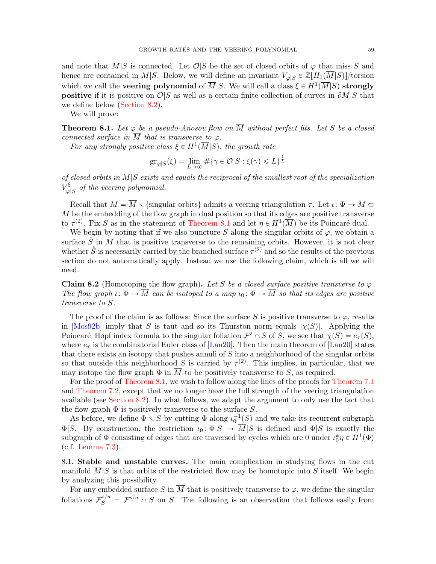and note that M|S is connected. Let  $\mathcal{O}|S$  be the set of closed orbits of  $\varphi$  that miss S and hence are contained in M|S. Below, we will define an invariant  $V_{\varphi|S} \in \mathbb{Z}[H_1(\overline{M}|S)]$ /torsion which we call the **veering polynomial** of  $\overline{M}|S.$  We will call a class  $\xi \in H^1(\overline{M}|S)$  strongly **positive** if it is positive on  $\mathcal{O}|S$  as well as a certain finite collection of curves in  $\partial M|S$  that we define below [\(Section 8.2\)](#page-59-0).

We will prove:

<span id="page-58-0"></span>**Theorem 8.1.** Let  $\varphi$  be a pseudo-Anosov flow on  $\overline{M}$  without perfect fits. Let S be a closed connected surface in  $\overline{M}$  that is transverse to  $\varphi$ .

For any strongly positive class  $\xi \in H^1(\overline{M}|S)$ , the growth rate

$$
\operatorname{gr}_{\varphi|S}(\xi) = \lim_{L \to \infty} \# \{ \gamma \in \mathcal{O} | S : \xi(\gamma) \le L \}^{\frac{1}{L}}
$$

of closed orbits in  $M|S$  exists and equals the reciprocal of the smallest root of the specialization  $V_{\alpha}^{\xi}$  $\mathcal{L}_{\varphi|S}^{\zeta}$  of the veering polynomial.

Recall that  $M = \overline{M} \setminus \{\text{singular orbits}\}\$  admits a veering triangulation  $\tau$ . Let  $\iota: \Phi \to M \subset$  $\overline{M}$  be the embedding of the flow graph in dual position so that its edges are positive transverse to  $\tau^{(2)}$ . Fix S as in the statement of [Theorem 8.1](#page-58-0) and let  $\eta \in H^1(\overline{M})$  be its Poincaré dual.

We begin by noting that if we also puncture S along the singular orbits of  $\varphi$ , we obtain a surface  $\ddot{S}$  in M that is positive transverse to the remaining orbits. However, it is not clear whether  $\mathring{S}$  is necessarily carried by the branched surface  $\tau^{(2)}$  and so the results of the previous section do not automatically apply. Instead we use the following claim, which is all we will need.

<span id="page-58-1"></span>**Claim 8.2** (Homotoping the flow graph). Let S be a closed surface positive transverse to  $\varphi$ . The flow graph  $\iota: \Phi \to \overline{M}$  can be isotoped to a map  $\iota_0: \Phi \to \overline{M}$  so that its edges are positive transverse to S.

The proof of the claim is as follows: Since the surface S is positive transverse to  $\varphi$ , results in [\[Mos92b\]](#page-72-2) imply that S is taut and so its Thurston norm equals  $|\chi(S)|$ . Applying the Poincaré–Hopf index formula to the singular foliation  $\mathcal{F}^s \cap S$  of S, we see that  $\chi(S) = e_\tau(S)$ , where  $e_{\tau}$  is the combinatorial Euler class of [\[Lan20\]](#page-72-3). Then the main theorem of [Lan20] states that there exists an isotopy that pushes annuli of  $S$  into a neighborhood of the singular orbits so that outside this neighborhood S is carried by  $\tau^{(2)}$ . This implies, in particular, that we may isotope the flow graph  $\Phi$  in  $\overline{M}$  to be positively transverse to S, as required.

For the proof of [Theorem 8.1,](#page-58-0) we wish to follow along the lines of the proofs for [Theorem 7.1](#page-54-0) and [Theorem 7.2,](#page-54-1) except that we no longer have the full strength of the veering triangulation available (see [Section 8.2\)](#page-59-0). In what follows, we adapt the argument to only use the fact that the flow graph  $\Phi$  is positively transverse to the surface S.

As before, we define  $\Phi \setminus S$  by cutting  $\Phi$  along  $\iota_0^{-1}(S)$  and we take its recurrent subgraph  $\Phi|S$ . By construction, the restriction  $\iota_0: \Phi|S \to \overline{M}|S$  is defined and  $\Phi|S$  is exactly the subgraph of  $\Phi$  consisting of edges that are traversed by cycles which are 0 under  $\iota_0^*\eta \in H^1(\Phi)$ (c.f. [Lemma 7.3\)](#page-54-2).

<span id="page-58-2"></span>8.1. Stable and unstable curves. The main complication in studying flows in the cut manifold  $\overline{M}|S$  is that orbits of the restricted flow may be homotopic into S itself. We begin by analyzing this possibility.

For any embedded surface S in  $\overline{M}$  that is positively transverse to  $\varphi$ , we define the singular foliations  $\mathcal{F}_S^{s/u} = \mathcal{F}^{s/u} \cap S$  on S. The following is an observation that follows easily from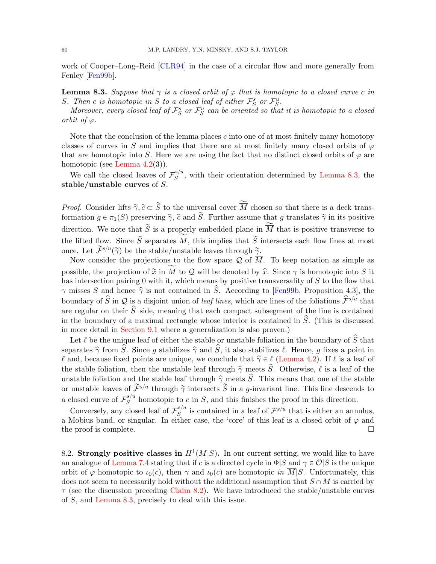work of Cooper–Long–Reid [\[CLR94\]](#page-71-5) in the case of a circular flow and more generally from Fenley [\[Fen99b\]](#page-71-6).

<span id="page-59-1"></span>**Lemma 8.3.** Suppose that  $\gamma$  is a closed orbit of  $\varphi$  that is homotopic to a closed curve c in S. Then c is homotopic in S to a closed leaf of either  $\mathcal{F}_S^s$  or  $\mathcal{F}_S^u$ .

Moreover, every closed leaf of  $\mathcal{F}^s_S$  or  $\mathcal{F}^u_S$  can be oriented so that it is homotopic to a closed orbit of  $\varphi$ .

Note that the conclusion of the lemma places  $c$  into one of at most finitely many homotopy classes of curves in S and implies that there are at most finitely many closed orbits of  $\varphi$ that are homotopic into S. Here we are using the fact that no distinct closed orbits of  $\varphi$  are homotopic (see [Lemma 4.2\(](#page-22-0)3)).

We call the closed leaves of  $\mathcal{F}_S^{s/u}$  $S^{(n)}_{S}$ , with their orientation determined by [Lemma 8.3,](#page-59-1) the stable/unstable curves of S.

*Proof.* Consider lifts  $\tilde{\gamma}, \tilde{c} \subset \tilde{S}$  to the universal cover  $\tilde{M}$  chosen so that there is a deck transformation  $g \in \pi_1(S)$  preserving  $\tilde{\gamma}$ ,  $\tilde{c}$  and  $\tilde{S}$ . Further assume that g translates  $\tilde{\gamma}$  in its positive direction. We note that  $\widetilde{S}$  is a properly embedded plane in  $\widetilde{\overline{M}}$  that is positive transverse to the lifted flow. Since  $\widetilde{S}$  separates  $\widetilde{M}$ , this implies that  $\widetilde{S}$  intersects each flow lines at most once. Let  $\widetilde{\mathcal{F}}^{s/u}(\widetilde{\gamma})$  be the stable/unstable leaves through  $\widetilde{\gamma}$ .

Now consider the projections to the flow space  $\mathcal Q$  of  $\overline{M}$ . To keep notation as simple as possible, the projection of  $\tilde{x}$  in  $\overline{M}$  to Q will be denoted by  $\hat{x}$ . Since  $\gamma$  is homotopic into S it has intersection pairing 0 with it, which means by positive transversality of S to the flow that  $\gamma$  misses S and hence  $\hat{\gamma}$  is not contained in  $\hat{S}$ . According to [\[Fen99b,](#page-71-6) Proposition 4.3], the boundary of  $\hat{S}$  in  $\mathcal Q$  is a disjoint union of *leaf lines*, which are lines of the foliations  $\hat{\mathcal F}^{s/u}$  that are regular on their  $\hat{S}$ –side, meaning that each compact subsegment of the line is contained in the boundary of a maximal rectangle whose interior is contained in  $S$ . (This is discussed in more detail in [Section 9.1](#page-61-1) where a generalization is also proven.)

Let  $\ell$  be the unique leaf of either the stable or unstable foliation in the boundary of  $\hat{S}$  that separates  $\hat{\gamma}$  from  $\hat{S}$ . Since g stabilizes  $\hat{\gamma}$  and  $\hat{S}$ , it also stabilizes  $\ell$ . Hence, g fixes a point in  $\ell$  and, because fixed points are unique, we conclude that  $\hat{\gamma} \in \ell$  [\(Lemma 4.2\)](#page-22-0). If  $\ell$  is a leaf of the stable foliation, then the unstable leaf through  $\hat{\gamma}$  meets  $\hat{S}$ . Otherwise,  $\ell$  is a leaf of the unstable foliation and the stable leaf through  $\hat{\gamma}$  meets  $\hat{S}$ . This means that one of the stable or unstable leaves of  $\tilde{\mathcal{F}}^{s/u}$  through  $\tilde{\gamma}$  intersects  $\tilde{S}$  in a g-invariant line. This line descends to a closed curve of  $\mathcal{F}_S^{s/u}$  $S^{s/a}$  homotopic to c in S, and this finishes the proof in this direction.

Conversely, any closed leaf of  $\mathcal{F}_S^{s/u}$  $s^{(n)}$  is contained in a leaf of  $\mathcal{F}^{s/u}$  that is either an annulus, a Mobius band, or singular. In either case, the 'core' of this leaf is a closed orbit of  $\varphi$  and the proof is complete.  $\Box$ 

<span id="page-59-0"></span>8.2. Strongly positive classes in  $H^1(\overline{M}|S)$ . In our current setting, we would like to have an analogue of [Lemma 7.4](#page-55-1) stating that if c is a directed cycle in  $\Phi|S$  and  $\gamma \in \mathcal{O}|S$  is the unique orbit of  $\varphi$  homotopic to  $\iota_0(c)$ , then  $\gamma$  and  $\iota_0(c)$  are homotopic in  $\overline{M}|S$ . Unfortunately, this does not seem to necessarily hold without the additional assumption that  $S \cap M$  is carried by  $\tau$  (see the discussion preceding [Claim 8.2\)](#page-58-1). We have introduced the stable/unstable curves of S, and [Lemma 8.3,](#page-59-1) precisely to deal with this issue.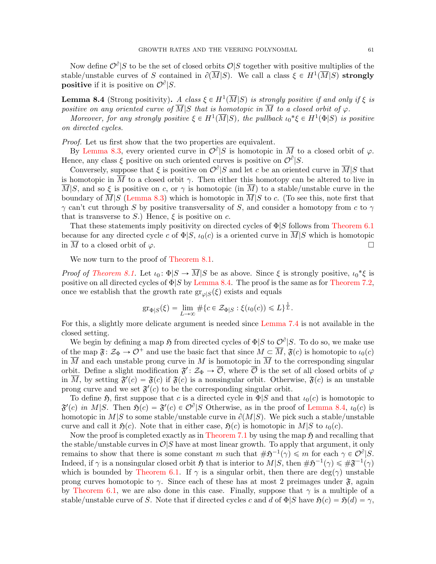Now define  $\mathcal{O}^{\partial}|S$  to be the set of closed orbits  $\mathcal{O}|S$  together with positive multiplies of the stable/unstable curves of S contained in  $\partial(\overline{M}|S)$ . We call a class  $\xi \in H^1(\overline{M}|S)$  strongly **positive** if it is positive on  $\mathcal{O}^{\partial}|S$ .

<span id="page-60-0"></span>**Lemma 8.4** (Strong positivity). A class  $\xi \in H^1(\overline{M}|S)$  is strongly positive if and only if  $\xi$  is positive on any oriented curve of  $\overline{M}|S$  that is homotopic in  $\overline{M}$  to a closed orbit of  $\varphi$ .

Moreover, for any strongly positive  $\xi \in H^1(\overline{M}|S)$ , the pullback  $\iota_0^* \xi \in H^1(\Phi|S)$  is positive on directed cycles.

Proof. Let us first show that the two properties are equivalent.

By [Lemma 8.3,](#page-59-1) every oriented curve in  $\mathcal{O}^{\partial}|S$  is homotopic in  $\overline{M}$  to a closed orbit of  $\varphi$ . Hence, any class  $\xi$  positive on such oriented curves is positive on  $\mathcal{O}^{\partial}|S$ .

Conversely, suppose that  $\xi$  is positive on  $\mathcal{O}^{\partial}|S$  and let c be an oriented curve in  $\overline{M}|S$  that is homotopic in  $\overline{M}$  to a closed orbit  $\gamma$ . Then either this homotopy can be altered to live in  $\overline{M}|S$ , and so  $\xi$  is positive on c, or  $\gamma$  is homotopic (in  $\overline{M}$ ) to a stable/unstable curve in the boundary of  $\overline{M}|S$  [\(Lemma 8.3\)](#page-59-1) which is homotopic in  $\overline{M}|S$  to c. (To see this, note first that  $\gamma$  can't cut through S by positive transversality of S, and consider a homotopy from c to  $\gamma$ that is transverse to S.) Hence,  $\xi$  is positive on c.

That these statements imply positivity on directed cycles of  $\Phi|S$  follows from [Theorem 6.1](#page-41-0) because for any directed cycle c of  $\Phi|S, \iota_0(c)$  is a oriented curve in  $\overline{M}|S$  which is homotopic in  $\overline{M}$  to a closed orbit of  $\varphi$ .

We now turn to the proof of [Theorem 8.1.](#page-58-0)

*Proof of [Theorem 8.1.](#page-58-0)* Let  $\iota_0: \Phi | S \to \overline{M} | S$  be as above. Since  $\xi$  is strongly positive,  $\iota_0^* \xi$  is positive on all directed cycles of  $\Phi|S$  by [Lemma 8.4.](#page-60-0) The proof is the same as for [Theorem 7.2,](#page-54-1) once we establish that the growth rate  $gr_{\varphi|S}(\xi)$  exists and equals

$$
\mathrm{gr}_{\Phi|S}(\xi) = \lim_{L \to \infty} \# \{ c \in \mathcal{Z}_{\Phi|S} : \xi(\iota_0(c)) \leq L \}^{\frac{1}{L}}.
$$

For this, a slightly more delicate argument is needed since [Lemma 7.4](#page-55-1) is not available in the closed setting.

We begin by defining a map  $\mathfrak H$  from directed cycles of  $\Phi|S$  to  $\mathcal O^\partial|S$ . To do so, we make use of the map  $\mathfrak{F} \colon \mathcal{Z}_{\Phi} \to \mathcal{O}^+$  and use the basic fact that since  $M \subset \overline{M}$ ,  $\mathfrak{F}(c)$  is homotopic to  $\iota_0(c)$ in  $\overline{M}$  and each unstable prong curve in M is homotopic in  $\overline{M}$  to the corresponding singular orbit. Define a slight modification  $\mathfrak{F}' : \mathcal{Z}_{\Phi} \to \overline{\mathcal{O}}$ , where  $\overline{\mathcal{O}}$  is the set of all closed orbits of  $\varphi$ in  $\overline{M}$ , by setting  $\mathfrak{F}'(c) = \mathfrak{F}(c)$  if  $\mathfrak{F}(c)$  is a nonsingular orbit. Otherwise,  $\mathfrak{F}(c)$  is an unstable prong curve and we set  $\mathfrak{F}'(c)$  to be the corresponding singular orbit.

To define  $\mathfrak{H}$ , first suppose that c is a directed cycle in  $\Phi|S$  and that  $\iota_0(c)$  is homotopic to  $\mathfrak{F}'(c)$  in M|S. Then  $\mathfrak{H}(c) = \mathfrak{F}'(c) \in \mathcal{O}^{\partial} |S$  Otherwise, as in the proof of [Lemma 8.4,](#page-60-0)  $\iota_0(c)$  is homotopic in  $M|S$  to some stable/unstable curve in  $\partial(M|S)$ . We pick such a stable/unstable curve and call it  $\mathfrak{H}(c)$ . Note that in either case,  $\mathfrak{H}(c)$  is homotopic in M|S to  $\iota_0(c)$ .

Now the proof is completed exactly as in [Theorem 7.1](#page-54-0) by using the map  $\mathfrak{H}$  and recalling that the stable/unstable curves in  $\mathcal{O}|S$  have at most linear growth. To apply that argument, it only remains to show that there is some constant m such that  $\#\mathfrak{H}^{-1}(\gamma) \leq m$  for each  $\gamma \in \mathcal{O}^{\partial}|S$ . Indeed, if  $\gamma$  is a nonsingular closed orbit  $\mathfrak H$  that is interior to  $M|S$ , then  $\#\mathfrak H^{-1}(\gamma) \leq \#\mathfrak F^{-1}(\gamma)$ which is bounded by [Theorem 6.1.](#page-41-0) If  $\gamma$  is a singular orbit, then there are deg( $\gamma$ ) unstable prong curves homotopic to  $\gamma$ . Since each of these has at most 2 preimages under  $\mathfrak{F}$ , again by [Theorem 6.1,](#page-41-0) we are also done in this case. Finally, suppose that  $\gamma$  is a multiple of a stable/unstable curve of S. Note that if directed cycles c and d of  $\Phi|S$  have  $\mathfrak{H}(c) = \mathfrak{H}(d) = \gamma$ ,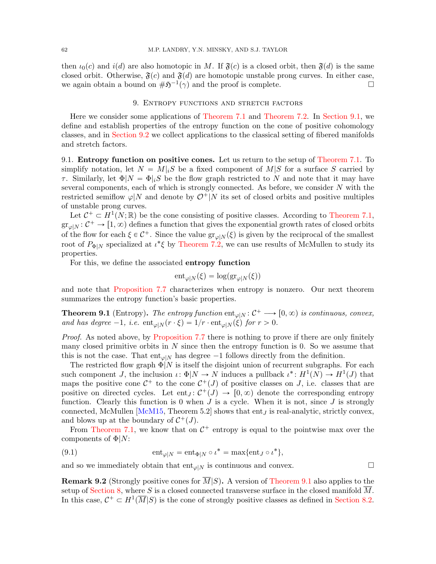then  $\iota_0(c)$  and  $i(d)$  are also homotopic in M. If  $\mathfrak{F}(c)$  is a closed orbit, then  $\mathfrak{F}(d)$  is the same closed orbit. Otherwise,  $\mathfrak{F}(c)$  and  $\mathfrak{F}(d)$  are homotopic unstable prong curves. In either case, we again obtain a bound on  $\#\mathfrak{H}^{-1}(\gamma)$  and the proof is complete.

## 9. Entropy functions and stretch factors

<span id="page-61-0"></span>Here we consider some applications of [Theorem 7.1](#page-54-0) and [Theorem 7.2.](#page-54-1) In [Section 9.1,](#page-61-1) we define and establish properties of the entropy function on the cone of positive cohomology classes, and in [Section 9.2](#page-66-0) we collect applications to the classical setting of fibered manifolds and stretch factors.

<span id="page-61-1"></span>9.1. Entropy function on positive cones. Let us return to the setup of [Theorem 7.1.](#page-54-0) To simplify notation, let  $N = M|_{i}S$  be a fixed component of  $M|S$  for a surface S carried by  $\tau$ . Similarly, let  $\Phi|N = \Phi|_iS$  be the flow graph restricted to N and note that it may have several components, each of which is strongly connected. As before, we consider N with the restricted semiflow  $\varphi|N$  and denote by  $\mathcal{O}^+|N$  its set of closed orbits and positive multiples of unstable prong curves.

Let  $C^+ \subset H^1(N;\mathbb{R})$  be the cone consisting of positive classes. According to [Theorem 7.1,](#page-54-0)  $gr_{\varphi|N} : C^+ \to [1, \infty)$  defines a function that gives the exponential growth rates of closed orbits of the flow for each  $\xi \in C^+$ . Since the value  $gr_{\varphi|N}(\xi)$  is given by the reciprocal of the smallest root of  $P_{\Phi|N}$  specialized at  $\iota^*\xi$  by [Theorem 7.2,](#page-54-1) we can use results of McMullen to study its properties.

For this, we define the associated entropy function

$$
\mathrm{ent}_{\varphi|N}(\xi) = \log(\mathrm{gr}_{\varphi|N}(\xi))
$$

and note that [Proposition 7.7](#page-57-0) characterizes when entropy is nonzero. Our next theorem summarizes the entropy function's basic properties.

<span id="page-61-2"></span>**Theorem 9.1** (Entropy). The entropy function  $ent_{\varphi|N} : C^+ \longrightarrow [0, \infty)$  is continuous, convex, and has degree  $-1$ , i.e.  $ent_{\varphi|N}(r \cdot \xi) = 1/r \cdot ent_{\varphi|N}(\xi)$  for  $r > 0$ .

Proof. As noted above, by [Proposition 7.7](#page-57-0) there is nothing to prove if there are only finitely many closed primitive orbits in  $N$  since then the entropy function is 0. So we assume that this is not the case. That  $ent_{\varphi|N}$  has degree  $-1$  follows directly from the definition.

The restricted flow graph  $\Phi|N$  is itself the disjoint union of recurrent subgraphs. For each such component J, the inclusion  $\iota: \Phi|N \to N$  induces a pullback  $\iota^*: H^1(N) \to H^1(J)$  that maps the positive cone  $\mathcal{C}^+$  to the cone  $\mathcal{C}^+(J)$  of positive classes on J, i.e. classes that are positive on directed cycles. Let  $ent_J: C^+(J) \to [0, \infty)$  denote the corresponding entropy function. Clearly this function is 0 when  $J$  is a cycle. When it is not, since  $J$  is strongly connected, McMullen  $[McM15, Theorem 5.2]$  shows that ent<sub>J</sub> is real-analytic, strictly convex, and blows up at the boundary of  $\mathcal{C}^+(J)$ .

From [Theorem 7.1,](#page-54-0) we know that on  $\mathcal{C}^+$  entropy is equal to the pointwise max over the components of  $\Phi|N$ :

<span id="page-61-3"></span>(9.1) 
$$
\mathrm{ent}_{\varphi|N} = \mathrm{ent}_{\Phi|N} \circ \iota^* = \max\{\mathrm{ent}_{J} \circ \iota^*\},
$$

and so we immediately obtain that  $ent_{\varphi|N}$  is continuous and convex.

**Remark 9.2** (Strongly positive cones for  $M(S)$ . A version of [Theorem 9.1](#page-61-2) also applies to the setup of [Section 8,](#page-57-1) where S is a closed connected transverse surface in the closed manifold M. In this case,  $C^+ \subset H^1(\overline{M}|S)$  is the cone of strongly positive classes as defined in [Section 8.2.](#page-59-0)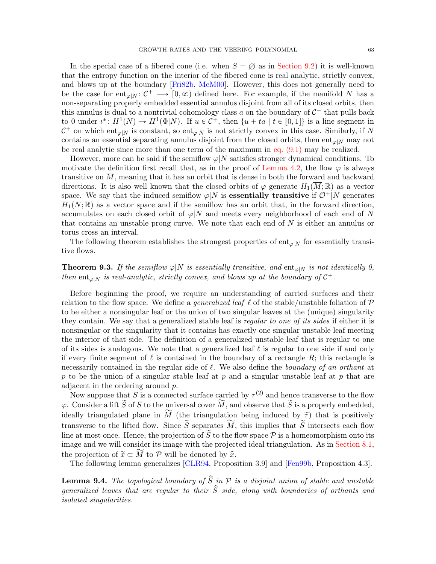In the special case of a fibered cone (i.e. when  $S = \emptyset$  as in [Section 9.2\)](#page-66-0) it is well-known that the entropy function on the interior of the fibered cone is real analytic, strictly convex, and blows up at the boundary [\[Fri82b,](#page-71-4) [McM00\]](#page-72-4). However, this does not generally need to be the case for  $ent_{\varphi|N} : C^+ \longrightarrow [0, \infty)$  defined here. For example, if the manifold N has a non-separating properly embedded essential annulus disjoint from all of its closed orbits, then this annulus is dual to a nontrivial cohomology class a on the boundary of  $C^+$  that pulls back to 0 under  $\iota^*: H^1(N) \to H^1(\Phi|N)$ . If  $u \in C^+$ , then  $\{u + ta \mid t \in [0,1]\}$  is a line segment in  $\mathcal{C}^+$  on which ent<sub> $\varphi|N$ </sub> is constant, so ent<sub> $\varphi|N$ </sub> is not strictly convex in this case. Similarly, if N contains an essential separating annulus disjoint from the closed orbits, then ent<sub> $\varphi|N$ </sub> may not be real analytic since more than one term of the maximum in [eq. \(9.1\)](#page-61-3) may be realized.

However, more can be said if the semiflow  $\varphi|N$  satisfies stronger dynamical conditions. To motivate the definition first recall that, as in the proof of [Lemma 4.2,](#page-22-0) the flow  $\varphi$  is always transitive on  $\overline{M}$ , meaning that it has an orbit that is dense in both the forward and backward directions. It is also well known that the closed orbits of  $\varphi$  generate  $H_1(M;\mathbb{R})$  as a vector space. We say that the induced semiflow  $\varphi|N$  is **essentially transitive** if  $\mathcal{O}^+|N$  generates  $H_1(N;\mathbb{R})$  as a vector space and if the semiflow has an orbit that, in the forward direction, accumulates on each closed orbit of  $\varphi|N$  and meets every neighborhood of each end of N that contains an unstable prong curve. We note that each end of N is either an annulus or torus cross an interval.

The following theorem establishes the strongest properties of  $ent_{\varphi|N}$  for essentially transitive flows.

# <span id="page-62-1"></span>**Theorem 9.3.** If the semiflow  $\varphi|N$  is essentially transitive, and ent<sub> $\varphi|N$ </sub> is not identically 0, then ent<sub> $\varphi|N$ </sub> is real-analytic, strictly convex, and blows up at the boundary of  $C^+$ .

Before beginning the proof, we require an understanding of carried surfaces and their relation to the flow space. We define a *generalized leaf*  $\ell$  of the stable/unstable foliation of P to be either a nonsingular leaf or the union of two singular leaves at the (unique) singularity they contain. We say that a generalized stable leaf is regular to one of its sides if either it is nonsingular or the singularity that it contains has exactly one singular unstable leaf meeting the interior of that side. The definition of a generalized unstable leaf that is regular to one of its sides is analogous. We note that a generalized leaf  $\ell$  is regular to one side if and only if every finite segment of  $\ell$  is contained in the boundary of a rectangle R; this rectangle is necessarily contained in the regular side of  $\ell$ . We also define the *boundary of an orthant* at p to be the union of a singular stable leaf at p and a singular unstable leaf at p that are adjacent in the ordering around p.

Now suppose that S is a connected surface carried by  $\tau^{(2)}$  and hence transverse to the flow  $\varphi$ . Consider a lift  $\widetilde{S}$  of S to the universal cover  $\widetilde{M}$ , and observe that  $\widetilde{S}$  is a properly embedded, ideally triangulated plane in  $\overline{M}$  (the triangulation being induced by  $\tilde{\tau}$ ) that is positively transverse to the lifted flow. Since  $\widetilde{S}$  separates  $\widetilde{M}$ , this implies that  $\widetilde{S}$  intersects each flow line at most once. Hence, the projection of  $\tilde{S}$  to the flow space  $P$  is a homeomorphism onto its image and we will consider its image with the projected ideal triangulation. As in [Section 8.1,](#page-58-2) the projection of  $\widetilde{x} \subset \widetilde{M}$  to P will be denoted by  $\widehat{x}$ .

The following lemma generalizes [\[CLR94,](#page-71-5) Proposition 3.9] and [\[Fen99b,](#page-71-6) Proposition 4.3].

<span id="page-62-0"></span>**Lemma 9.4.** The topological boundary of  $\hat{S}$  in  $\mathcal{P}$  is a disjoint union of stable and unstable generalized leaves that are regular to their  $\hat{S}-side$ , along with boundaries of orthants and isolated singularities.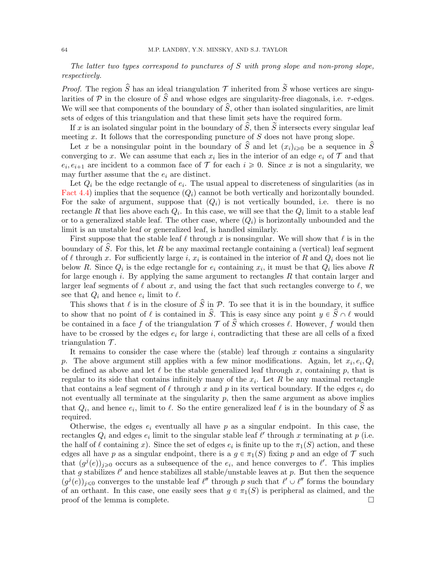The latter two types correspond to punctures of S with prong slope and non-prong slope, respectively.

*Proof.* The region  $\hat{S}$  has an ideal triangulation  $\mathcal T$  inherited from  $\tilde{S}$  whose vertices are singularities of P in the closure of  $\hat{S}$  and whose edges are singularity-free diagonals, i.e.  $\tau$ -edges. We will see that components of the boundary of  $\hat{S}$ , other than isolated singularities, are limit sets of edges of this triangulation and that these limit sets have the required form.

If x is an isolated singular point in the boundary of  $\hat{S}$ , then  $\tilde{S}$  intersects every singular leaf meeting  $x$ . It follows that the corresponding puncture of  $S$  does not have prong slope.

Let x be a nonsingular point in the boundary of  $\hat{S}$  and let  $(x_i)_{i\geq0}$  be a sequence in  $\hat{S}$ converging to x. We can assume that each  $x_i$  lies in the interior of an edge  $e_i$  of  $\mathcal T$  and that  $e_i, e_{i+1}$  are incident to a common face of  $\mathcal T$  for each  $i \geq 0$ . Since x is not a singularity, we may further assume that the  $e_i$  are distinct.

Let  $Q_i$  be the edge rectangle of  $e_i$ . The usual appeal to discreteness of singularities (as in [Fact 4.4\)](#page-23-0) implies that the sequence  $(Q_i)$  cannot be both vertically and horizontally bounded. For the sake of argument, suppose that  $(Q_i)$  is not vertically bounded, i.e. there is no rectangle R that lies above each  $Q_i$ . In this case, we will see that the  $Q_i$  limit to a stable leaf or to a generalized stable leaf. The other case, where  $(Q_i)$  is horizontally unbounded and the limit is an unstable leaf or generalized leaf, is handled similarly.

First suppose that the stable leaf  $\ell$  through x is nonsingular. We will show that  $\ell$  is in the boundary of S. For this, let R be any maximal rectangle containing a (vertical) leaf segment of  $\ell$  through x. For sufficiently large i,  $x_i$  is contained in the interior of R and  $Q_i$  does not lie below R. Since  $Q_i$  is the edge rectangle for  $e_i$  containing  $x_i$ , it must be that  $Q_i$  lies above R for large enough i. By applying the same argument to rectangles  $R$  that contain larger and larger leaf segments of  $\ell$  about x, and using the fact that such rectangles converge to  $\ell$ , we see that  $Q_i$  and hence  $e_i$  limit to  $\ell$ .

This shows that  $\ell$  is in the closure of  $\hat{S}$  in P. To see that it is in the boundary, it suffice to show that no point of  $\ell$  is contained in  $\hat{S}$ . This is easy since any point  $y \in \hat{S} \cap \ell$  would be contained in a face f of the triangulation  $\mathcal T$  of  $\widetilde S$  which crosses  $\ell$ . However, f would then have to be crossed by the edges  $e_i$  for large i, contradicting that these are all cells of a fixed triangulation  $\mathcal{T}$ .

It remains to consider the case where the (stable) leaf through  $x$  contains a singularity p. The above argument still applies with a few minor modifications. Again, let  $x_i, e_i, Q_i$ be defined as above and let  $\ell$  be the stable generalized leaf through x, containing p, that is regular to its side that contains infinitely many of the  $x_i$ . Let R be any maximal rectangle that contains a leaf segment of  $\ell$  through x and p in its vertical boundary. If the edges  $e_i$  do not eventually all terminate at the singularity  $p$ , then the same argument as above implies that  $Q_i$ , and hence  $e_i$ , limit to  $\ell$ . So the entire generalized leaf  $\ell$  is in the boundary of  $\hat{S}$  as required.

Otherwise, the edges  $e_i$  eventually all have p as a singular endpoint. In this case, the rectangles  $Q_i$  and edges  $e_i$  limit to the singular stable leaf  $\ell'$  through x terminating at p (i.e. the half of  $\ell$  containing x). Since the set of edges  $e_i$  is finite up to the  $\pi_1(S)$  action, and these edges all have p as a singular endpoint, there is a  $g \in \pi_1(S)$  fixing p and an edge of T such that  $(g^{j}(e))_{j\geqslant0}$  occurs as a subsequence of the  $e_i$ , and hence converges to  $\ell'$ . This implies that g stabilizes  $\ell'$  and hence stabilizes all stable/unstable leaves at p. But then the sequence  $(g^{j}(e))_{j\leq 0}$  converges to the unstable leaf  $\ell''$  through p such that  $\ell' \cup \ell''$  forms the boundary of an orthant. In this case, one easily sees that  $g \in \pi_1(S)$  is peripheral as claimed, and the proof of the lemma is complete.  $\Box$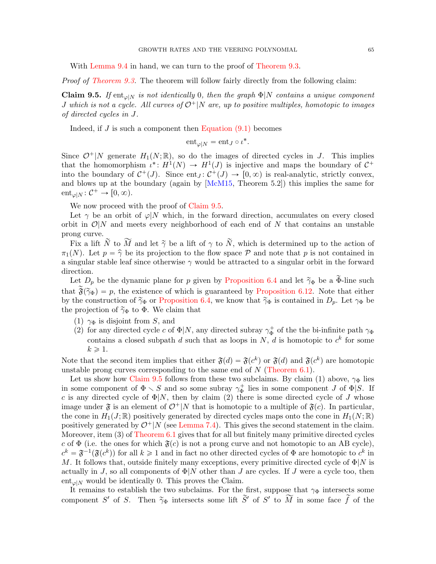With [Lemma 9.4](#page-62-0) in hand, we can turn to the proof of [Theorem 9.3.](#page-62-1)

<span id="page-64-0"></span>Proof of [Theorem 9.3.](#page-62-1) The theorem will follow fairly directly from the following claim:

**Claim 9.5.** If  $\text{ent}_{\varphi|N}$  is not identically 0, then the graph  $\Phi|N$  contains a unique component J which is not a cycle. All curves of  $\mathcal{O}^+|N$  are, up to positive multiples, homotopic to images of directed cycles in J.

Indeed, if  $J$  is such a component then Equation  $(9.1)$  becomes

$$
\mathrm{ent}_{\varphi|N}=\mathrm{ent}_J\circ\iota^*.
$$

Since  $\mathcal{O}^+|N|$  generate  $H_1(N;\mathbb{R})$ , so do the images of directed cycles in J. This implies that the homomorphism  $\iota^*: H^1(N) \to H^1(J)$  is injective and maps the boundary of  $C^+$ into the boundary of  $C^+(J)$ . Since  $ent_J : C^+(J) \to [0, \infty)$  is real-analytic, strictly convex, and blows up at the boundary (again by [\[McM15,](#page-72-1) Theorem 5.2]) this implies the same for  $ent_{\varphi|N} : \mathcal{C}^+ \to [0, \infty).$ 

We now proceed with the proof of [Claim 9.5.](#page-64-0)

Let  $\gamma$  be an orbit of  $\varphi|N$  which, in the forward direction, accumulates on every closed orbit in  $\mathcal{O}|N$  and meets every neighborhood of each end of N that contains an unstable prong curve.

Fix a lift  $\tilde{N}$  to  $\tilde{M}$  and let  $\tilde{\gamma}$  be a lift of  $\gamma$  to  $\tilde{N}$ , which is determined up to the action of  $\pi_1(N)$ . Let  $p = \hat{\gamma}$  be its projection to the flow space P and note that p is not contained in a singular stable leaf since otherwise  $\gamma$  would be attracted to a singular orbit in the forward direction.

Let  $D_p$  be the dynamic plane for p given by [Proposition 6.4](#page-43-1) and let  $\tilde{\gamma}_{\Phi}$  be a  $\tilde{\Phi}$ -line such that  $\tilde{\mathfrak{F}}(\tilde{\gamma}_{\Phi}) = p$ , the existence of which is guaranteed by [Proposition 6.12.](#page-50-1) Note that either by the construction of  $\tilde{\gamma}_{\Phi}$  or [Proposition 6.4,](#page-43-1) we know that  $\tilde{\gamma}_{\Phi}$  is contained in  $D_p$ . Let  $\gamma_{\Phi}$  be the projection of  $\tilde{\gamma}_{\Phi}$  to  $\Phi$ . We claim that

- (1)  $\gamma_{\Phi}$  is disjoint from S, and
- (2) for any directed cycle c of  $\Phi|N$ , any directed subray  $\gamma_{\Phi}^+$  of the the bi-infinite path  $\gamma_{\Phi}$ contains a closed subpath d such that as loops in N, d is homotopic to  $c^k$  for some  $k \geqslant 1$ .

Note that the second item implies that either  $\mathfrak{F}(d) = \mathfrak{F}(c^k)$  or  $\mathfrak{F}(d)$  and  $\mathfrak{F}(c^k)$  are homotopic unstable prong curves corresponding to the same end of  $N$  [\(Theorem 6.1\)](#page-41-0).

Let us show how [Claim 9.5](#page-64-0) follows from these two subclaims. By claim (1) above,  $\gamma_{\Phi}$  lies in some component of  $\Phi \setminus S$  and so some subray  $\gamma_{\Phi}^+$  lies in some component J of  $\Phi|S$ . If c is any directed cycle of  $\Phi|N$ , then by claim (2) there is some directed cycle of J whose image under  $\mathfrak{F}$  is an element of  $\mathcal{O}^+|N$  that is homotopic to a multiple of  $\mathfrak{F}(c)$ . In particular, the cone in  $H_1(J;\mathbb{R})$  positively generated by directed cycles maps onto the cone in  $H_1(N;\mathbb{R})$ positively generated by  $\mathcal{O}^+|N$  (see [Lemma 7.4\)](#page-55-1). This gives the second statement in the claim. Moreover, item  $(3)$  of [Theorem 6.1](#page-41-0) gives that for all but finitely many primitive directed cycles c of  $\Phi$  (i.e. the ones for which  $\mathfrak{F}(c)$  is not a prong curve and not homotopic to an AB cycle),  $c^k = \mathfrak{F}^{-1}(\mathfrak{F}(c^k))$  for all  $k \geq 1$  and in fact no other directed cycles of  $\Phi$  are homotopic to  $c^k$  in M. It follows that, outside finitely many exceptions, every primitive directed cycle of  $\Phi|N$  is actually in J, so all components of  $\Phi|N$  other than J are cycles. If J were a cycle too, then  $ent_{\varphi|N}$  would be identically 0. This proves the Claim.

It remains to establish the two subclaims. For the first, suppose that  $\gamma_{\Phi}$  intersects some component S' of S. Then  $\tilde{\gamma}_{\Phi}$  intersects some lift  $\tilde{S}'$  of S' to  $\widetilde{M}$  in some face  $\tilde{f}$  of the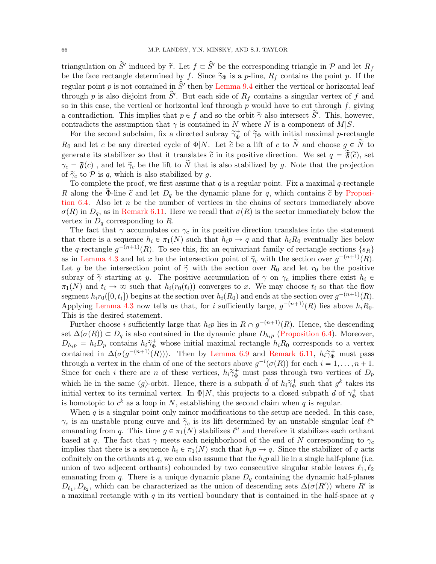triangulation on  $\widetilde{S}'$  induced by  $\widetilde{\tau}$ . Let  $f \subset \widehat{S}'$  be the corresponding triangle in  $\mathcal P$  and let  $R_f$ be the face rectangle determined by f. Since  $\tilde{\gamma}_{\Phi}$  is a p-line,  $R_f$  contains the point p. If the regular point p is not contained in  $\hat{S}'$  then by [Lemma 9.4](#page-62-0) either the vertical or horizontal leaf through p is also disjoint from  $\hat{S}'$ . But each side of  $R_f$  contains a singular vertex of f and so in this case, the vertical or horizontal leaf through  $p$  would have to cut through  $f$ , giving a contradiction. This implies that  $p \in f$  and so the orbit  $\tilde{\gamma}$  also intersect  $\tilde{S}'$ . This, however, contradicts the assumption that  $\gamma$  is contained in N where N is a component of  $M|S$ .

For the second subclaim, fix a directed subray  $\tilde{\gamma}_{\Phi}^+$  of  $\tilde{\gamma}_{\Phi}$  with initial maximal *p*-rectangle  $R_0$  and let c be any directed cycle of  $\Phi|N$ . Let  $\tilde{c}$  be a lift of c to  $\tilde{N}$  and choose  $g \in \tilde{N}$  to generate its stabilizer so that it translates  $\tilde{c}$  in its positive direction. We set  $q = \tilde{\mathfrak{F}}(\tilde{c})$ , set  $\gamma_c = \mathfrak{F}(c)$ , and let  $\tilde{\gamma}_c$  be the lift to  $\tilde{N}$  that is also stabilized by g. Note that the projection of  $\tilde{\gamma}_c$  to P is q, which is also stabilized by q.

To complete the proof, we first assume that  $q$  is a regular point. Fix a maximal  $q$ -rectangle R along the Φ-line  $\tilde{c}$  and let  $D_q$  be the dynamic plane for q, which contains  $\tilde{c}$  by [Proposi](#page-43-1)[tion 6.4.](#page-43-1) Also let  $n$  be the number of vertices in the chains of sectors immediately above  $\sigma(R)$  in  $D_q$ , as in [Remark 6.11.](#page-49-1) Here we recall that  $\sigma(R)$  is the sector immediately below the vertex in  $D_q$  corresponding to R.

The fact that  $\gamma$  accumulates on  $\gamma_c$  in its positive direction translates into the statement that there is a sequence  $h_i \in \pi_1(N)$  such that  $h_i p \to q$  and that  $h_i R_0$  eventually lies below the q-rectangle  $g^{-(n+1)}(R)$ . To see this, fix an equivariant family of rectangle sections  $\{s_R\}$ as in [Lemma 4.3](#page-23-1) and let x be the intersection point of  $\tilde{\gamma}_c$  with the section over  $g^{-(n+1)}(R)$ . Let y be the intersection point of  $\tilde{\gamma}$  with the section over  $R_0$  and let  $r_0$  be the positive subray of  $\tilde{\gamma}$  starting at y. The positive accumulation of  $\gamma$  on  $\gamma_c$  implies there exist  $h_i \in$  $\pi_1(N)$  and  $t_i \to \infty$  such that  $h_i(r_0(t_i))$  converges to x. We may choose  $t_i$  so that the flow segment  $h_i r_0([0, t_i])$  begins at the section over  $h_i(R_0)$  and ends at the section over  $g^{-(n+1)}(R)$ . Applying [Lemma 4.3](#page-23-1) now tells us that, for i sufficiently large,  $g^{-(n+1)}(R)$  lies above  $h_iR_0$ . This is the desired statement.

Further choose i sufficiently large that  $h_i p$  lies in  $R \cap g^{-(n+1)}(R)$ . Hence, the descending set  $\Delta(\sigma(R)) \subset D_q$  is also contained in the dynamic plane  $D_{hip}$  [\(Proposition 6.4\)](#page-43-1). Moreover,  $D_{h_ip} = h_i D_p$  contains  $h_i \tilde{\gamma}_{\Phi}^+$  whose initial maximal rectangle  $h_i R_0$  corresponds to a vertex contained in  $\Delta(\sigma(g^{-(n+1)}(R)))$ . Then by [Lemma 6.9](#page-47-1) and [Remark 6.11,](#page-49-1)  $h_i \tilde{\gamma}_{\Phi}^+$  must pass through a vertex in the chain of one of the sectors above  $g^{-i}(\sigma(R))$  for each  $i = 1, \ldots, n + 1$ . Since for each i there are n of these vertices,  $h_i \widetilde{\gamma}_{\Phi}^+$  must pass through two vertices of  $D_p$ which lie in the same  $\langle g \rangle$ -orbit. Hence, there is a subpath  $\tilde{d}$  of  $h_i \tilde{\gamma}_{\Phi}^+$  such that  $g^k$  takes its initial vertex to its terminal vertex. In  $\Phi|N$ , this projects to a closed subpath d of  $\gamma_{\Phi}^+$  that is homotopic to  $c^k$  as a loop in N, establishing the second claim when q is regular.

When  $q$  is a singular point only minor modifications to the setup are needed. In this case,  $\gamma_c$  is an unstable prong curve and  $\tilde{\gamma}_c$  is its lift determined by an unstable singular leaf  $\ell^u$ emanating from q. This time  $g \in \pi_1(N)$  stabilizes  $\ell^u$  and therefore it stabilizes each orthant based at q. The fact that  $\gamma$  meets each neighborhood of the end of N corresponding to  $\gamma_c$ implies that there is a sequence  $h_i \in \pi_1(N)$  such that  $h_i p \to q$ . Since the stabilizer of q acts cofinitely on the orthants at  $q$ , we can also assume that the  $h_i p$  all lie in a single half-plane (i.e. union of two adjecent orthants) cobounded by two consecutive singular stable leaves  $\ell_1, \ell_2$ emanating from q. There is a unique dynamic plane  $D_q$  containing the dynamic half-planes  $D_{\ell_1}, D_{\ell_2}$ , which can be characterized as the union of descending sets  $\Delta(\sigma(R'))$  where R' is a maximal rectangle with  $q$  in its vertical boundary that is contained in the half-space at  $q$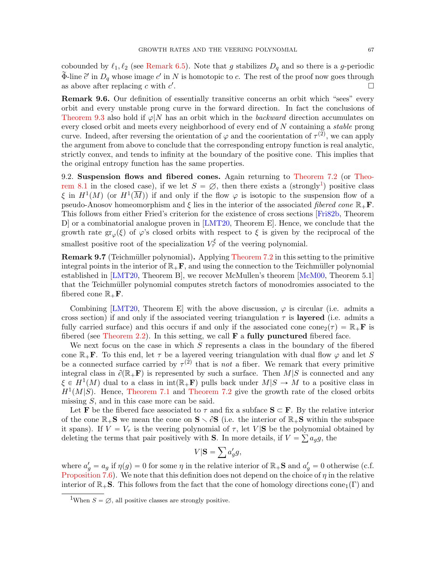cobounded by  $\ell_1, \ell_2$  (see [Remark 6.5\)](#page-44-0). Note that g stabilizes  $D_q$  and so there is a g-periodic  $\widetilde{\Phi}$ -line  $\widetilde{c}'$  in  $D_q$  whose image  $c'$  in N is homotopic to c. The rest of the proof now goes through as above after replacing  $c$  with  $c'$ .

Remark 9.6. Our definition of essentially transitive concerns an orbit which "sees" every orbit and every unstable prong curve in the forward direction. In fact the conclusions of [Theorem 9.3](#page-62-1) also hold if  $\varphi|N$  has an orbit which in the *backward* direction accumulates on every closed orbit and meets every neighborhood of every end of N containing a stable prong curve. Indeed, after reversing the orientation of  $\varphi$  and the coorientation of  $\tau^{(2)}$ , we can apply the argument from above to conclude that the corresponding entropy function is real analytic, strictly convex, and tends to infinity at the boundary of the positive cone. This implies that the original entropy function has the same properties.

<span id="page-66-0"></span>9.2. Suspension flows and fibered cones. Again returning to [Theorem 7.2](#page-54-1) (or [Theo](#page-58-0)[rem 8.1](#page-58-0) in the closed case), if we let  $S = \emptyset$ , then there exists a (strongly<sup>[1](#page-66-1)</sup>) positive class  $\xi$  in  $H^1(M)$  (or  $H^1(\overline{M})$ ) if and only if the flow  $\varphi$  is isotopic to the suspension flow of a pseudo-Anosov homeomorphism and  $\xi$  lies in the interior of the associated *fibered cone*  $\mathbb{R}_+$ **F**. This follows from either Fried's criterion for the existence of cross sections [\[Fri82b,](#page-71-4) Theorem D] or a combinatorial analogue proven in [\[LMT20,](#page-72-0) Theorem E]. Hence, we conclude that the growth rate  $gr_{\varphi}(\xi)$  of  $\varphi$ 's closed orbits with respect to  $\xi$  is given by the reciprocal of the smallest positive root of the specialization  $V_{\tau}^{\xi}$  of the veering polynomial.

**Remark 9.7** (Teichmüller polynomial). Applying [Theorem 7.2](#page-54-1) in this setting to the primitive integral points in the interior of  $\mathbb{R}_+$ **F**, and using the connection to the Teichmüller polynomial established in [\[LMT20,](#page-72-0) Theorem B], we recover McMullen's theorem [\[McM00,](#page-72-4) Theorem 5.1] that the Teichmüller polynomial computes stretch factors of monodromies associated to the fibered cone  $\mathbb{R}_+$ **F**.

Combining [\[LMT20,](#page-72-0) Theorem E] with the above discussion,  $\varphi$  is circular (i.e. admits a cross section) if and only if the associated veering triangulation  $\tau$  is layered (i.e. admits a fully carried surface) and this occurs if and only if the associated cone cone  $\zeta(\tau) = \mathbb{R}_+ \mathbf{F}$  is fibered (see [Theorem 2.2\)](#page-9-2). In this setting, we call  $\bf{F}$  a fully punctured fibered face.

We next focus on the case in which S represents a class in the boundary of the fibered cone  $\mathbb{R}_+$ **F**. To this end, let  $\tau$  be a layered veering triangulation with dual flow  $\varphi$  and let S be a connected surface carried by  $\tau^{(2)}$  that is not a fiber. We remark that every primitive integral class in  $\partial(\mathbb{R}_+\mathbf{F})$  is represented by such a surface. Then  $M|S$  is connected and any  $\xi \in H^1(M)$  dual to a class in int $(\mathbb{R}_+ \mathbf{F})$  pulls back under  $M|S \to M$  to a positive class in  $H^1(M|S)$ . Hence, [Theorem 7.1](#page-54-0) and [Theorem 7.2](#page-54-1) give the growth rate of the closed orbits missing S, and in this case more can be said.

Let **F** be the fibered face associated to  $\tau$  and fix a subface  $S \subset F$ . By the relative interior of the cone  $\mathbb{R}_+$ **S** we mean the cone on  $S \setminus \partial S$  (i.e. the interior of  $\mathbb{R}_+$ **S** within the subspace it spans). If  $V = V_{\tau}$  is the veering polynomial of  $\tau$ , let  $V|\mathbf{S}$  be the polynomial obtained by deleting the terms that pair positively with **S**. In more details, if  $V = \sum a_g g$ , the

$$
V|\mathbf{S} = \sum a'_g g,
$$

where  $a'_g = a_g$  if  $\eta(g) = 0$  for some  $\eta$  in the relative interior of  $\mathbb{R}_+$ **S** and  $a'_g = 0$  otherwise (c.f. [Proposition 7.6\)](#page-56-1). We note that this definition does not depend on the choice of  $\eta$  in the relative interior of  $\mathbb{R}_+$ **S**. This follows from the fact that the cone of homology directions cone<sub>1</sub>(Γ) and

<span id="page-66-1"></span><sup>&</sup>lt;sup>1</sup>When  $S = \emptyset$ , all positive classes are strongly positive.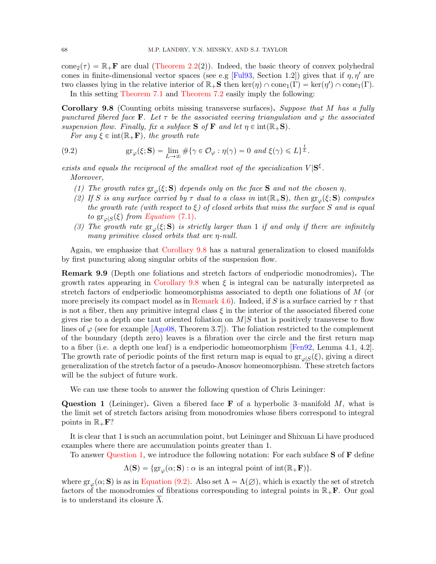cone<sub>2</sub>( $\tau$ ) =  $\mathbb{R}_+$ **F** are dual [\(Theorem 2.2\(](#page-9-2)2)). Indeed, the basic theory of convex polyhedral cones in finite-dimensional vector spaces (see e.g [\[Ful93,](#page-71-7) Section 1.2]) gives that if  $\eta$ ,  $\eta'$  are two classes lying in the relative interior of  $\mathbb{R}_+$ **S** then ker $(\eta) \cap \text{cone}_1(\Gamma) = \text{ker}(\eta') \cap \text{cone}_1(\Gamma)$ .

In this setting [Theorem 7.1](#page-54-0) and [Theorem 7.2](#page-54-1) easily imply the following:

<span id="page-67-0"></span>Corollary 9.8 (Counting orbits missing transverse surfaces). Suppose that M has a fully punctured fibered face F. Let  $\tau$  be the associated veering triangulation and  $\varphi$  the associated suspension flow. Finally, fix a subface  $S$  of  $F$  and let  $\eta \in \text{int}(\mathbb{R}_+S)$ .

For any  $\xi \in \text{int}(\mathbb{R}_+ \mathbf{F})$ , the growth rate

<span id="page-67-2"></span>(9.2) 
$$
\operatorname{gr}_{\varphi}(\xi; \mathbf{S}) = \lim_{L \to \infty} \# \{ \gamma \in \mathcal{O}_{\varphi} : \eta(\gamma) = 0 \text{ and } \xi(\gamma) \leq L \}^{\frac{1}{L}}.
$$

exists and equals the reciprocal of the smallest root of the specialization  $V|\mathbf{S}^{\xi}$ . Moreover,

- (1) The growth rates  $gr_{\varphi}(\xi; S)$  depends only on the face S and not the chosen  $\eta$ .
- (2) If S is any surface carried by  $\tau$  dual to a class in  $\text{int}(\mathbb{R}_+\mathbf{S})$ , then  $\text{gr}_\varphi(\xi; \mathbf{S})$  computes the growth rate (with respect to  $\xi$ ) of closed orbits that miss the surface S and is equal to  $gr_{\varphi|S}(\xi)$  from [Equation](#page-54-3) (7.1).
- (3) The growth rate  $gr_{\varphi}(\xi; S)$  is strictly larger than 1 if and only if there are infinitely many primitive closed orbits that are η-null.

Again, we emphasize that [Corollary 9.8](#page-67-0) has a natural generalization to closed manifolds by first puncturing along singular orbits of the suspension flow.

<span id="page-67-3"></span>Remark 9.9 (Depth one foliations and stretch factors of endperiodic monodromies). The growth rates appearing in [Corollary 9.8](#page-67-0) when  $\xi$  is integral can be naturally interpreted as stretch factors of endperiodic homeomorphisms associated to depth one foliations of M (or more precisely its compact model as in [Remark 4.6\)](#page-24-0). Indeed, if S is a surface carried by  $\tau$  that is not a fiber, then any primitive integral class  $\xi$  in the interior of the associated fibered cone gives rise to a depth one taut oriented foliation on  $M/S$  that is positively transverse to flow lines of  $\varphi$  (see for example [\[Ago08,](#page-71-8) Theorem 3.7]). The foliation restricted to the complement of the boundary (depth zero) leaves is a fibration over the circle and the first return map to a fiber (i.e. a depth one leaf) is a endperiodic homeomorphism [\[Fen92,](#page-71-9) Lemma 4.1, 4.2]. The growth rate of periodic points of the first return map is equal to  $gr_{\varphi|S}(\xi)$ , giving a direct generalization of the stretch factor of a pseudo-Anosov homeomorphism. These stretch factors will be the subject of future work.

We can use these tools to answer the following question of Chris Leininger:

<span id="page-67-1"></span>**Question 1** (Leininger). Given a fibered face **F** of a hyperbolic 3–manifold  $M$ , what is the limit set of stretch factors arising from monodromies whose fibers correspond to integral points in  $\mathbb{R}_+$ F?

It is clear that 1 is such an accumulation point, but Leininger and Shixuan Li have produced examples where there are accumulation points greater than 1.

To answer [Question 1,](#page-67-1) we introduce the following notation: For each subface S of F define

 $\Lambda(\mathbf{S}) = \{ \text{gr}_{\varphi}(\alpha; \mathbf{S}) : \alpha \text{ is an integral point of int}(\mathbb{R}_+ \mathbf{F}) \}.$ 

where  $gr_{\varphi}(\alpha; S)$  is as in [Equation \(9.2\).](#page-67-2) Also set  $\Lambda = \Lambda(\varnothing)$ , which is exactly the set of stretch factors of the monodromies of fibrations corresponding to integral points in  $\mathbb{R}_+$ **F**. Our goal is to understand its closure  $\Lambda$ .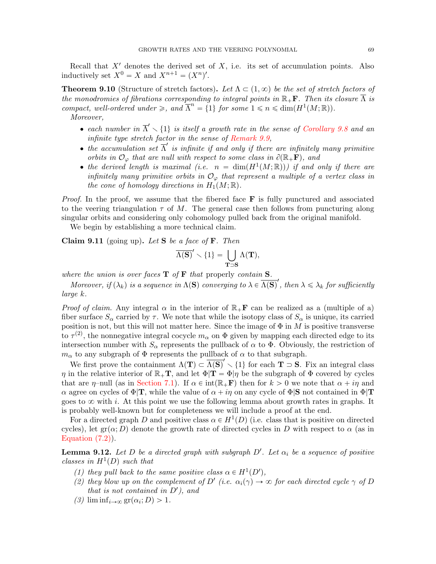Recall that  $X'$  denotes the derived set of  $X$ , i.e. its set of accumulation points. Also inductively set  $X^0 = X$  and  $X^{n+1} = (X^n)'$ .

<span id="page-68-2"></span>**Theorem 9.10** (Structure of stretch factors). Let  $\Lambda \subset (1, \infty)$  be the set of stretch factors of the monodromies of fibrations corresponding to integral points in  $\mathbb{R}_+$ . Then its closure  $\overline{\Lambda}$  is compact, well-ordered under  $\geq$ , and  $\overline{\Lambda}^n = \{1\}$  for some  $1 \leq n \leq \dim(H^1(M;\mathbb{R}))$ . Moreover,

- each number in  $\overline{\Lambda}' \setminus \{1\}$  is itself a growth rate in the sense of [Corollary 9.8](#page-67-0) and an infinite type stretch factor in the sense of [Remark 9.9,](#page-67-3)
- the accumulation set  $\overline{\Lambda}'$  is infinite if and only if there are infinitely many primitive orbits in  $\mathcal{O}_{\varphi}$  that are null with respect to some class in  $\partial(\mathbb{R}_+\mathbf{F})$ , and
- the derived length is maximal (i.e.  $n = \dim(H^1(M; \mathbb{R}))$ ) if and only if there are infinitely many primitive orbits in  $\mathcal{O}_{\varphi}$  that represent a multiple of a vertex class in the cone of homology directions in  $H_1(M; \mathbb{R})$ .

*Proof.* In the proof, we assume that the fibered face  $\bf{F}$  is fully punctured and associated to the veering triangulation  $\tau$  of M. The general case then follows from puncturing along singular orbits and considering only cohomology pulled back from the original manifold.

We begin by establishing a more technical claim.

<span id="page-68-1"></span>**Claim 9.11** (going up). Let **S** be a face of **F**. Then<br> $\overline{\Lambda(S)}' \setminus \{1\} = \begin{bmatrix} \end{bmatrix}$ 

$$
\overline{\Lambda(\mathbf{S})}' \smallsetminus \{1\} = \bigcup_{\mathbf{T} = \mathbf{S}} \Lambda(\mathbf{T}),
$$

where the union is over faces  $T$  of  $F$  that properly contain  $S$ .

Moreover, if  $(\lambda_k)$  is a sequence in  $\Lambda(S)$  converging to  $\lambda \in \overline{\Lambda(S)}'$ , then  $\lambda \leq \lambda_k$  for sufficiently large k.

*Proof of claim.* Any integral  $\alpha$  in the interior of  $\mathbb{R}_+$ **F** can be realized as a (multiple of a) fiber surface  $S_\alpha$  carried by  $\tau$ . We note that while the isotopy class of  $S_\alpha$  is unique, its carried position is not, but this will not matter here. Since the image of  $\Phi$  in  $M$  is positive transverse to  $\tau^{(2)}$ , the nonnegative integral cocycle  $m_{\alpha}$  on  $\Phi$  given by mapping each directed edge to its intersection number with  $S_{\alpha}$  represents the pullback of  $\alpha$  to  $\Phi$ . Obviously, the restriction of  $m_{\alpha}$  to any subgraph of  $\Phi$  represents the pullback of  $\alpha$  to that subgraph.

We first prove the containment  $\Lambda(\mathbf{T}) \subset \overline{\Lambda(\mathbf{S})}' \setminus \{1\}$  for each  $\mathbf{T} \supset \mathbf{S}$ . Fix an integral class  $\eta$  in the relative interior of  $\mathbb{R}_+T$ , and let  $\Phi|T = \Phi|\eta$  be the subgraph of  $\Phi$  covered by cycles that are  $\eta$ -null (as in [Section 7.1\)](#page-54-4). If  $\alpha \in \text{int}(\mathbb{R}_+ \mathbf{F})$  then for  $k > 0$  we note that  $\alpha + i\eta$  and  $\alpha$  agree on cycles of  $\Phi$ T, while the value of  $\alpha + i\eta$  on any cycle of  $\Phi$ S not contained in  $\Phi$ T goes to  $\infty$  with i. At this point we use the following lemma about growth rates in graphs. It is probably well-known but for completeness we will include a proof at the end.

For a directed graph D and positive class  $\alpha \in H^1(D)$  (i.e. class that is positive on directed cycles), let  $gr(\alpha; D)$  denote the growth rate of directed cycles in D with respect to  $\alpha$  (as in Equation  $(7.2)$ .

<span id="page-68-0"></span>**Lemma 9.12.** Let D be a directed graph with subgraph  $D'$ . Let  $\alpha_i$  be a sequence of positive classes in  $H^1(D)$  such that

- (1) they pull back to the same positive class  $\alpha \in H^1(D)$ ,
- (2) they blow up on the complement of D' (i.e.  $\alpha_i(\gamma) \to \infty$  for each directed cycle  $\gamma$  of D that is not contained in  $D'$ ), and
- (3)  $\liminf_{i\to\infty} g(r(\alpha_i; D) > 1$ .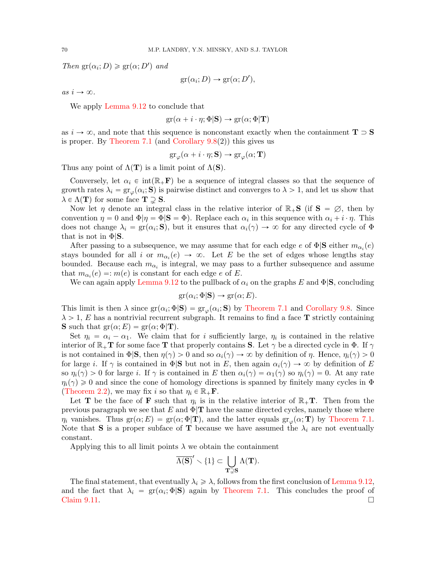Then  $gr(\alpha_i; D) \geq gr(\alpha; D')$  and

$$
gr(\alpha_i; D) \to gr(\alpha; D'),
$$

as  $i \to \infty$ .

We apply [Lemma 9.12](#page-68-0) to conclude that

$$
\text{gr}(\alpha + i \cdot \eta; \Phi | \mathbf{S}) \to \text{gr}(\alpha; \Phi | \mathbf{T})
$$

as  $i \to \infty$ , and note that this sequence is nonconstant exactly when the containment  $T \supset S$ is proper. By [Theorem 7.1](#page-54-0) (and Corollary  $9.8(2)$ ) this gives us

$$
\operatorname{gr}_{\varphi}(\alpha+i\cdot\eta; \mathbf{S}) \to \operatorname{gr}_{\varphi}(\alpha; \mathbf{T})
$$

Thus any point of  $\Lambda(T)$  is a limit point of  $\Lambda(S)$ .

Conversely, let  $\alpha_i \in \text{int}(\mathbb{R}_+F)$  be a sequence of integral classes so that the sequence of growth rates  $\lambda_i = \text{gr}_{\varphi}(\alpha_i; \mathbf{S})$  is pairwise distinct and converges to  $\lambda > 1$ , and let us show that  $\lambda \in \Lambda(\mathbf{T})$  for some face  $\mathbf{T} \supsetneq \mathbf{S}$ .

Now let  $\eta$  denote an integral class in the relative interior of  $\mathbb{R}_+$ **S** (if **S** =  $\emptyset$ , then by convention  $\eta = 0$  and  $\Phi | \eta = \Phi | \mathbf{S} = \Phi$ . Replace each  $\alpha_i$  in this sequence with  $\alpha_i + i \cdot \eta$ . This does not change  $\lambda_i = \text{gr}(\alpha_i; \mathbf{S})$ , but it ensures that  $\alpha_i(\gamma) \to \infty$  for any directed cycle of  $\Phi$ that is not in  $\Phi$ **S**.

After passing to a subsequence, we may assume that for each edge  $e$  of  $\Phi|\mathbf{S}$  either  $m_{\alpha_i}(e)$ stays bounded for all i or  $m_{\alpha_i}(e) \to \infty$ . Let E be the set of edges whose lengths stay bounded. Because each  $m_{\alpha_i}$  is integral, we may pass to a further subsequence and assume that  $m_{\alpha_i}(e) =: m(e)$  is constant for each edge e of E.

We can again apply [Lemma 9.12](#page-68-0) to the pullback of  $\alpha_i$  on the graphs E and  $\Phi$  S, concluding

$$
\text{gr}(\alpha_i; \Phi | \mathbf{S}) \to \text{gr}(\alpha; E).
$$

This limit is then  $\lambda$  since  $gr(\alpha_i; \Phi | \mathbf{S}) = gr_\varphi(\alpha_i; \mathbf{S})$  by [Theorem 7.1](#page-54-0) and [Corollary 9.8.](#page-67-0) Since  $\lambda > 1$ , E has a nontrivial recurrent subgraph. It remains to find a face **T** strictly containing **S** such that  $gr(\alpha; E) = gr(\alpha; \Phi | \mathbf{T}).$ 

Set  $\eta_i = \alpha_i - \alpha_1$ . We claim that for i sufficiently large,  $\eta_i$  is contained in the relative interior of  $\mathbb{R}_+T$  for some face T that properly contains S. Let  $\gamma$  be a directed cycle in  $\Phi$ . If  $\gamma$ is not contained in  $\Phi(\mathbf{S}, \text{ then } \eta(\gamma) > 0$  and so  $\alpha_i(\gamma) \to \infty$  by definition of  $\eta$ . Hence,  $\eta_i(\gamma) > 0$ for large i. If  $\gamma$  is contained in  $\Phi | S$  but not in E, then again  $\alpha_i(\gamma) \to \infty$  by definition of E so  $\eta_i(\gamma) > 0$  for large i. If  $\gamma$  is contained in E then  $\alpha_i(\gamma) = \alpha_1(\gamma)$  so  $\eta_i(\gamma) = 0$ . At any rate  $\eta_i(\gamma) \geq 0$  and since the cone of homology directions is spanned by finitely many cycles in  $\Phi$ [\(Theorem 2.2\)](#page-9-2), we may fix i so that  $\eta_i \in \mathbb{R}_+$ **F**.

Let **T** be the face of **F** such that  $\eta_i$  is in the relative interior of  $\mathbb{R}_+$ **T**. Then from the previous paragraph we see that E and  $\Phi$ <sup>T</sup> have the same directed cycles, namely those where  $\eta_i$  vanishes. Thus gr $(\alpha; E) = \text{gr}(\alpha; \Phi | \mathbf{T})$ , and the latter equals  $\text{gr}_{\varphi}(\alpha; \mathbf{T})$  by [Theorem 7.1.](#page-54-0) Note that **S** is a proper subface of **T** because we have assumed the  $\lambda_i$  are not eventually constant.

Applying this to all limit points  $\lambda$  we obtain the containment<br> $\overline{\Lambda(S)}' \setminus \{1\} \subset \Box \setminus \Lambda(T)$ .

$$
\overline{\Lambda(\mathbf{S})}' \smallsetminus \{1\} \subset \bigcup_{\mathbf{T} \supsetneq \mathbf{S}} \Lambda(\mathbf{T}).
$$

The final statement, that eventually  $\lambda_i \geq \lambda$ , follows from the first conclusion of [Lemma 9.12,](#page-68-0) and the fact that  $\lambda_i = \text{gr}(\alpha_i; \Phi | \mathbf{S})$  again by [Theorem 7.1.](#page-54-0) This concludes the proof of  $Claim\ 9.11.$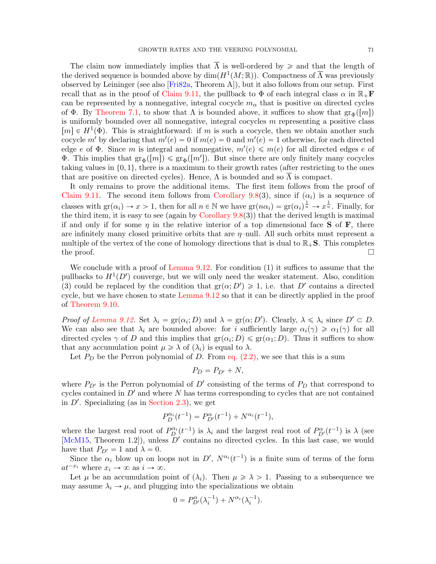The claim now immediately implies that  $\overline{\Lambda}$  is well-ordered by  $\geq$  and that the length of the derived sequence is bounded above by  $\dim(H^1(M;\mathbb{R}))$ . Compactness of  $\overline{\Lambda}$  was previously observed by Leininger (see also [\[Fri82a,](#page-71-10) Theorem A]), but it also follows from our setup. First recall that as in the proof of [Claim 9.11,](#page-68-1) the pullback to  $\Phi$  of each integral class  $\alpha$  in  $\mathbb{R}_+$ **F** can be represented by a nonnegative, integral cocycle  $m_{\alpha}$  that is positive on directed cycles of Φ. By [Theorem 7.1,](#page-54-0) to show that  $\Lambda$  is bounded above, it suffices to show that  $\text{gr}_{\Phi}([m])$ is uniformly bounded over all nonnegative, integral cocycles  $m$  representing a positive class  $[m] \in H^1(\Phi)$ . This is straightforward: if m is such a cocycle, then we obtain another such cocycle m' by declaring that  $m'(e) = 0$  if  $m(e) = 0$  and  $m'(e) = 1$  otherwise, for each directed edge e of  $\Phi$ . Since m is integral and nonnegative,  $m'(e) \leq m(e)$  for all directed edges e of **Φ.** This implies that  $gr_{\Phi}([m]) \leq gr_{\Phi}([m'])$ . But since there are only finitely many cocycles taking values in  $\{0, 1\}$ , there is a maximum to their growth rates (after restricting to the ones that are positive on directed cycles). Hence,  $\Lambda$  is bounded and so  $\overline{\Lambda}$  is compact.

It only remains to prove the additional items. The first item follows from the proof of [Claim 9.11.](#page-68-1) The second item follows from [Corollary 9.8\(](#page-67-0)3), since if  $(\alpha_i)$  is a sequence of classes with  $\text{gr}(\alpha_i) \to x > 1$ , then for all  $n \in \mathbb{N}$  we have  $\text{gr}(n\alpha_i) = \text{gr}(\alpha_i)^{\frac{1}{n}} \to x^{\frac{1}{n}}$ . Finally, for the third item, it is easy to see (again by Corollary  $9.8(3)$ ) that the derived length is maximal if and only if for some  $\eta$  in the relative interior of a top dimensional face **S** of **F**, there are infinitely many closed primitive orbits that are  $\eta$ -null. All such orbits must represent a multiple of the vertex of the cone of homology directions that is dual to  $\mathbb{R}_+$ **S**. This completes the proof.  $\Box$ 

We conclude with a proof of Lemma  $9.12$ . For condition (1) it suffices to assume that the pullbacks to  $H^1(D')$  converge, but we will only need the weaker statement. Also, condition (3) could be replaced by the condition that  $gr(\alpha; D') \geq 1$ , i.e. that D' contains a directed cycle, but we have chosen to state [Lemma 9.12](#page-68-0) so that it can be directly applied in the proof of [Theorem 9.10.](#page-68-2)

Proof of [Lemma 9.12.](#page-68-0) Set  $\lambda_i = \text{gr}(\alpha_i; D)$  and  $\lambda = \text{gr}(\alpha; D')$ . Clearly,  $\lambda \leq \lambda_i$  since  $D' \subset D$ . We can also see that  $\lambda_i$  are bounded above: for i sufficiently large  $\alpha_i(\gamma) \geq \alpha_1(\gamma)$  for all directed cycles  $\gamma$  of D and this implies that  $gr(\alpha_i; D) \leq gr(\alpha_1; D)$ . Thus it suffices to show that any accumulation point  $\mu \geq \lambda$  of  $(\lambda_i)$  is equal to  $\lambda$ .

Let  $P_D$  be the Perron polynomial of D. From eq.  $(2.2)$ , we see that this is a sum

$$
P_D = P_{D'} + N,
$$

where  $P_{D'}$  is the Perron polynomial of  $D'$  consisting of the terms of  $P_D$  that correspond to cycles contained in  $D'$  and where  $N$  has terms corresponding to cycles that are not contained in  $D'$ . Specializing (as in [Section 2.3\)](#page-7-0), we get

$$
P_D^{\alpha_i}(t^{-1}) = P_{D'}^{\alpha}(t^{-1}) + N^{\alpha_i}(t^{-1}),
$$

where the largest real root of  $P_D^{\alpha_i}(t^{-1})$  is  $\lambda_i$  and the largest real root of  $P_{D'}^{\alpha}(t^{-1})$  is  $\lambda$  (see [\[McM15,](#page-72-1) Theorem 1.2]), unless  $\overline{D}'$  contains no directed cycles. In this last case, we would have that  $P_{D'} = 1$  and  $\lambda = 0$ .

Since the  $\alpha_i$  blow up on loops not in D',  $N^{\alpha_i}(t^{-1})$  is a finite sum of terms of the form  $at^{-x_i}$  where  $x_i \to \infty$  as  $i \to \infty$ .

Let  $\mu$  be an accumulation point of  $(\lambda_i)$ . Then  $\mu \geq \lambda > 1$ . Passing to a subsequence we may assume  $\lambda_i \rightarrow \mu$ , and plugging into the specializations we obtain

$$
0 = P_{D'}^{\alpha}(\lambda_i^{-1}) + N^{\alpha_i}(\lambda_i^{-1}).
$$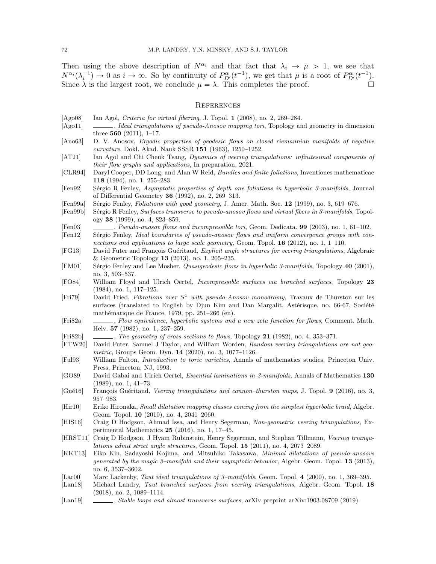Then using the above description of  $N^{\alpha_i}$  and that fact that  $\lambda_i \to \mu > 1$ , we see that  $N^{\alpha_i}(\lambda_i^{-1}) \to 0$  as  $i \to \infty$ . So by continuity of  $P_{D'}^{\alpha}(t^{-1})$ , we get that  $\mu$  is a root of  $P_{D'}^{\alpha}(t^{-1})$ . Since  $\lambda$  is the largest root, we conclude  $\mu = \lambda$ . This completes the proof.

## **REFERENCES**

- <span id="page-71-8"></span>[Ago08] Ian Agol, Criteria for virtual fibering, J. Topol. 1 (2008), no. 2, 269–284.
- [Ago11] , Ideal triangulations of pseudo-Anosov mapping tori, Topology and geometry in dimension three 560 (2011), 1–17.
- <span id="page-71-0"></span>[Ano63] D. V. Anosov, Ergodic properties of geodesic flows on closed riemannian manifolds of negative curvature, Dokl. Akad. Nauk SSSR 151 (1963), 1250–1252.
- [AT21] Ian Agol and Chi Cheuk Tsang, Dynamics of veering triangulations: infinitesimal components of their flow graphs and applications, In preparation, 2021.
- <span id="page-71-5"></span>[CLR94] Daryl Cooper, DD Long, and Alan W Reid, Bundles and finite foliations, Inventiones mathematicae 118 (1994), no. 1, 255–283.
- <span id="page-71-9"></span>[Fen92] Sérgio R Fenley, Asymptotic properties of depth one foliations in hyperbolic 3-manifolds, Journal of Differential Geometry 36 (1992), no. 2, 269–313.
- [Fen99a] Sérgio Fenley, *Foliations with good geometry*, J. Amer. Math. Soc. 12 (1999), no. 3, 619–676.
- <span id="page-71-6"></span>[Fen99b] Sérgio R Fenley, Surfaces transverse to pseudo-anosov flows and virtual fibers in 3-manifolds, Topology 38 (1999), no. 4, 823–859.
- [Fen03] , Pseudo-anosov flows and incompressible tori, Geom. Dedicata. 99 (2003), no. 1, 61–102.
- [Fen12] Sérgio Fenley, Ideal boundaries of pseudo-anosov flows and uniform convergence groups with connections and applications to large scale geometry, Geom. Topol. **16** (2012), no. 1, 1–110.
- <span id="page-71-2"></span>[FG13] David Futer and François Guéritaud, Explicit angle structures for veering triangulations, Algebraic & Geometric Topology 13 (2013), no. 1, 205–235.
- <span id="page-71-1"></span>[FM01] Sérgio Fenley and Lee Mosher, Quasigeodesic flows in hyperbolic 3-manifolds, Topology 40 (2001), no. 3, 503–537.
- [FO84] William Floyd and Ulrich Oertel, Incompressible surfaces via branched surfaces, Topology 23 (1984), no. 1, 117–125.
- [Fri79] David Fried, Fibrations over  $S^1$  with pseudo-Anosov monodromy, Travaux de Thurston sur les surfaces (translated to English by Djun Kim and Dan Margalit, Astérisque, no. 66-67, Société mathématique de France, 1979, pp. 251–266 (en).
- <span id="page-71-10"></span>[Fri82a] , Flow equivalence, hyperbolic systems and a new zeta function for flows, Comment. Math. Helv. 57 (1982), no. 1, 237–259.
- <span id="page-71-4"></span>[Fri82b] , The geometry of cross sections to flows, Topology 21 (1982), no. 4, 353–371.
- [FTW20] David Futer, Samuel J Taylor, and William Worden, Random veering triangulations are not geometric, Groups Geom. Dyn. 14 (2020), no. 3, 1077–1126.
- <span id="page-71-7"></span>[Ful93] William Fulton, Introduction to toric varieties, Annals of mathematics studies, Princeton Univ. Press, Princeton, NJ, 1993.
- [GO89] David Gabai and Ulrich Oertel, Essential laminations in 3-manifolds, Annals of Mathematics 130 (1989), no. 1, 41–73.
- [Gué16] François Guéritaud, Veering triangulations and cannon–thurston maps, J. Topol. 9 (2016), no. 3, 957–983.
- [Hir10] Eriko Hironaka, Small dilatation mapping classes coming from the simplest hyperbolic braid, Algebr. Geom. Topol. 10 (2010), no. 4, 2041–2060.
- [HIS16] Craig D Hodgson, Ahmad Issa, and Henry Segerman, Non-geometric veering triangulations, Experimental Mathematics 25 (2016), no. 1, 17–45.
- [HRST11] Craig D Hodgson, J Hyam Rubinstein, Henry Segerman, and Stephan Tillmann, Veering triangulations admit strict angle structures, Geom. Topol. 15 (2011), no. 4, 2073–2089.
- [KKT13] Eiko Kin, Sadayoshi Kojima, and Mitsuhiko Takasawa, Minimal dilatations of pseudo-anosovs generated by the magic 3–manifold and their asymptotic behavior, Algebr. Geom. Topol. 13 (2013), no. 6, 3537–3602.
- [Lac00] Marc Lackenby, Taut ideal triangulations of 3–manifolds, Geom. Topol. 4 (2000), no. 1, 369–395.
- [Lan18] Michael Landry, Taut branched surfaces from veering triangulations, Algebr. Geom. Topol. 18 (2018), no. 2, 1089–1114.
- <span id="page-71-3"></span>[Lan19] , Stable loops and almost transverse surfaces, arXiv preprint arXiv:1903.08709 (2019).